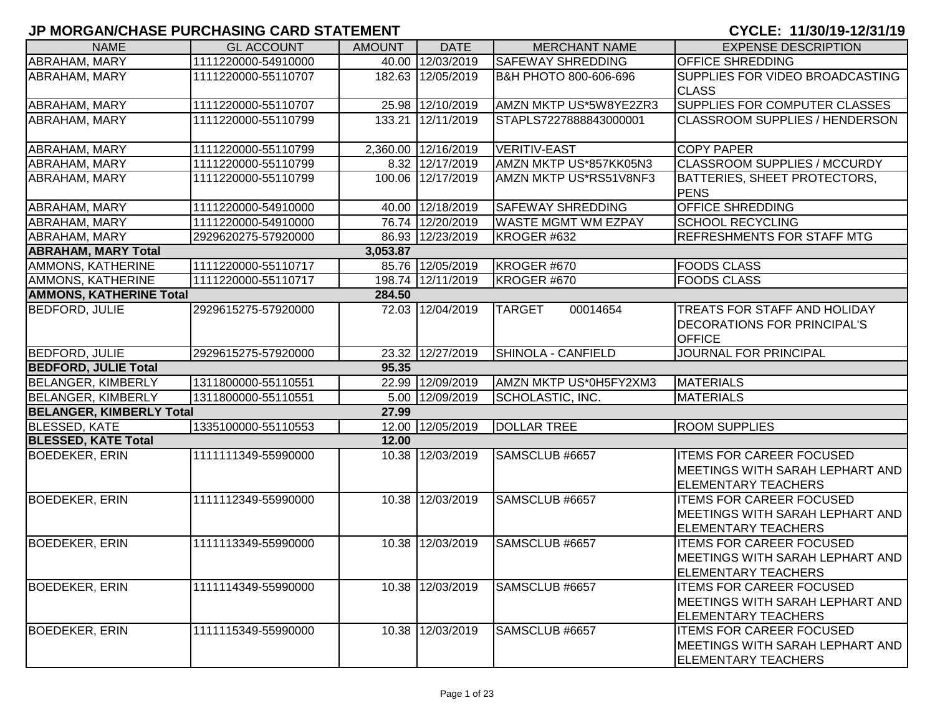| <b>NAME</b>                     | <b>GL ACCOUNT</b>   | <b>AMOUNT</b> | <b>DATE</b>         | <b>MERCHANT NAME</b>             | <b>EXPENSE DESCRIPTION</b>                                                                       |
|---------------------------------|---------------------|---------------|---------------------|----------------------------------|--------------------------------------------------------------------------------------------------|
| <b>ABRAHAM, MARY</b>            | 1111220000-54910000 |               | 40.00 12/03/2019    | <b>SAFEWAY SHREDDING</b>         | <b>OFFICE SHREDDING</b>                                                                          |
| <b>ABRAHAM, MARY</b>            | 1111220000-55110707 |               | 182.63 12/05/2019   | <b>B&amp;H PHOTO 800-606-696</b> | SUPPLIES FOR VIDEO BROADCASTING<br><b>CLASS</b>                                                  |
| <b>ABRAHAM, MARY</b>            | 1111220000-55110707 |               | 25.98 12/10/2019    | AMZN MKTP US*5W8YE2ZR3           | <b>SUPPLIES FOR COMPUTER CLASSES</b>                                                             |
| <b>ABRAHAM, MARY</b>            | 1111220000-55110799 |               | 133.21 12/11/2019   | STAPLS7227888843000001           | <b>CLASSROOM SUPPLIES / HENDERSON</b>                                                            |
| <b>ABRAHAM, MARY</b>            | 1111220000-55110799 |               | 2,360.00 12/16/2019 | <b>VERITIV-EAST</b>              | <b>COPY PAPER</b>                                                                                |
| <b>ABRAHAM, MARY</b>            | 1111220000-55110799 |               | 8.32 12/17/2019     | AMZN MKTP US*857KK05N3           | <b>CLASSROOM SUPPLIES / MCCURDY</b>                                                              |
| <b>ABRAHAM, MARY</b>            | 1111220000-55110799 |               | 100.06 12/17/2019   | AMZN MKTP US*RS51V8NF3           | BATTERIES, SHEET PROTECTORS,<br><b>PENS</b>                                                      |
| <b>ABRAHAM, MARY</b>            | 1111220000-54910000 |               | 40.00 12/18/2019    | <b>SAFEWAY SHREDDING</b>         | <b>OFFICE SHREDDING</b>                                                                          |
| ABRAHAM, MARY                   | 1111220000-54910000 |               | 76.74 12/20/2019    | <b>WASTE MGMT WM EZPAY</b>       | <b>SCHOOL RECYCLING</b>                                                                          |
| <b>ABRAHAM, MARY</b>            | 2929620275-57920000 |               | 86.93 12/23/2019    | KROGER #632                      | <b>REFRESHMENTS FOR STAFF MTG</b>                                                                |
| <b>ABRAHAM, MARY Total</b>      |                     | 3,053.87      |                     |                                  |                                                                                                  |
| <b>AMMONS, KATHERINE</b>        | 1111220000-55110717 |               | 85.76 12/05/2019    | KROGER #670                      | <b>FOODS CLASS</b>                                                                               |
| <b>AMMONS, KATHERINE</b>        | 1111220000-55110717 |               | 198.74 12/11/2019   | KROGER #670                      | <b>FOODS CLASS</b>                                                                               |
| <b>AMMONS, KATHERINE Total</b>  |                     | 284.50        |                     |                                  |                                                                                                  |
| <b>BEDFORD, JULIE</b>           | 2929615275-57920000 |               | 72.03 12/04/2019    | <b>TARGET</b><br>00014654        | TREATS FOR STAFF AND HOLIDAY<br><b>DECORATIONS FOR PRINCIPAL'S</b><br><b>OFFICE</b>              |
| <b>BEDFORD, JULIE</b>           | 2929615275-57920000 |               | 23.32 12/27/2019    | SHINOLA - CANFIELD               | <b>JOURNAL FOR PRINCIPAL</b>                                                                     |
| <b>BEDFORD, JULIE Total</b>     |                     | 95.35         |                     |                                  |                                                                                                  |
| <b>BELANGER, KIMBERLY</b>       | 1311800000-55110551 |               | 22.99 12/09/2019    | AMZN MKTP US*0H5FY2XM3           | <b>MATERIALS</b>                                                                                 |
| <b>BELANGER, KIMBERLY</b>       | 1311800000-55110551 |               | 5.00 12/09/2019     | SCHOLASTIC, INC.                 | <b>MATERIALS</b>                                                                                 |
| <b>BELANGER, KIMBERLY Total</b> |                     | 27.99         |                     |                                  |                                                                                                  |
| <b>BLESSED, KATE</b>            | 1335100000-55110553 |               | 12.00 12/05/2019    | <b>DOLLAR TREE</b>               | <b>ROOM SUPPLIES</b>                                                                             |
| <b>BLESSED, KATE Total</b>      |                     | 12.00         |                     |                                  |                                                                                                  |
| <b>BOEDEKER, ERIN</b>           | 1111111349-55990000 |               | 10.38 12/03/2019    | SAMSCLUB #6657                   | <b>ITEMS FOR CAREER FOCUSED</b><br>MEETINGS WITH SARAH LEPHART AND<br><b>ELEMENTARY TEACHERS</b> |
| <b>BOEDEKER, ERIN</b>           | 1111112349-55990000 |               | 10.38 12/03/2019    | SAMSCLUB #6657                   | <b>ITEMS FOR CAREER FOCUSED</b><br>MEETINGS WITH SARAH LEPHART AND<br><b>ELEMENTARY TEACHERS</b> |
| <b>BOEDEKER, ERIN</b>           | 1111113349-55990000 |               | 10.38 12/03/2019    | SAMSCLUB #6657                   | <b>ITEMS FOR CAREER FOCUSED</b><br>MEETINGS WITH SARAH LEPHART AND<br><b>ELEMENTARY TEACHERS</b> |
| <b>BOEDEKER, ERIN</b>           | 1111114349-55990000 |               | 10.38 12/03/2019    | SAMSCLUB #6657                   | <b>ITEMS FOR CAREER FOCUSED</b><br>MEETINGS WITH SARAH LEPHART AND<br><b>ELEMENTARY TEACHERS</b> |
| <b>BOEDEKER, ERIN</b>           | 1111115349-55990000 |               | 10.38 12/03/2019    | SAMSCLUB #6657                   | <b>ITEMS FOR CAREER FOCUSED</b><br>MEETINGS WITH SARAH LEPHART AND<br><b>ELEMENTARY TEACHERS</b> |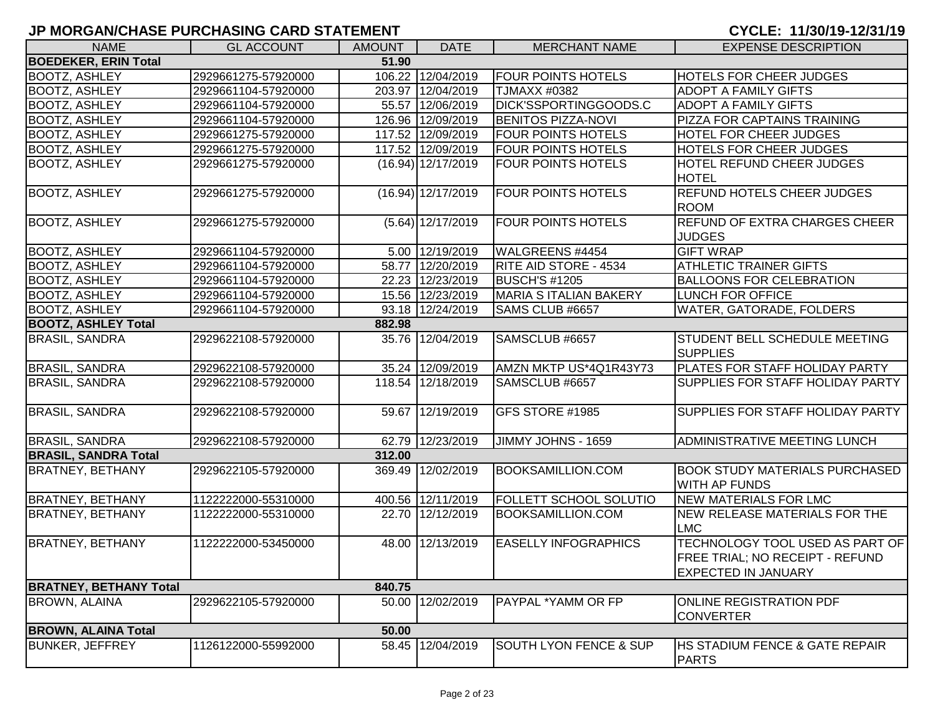| <b>NAME</b>                   | <b>GL ACCOUNT</b>   | <b>AMOUNT</b> | <b>DATE</b>          | <b>MERCHANT NAME</b>              | <b>EXPENSE DESCRIPTION</b>                                                                       |
|-------------------------------|---------------------|---------------|----------------------|-----------------------------------|--------------------------------------------------------------------------------------------------|
| <b>BOEDEKER, ERIN Total</b>   |                     | 51.90         |                      |                                   |                                                                                                  |
| <b>BOOTZ, ASHLEY</b>          | 2929661275-57920000 |               | 106.22 12/04/2019    | <b>FOUR POINTS HOTELS</b>         | <b>HOTELS FOR CHEER JUDGES</b>                                                                   |
| <b>BOOTZ, ASHLEY</b>          | 2929661104-57920000 |               | 203.97 12/04/2019    | <b>TJMAXX #0382</b>               | <b>ADOPT A FAMILY GIFTS</b>                                                                      |
| <b>BOOTZ, ASHLEY</b>          | 2929661104-57920000 |               | 55.57 12/06/2019     | DICK'SSPORTINGGOODS.C             | <b>ADOPT A FAMILY GIFTS</b>                                                                      |
| <b>BOOTZ, ASHLEY</b>          | 2929661104-57920000 |               | 126.96 12/09/2019    | <b>BENITOS PIZZA-NOVI</b>         | PIZZA FOR CAPTAINS TRAINING                                                                      |
| <b>BOOTZ, ASHLEY</b>          | 2929661275-57920000 |               | 117.52 12/09/2019    | <b>FOUR POINTS HOTELS</b>         | <b>HOTEL FOR CHEER JUDGES</b>                                                                    |
| <b>BOOTZ, ASHLEY</b>          | 2929661275-57920000 |               | 117.52 12/09/2019    | <b>FOUR POINTS HOTELS</b>         | <b>HOTELS FOR CHEER JUDGES</b>                                                                   |
| <b>BOOTZ, ASHLEY</b>          | 2929661275-57920000 |               | $(16.94)$ 12/17/2019 | <b>FOUR POINTS HOTELS</b>         | <b>HOTEL REFUND CHEER JUDGES</b><br><b>HOTEL</b>                                                 |
| <b>BOOTZ, ASHLEY</b>          | 2929661275-57920000 |               | $(16.94)$ 12/17/2019 | <b>FOUR POINTS HOTELS</b>         | <b>REFUND HOTELS CHEER JUDGES</b><br><b>ROOM</b>                                                 |
| <b>BOOTZ, ASHLEY</b>          | 2929661275-57920000 |               | $(5.64)$ 12/17/2019  | <b>FOUR POINTS HOTELS</b>         | <b>REFUND OF EXTRA CHARGES CHEER</b><br><b>JUDGES</b>                                            |
| <b>BOOTZ, ASHLEY</b>          | 2929661104-57920000 |               | 5.00 12/19/2019      | WALGREENS #4454                   | <b>GIFT WRAP</b>                                                                                 |
| <b>BOOTZ, ASHLEY</b>          | 2929661104-57920000 |               | 58.77 12/20/2019     | <b>RITE AID STORE - 4534</b>      | <b>ATHLETIC TRAINER GIFTS</b>                                                                    |
| <b>BOOTZ, ASHLEY</b>          | 2929661104-57920000 |               | 22.23 12/23/2019     | <b>BUSCH'S #1205</b>              | <b>BALLOONS FOR CELEBRATION</b>                                                                  |
| <b>BOOTZ, ASHLEY</b>          | 2929661104-57920000 |               | 15.56 12/23/2019     | <b>MARIA S ITALIAN BAKERY</b>     | LUNCH FOR OFFICE                                                                                 |
| <b>BOOTZ, ASHLEY</b>          | 2929661104-57920000 |               | 93.18 12/24/2019     | SAMS CLUB #6657                   | WATER, GATORADE, FOLDERS                                                                         |
| <b>BOOTZ, ASHLEY Total</b>    |                     | 882.98        |                      |                                   |                                                                                                  |
| <b>BRASIL, SANDRA</b>         | 2929622108-57920000 |               | 35.76 12/04/2019     | SAMSCLUB #6657                    | STUDENT BELL SCHEDULE MEETING<br><b>SUPPLIES</b>                                                 |
| <b>BRASIL, SANDRA</b>         | 2929622108-57920000 |               | 35.24 12/09/2019     | AMZN MKTP US*4Q1R43Y73            | PLATES FOR STAFF HOLIDAY PARTY                                                                   |
| <b>BRASIL, SANDRA</b>         | 2929622108-57920000 |               | 118.54 12/18/2019    | SAMSCLUB #6657                    | SUPPLIES FOR STAFF HOLIDAY PARTY                                                                 |
| <b>BRASIL, SANDRA</b>         | 2929622108-57920000 |               | 59.67 12/19/2019     | GFS STORE #1985                   | SUPPLIES FOR STAFF HOLIDAY PARTY                                                                 |
| <b>BRASIL, SANDRA</b>         | 2929622108-57920000 |               | 62.79 12/23/2019     | JIMMY JOHNS - 1659                | <b>ADMINISTRATIVE MEETING LUNCH</b>                                                              |
| <b>BRASIL, SANDRA Total</b>   |                     | 312.00        |                      |                                   |                                                                                                  |
| <b>BRATNEY, BETHANY</b>       | 2929622105-57920000 |               | 369.49 12/02/2019    | <b>BOOKSAMILLION.COM</b>          | <b>BOOK STUDY MATERIALS PURCHASED</b><br><b>WITH AP FUNDS</b>                                    |
| <b>BRATNEY, BETHANY</b>       | 1122222000-55310000 |               | 400.56 12/11/2019    | <b>FOLLETT SCHOOL SOLUTIO</b>     | <b>NEW MATERIALS FOR LMC</b>                                                                     |
| <b>BRATNEY, BETHANY</b>       | 1122222000-55310000 |               | 22.70 12/12/2019     | <b>BOOKSAMILLION.COM</b>          | NEW RELEASE MATERIALS FOR THE<br><b>LMC</b>                                                      |
| <b>BRATNEY, BETHANY</b>       | 1122222000-53450000 |               | 48.00 12/13/2019     | <b>EASELLY INFOGRAPHICS</b>       | TECHNOLOGY TOOL USED AS PART OF<br>FREE TRIAL; NO RECEIPT - REFUND<br><b>EXPECTED IN JANUARY</b> |
| <b>BRATNEY, BETHANY Total</b> |                     | 840.75        |                      |                                   |                                                                                                  |
| <b>BROWN, ALAINA</b>          | 2929622105-57920000 |               | 50.00 12/02/2019     | PAYPAL *YAMM OR FP                | ONLINE REGISTRATION PDF<br><b>CONVERTER</b>                                                      |
| <b>BROWN, ALAINA Total</b>    |                     | 50.00         |                      |                                   |                                                                                                  |
| <b>BUNKER, JEFFREY</b>        | 1126122000-55992000 |               | 58.45 12/04/2019     | <b>SOUTH LYON FENCE &amp; SUP</b> | <b>HS STADIUM FENCE &amp; GATE REPAIR</b><br><b>PARTS</b>                                        |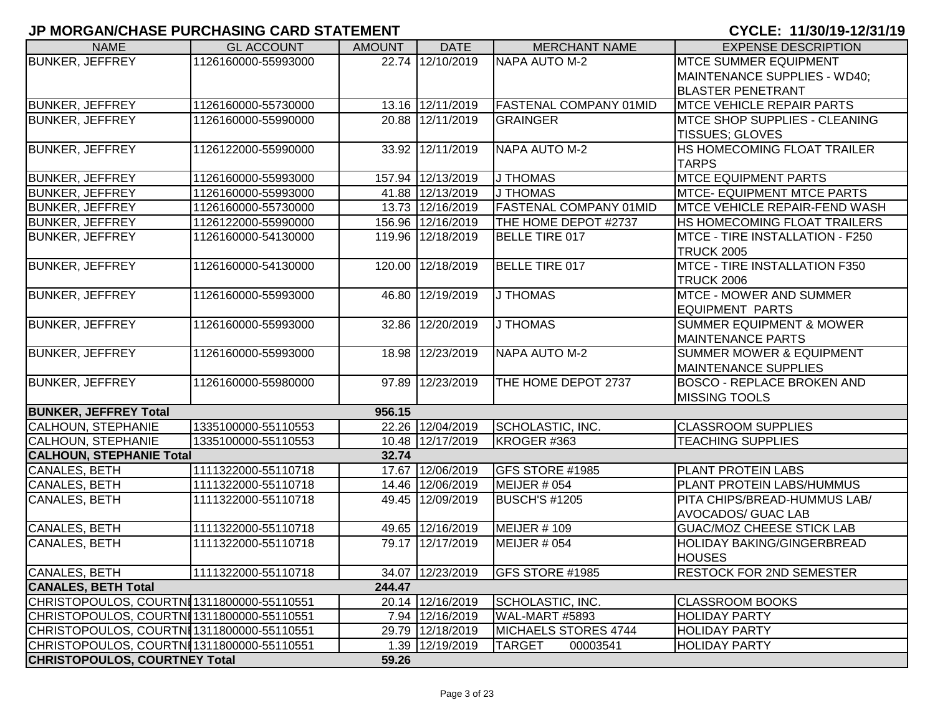| <b>NAME</b>                               | <b>GL ACCOUNT</b>   | <b>AMOUNT</b> | <b>DATE</b>       | <b>MERCHANT NAME</b>          | <b>EXPENSE DESCRIPTION</b>                           |
|-------------------------------------------|---------------------|---------------|-------------------|-------------------------------|------------------------------------------------------|
| <b>BUNKER, JEFFREY</b>                    | 1126160000-55993000 |               | 22.74 12/10/2019  | NAPA AUTO M-2                 | <b>MTCE SUMMER EQUIPMENT</b>                         |
|                                           |                     |               |                   |                               | MAINTENANCE SUPPLIES - WD40;                         |
|                                           |                     |               |                   |                               | <b>BLASTER PENETRANT</b>                             |
| <b>BUNKER, JEFFREY</b>                    | 1126160000-55730000 |               | 13.16 12/11/2019  | <b>FASTENAL COMPANY 01MID</b> | <b>MTCE VEHICLE REPAIR PARTS</b>                     |
| <b>BUNKER, JEFFREY</b>                    | 1126160000-55990000 |               | 20.88 12/11/2019  | <b>GRAINGER</b>               | <b>MTCE SHOP SUPPLIES - CLEANING</b>                 |
|                                           |                     |               |                   |                               | <b>TISSUES; GLOVES</b>                               |
| <b>BUNKER, JEFFREY</b>                    | 1126122000-55990000 |               | 33.92 12/11/2019  | NAPA AUTO M-2                 | HS HOMECOMING FLOAT TRAILER                          |
|                                           |                     |               |                   |                               | <b>TARPS</b>                                         |
| <b>BUNKER, JEFFREY</b>                    | 1126160000-55993000 |               | 157.94 12/13/2019 | <b>J THOMAS</b>               | <b>MTCE EQUIPMENT PARTS</b>                          |
| <b>BUNKER, JEFFREY</b>                    | 1126160000-55993000 |               | 41.88 12/13/2019  | <b>J THOMAS</b>               | <b>MTCE- EQUIPMENT MTCE PARTS</b>                    |
| <b>BUNKER, JEFFREY</b>                    | 1126160000-55730000 |               | 13.73 12/16/2019  | <b>FASTENAL COMPANY 01MID</b> | MTCE VEHICLE REPAIR-FEND WASH                        |
| <b>BUNKER, JEFFREY</b>                    | 1126122000-55990000 |               | 156.96 12/16/2019 | THE HOME DEPOT #2737          | HS HOMECOMING FLOAT TRAILERS                         |
| <b>BUNKER, JEFFREY</b>                    | 1126160000-54130000 |               | 119.96 12/18/2019 | <b>BELLE TIRE 017</b>         | MTCE - TIRE INSTALLATION - F250<br><b>TRUCK 2005</b> |
| <b>BUNKER, JEFFREY</b>                    | 1126160000-54130000 |               | 120.00 12/18/2019 | <b>BELLE TIRE 017</b>         | MTCE - TIRE INSTALLATION F350                        |
|                                           |                     |               |                   |                               | <b>TRUCK 2006</b>                                    |
| <b>BUNKER, JEFFREY</b>                    | 1126160000-55993000 |               | 46.80 12/19/2019  | J THOMAS                      | <b>MTCE - MOWER AND SUMMER</b>                       |
|                                           |                     |               |                   |                               | <b>EQUIPMENT PARTS</b>                               |
| <b>BUNKER, JEFFREY</b>                    | 1126160000-55993000 |               | 32.86 12/20/2019  | J THOMAS                      | <b>SUMMER EQUIPMENT &amp; MOWER</b>                  |
|                                           |                     |               |                   |                               | <b>MAINTENANCE PARTS</b>                             |
| <b>BUNKER, JEFFREY</b>                    | 1126160000-55993000 |               | 18.98 12/23/2019  | NAPA AUTO M-2                 | <b>SUMMER MOWER &amp; EQUIPMENT</b>                  |
|                                           |                     |               |                   |                               | <b>MAINTENANCE SUPPLIES</b>                          |
| <b>BUNKER, JEFFREY</b>                    | 1126160000-55980000 | 97.89         | 12/23/2019        | THE HOME DEPOT 2737           | <b>BOSCO - REPLACE BROKEN AND</b>                    |
|                                           |                     |               |                   |                               | <b>MISSING TOOLS</b>                                 |
| <b>BUNKER, JEFFREY Total</b>              |                     | 956.15        |                   |                               |                                                      |
| <b>CALHOUN, STEPHANIE</b>                 | 1335100000-55110553 |               | 22.26 12/04/2019  | SCHOLASTIC, INC.              | <b>CLASSROOM SUPPLIES</b>                            |
| <b>CALHOUN, STEPHANIE</b>                 | 1335100000-55110553 |               | 10.48 12/17/2019  | KROGER #363                   | <b>TEACHING SUPPLIES</b>                             |
| <b>CALHOUN, STEPHANIE Total</b>           |                     | 32.74         |                   |                               |                                                      |
| CANALES, BETH                             | 1111322000-55110718 |               | 17.67 12/06/2019  | GFS STORE #1985               | <b>PLANT PROTEIN LABS</b>                            |
| <b>CANALES, BETH</b>                      | 1111322000-55110718 |               | 14.46 12/06/2019  | MEIJER # 054                  | PLANT PROTEIN LABS/HUMMUS                            |
| <b>CANALES, BETH</b>                      | 1111322000-55110718 |               | 49.45 12/09/2019  | <b>BUSCH'S #1205</b>          | PITA CHIPS/BREAD-HUMMUS LAB/                         |
|                                           |                     |               |                   |                               | <b>AVOCADOS/ GUAC LAB</b>                            |
| CANALES, BETH                             | 1111322000-55110718 |               | 49.65 12/16/2019  | <b>MEIJER #109</b>            | <b>GUAC/MOZ CHEESE STICK LAB</b>                     |
| <b>CANALES, BETH</b>                      | 1111322000-55110718 |               | 79.17 12/17/2019  | <b>MEIJER # 054</b>           | <b>HOLIDAY BAKING/GINGERBREAD</b>                    |
|                                           |                     |               |                   |                               | <b>HOUSES</b>                                        |
| CANALES, BETH                             | 1111322000-55110718 |               | 34.07 12/23/2019  | GFS STORE #1985               | <b>RESTOCK FOR 2ND SEMESTER</b>                      |
| <b>CANALES, BETH Total</b>                |                     | 244.47        |                   |                               |                                                      |
| CHRISTOPOULOS, COURTNE1311800000-55110551 |                     |               | 20.14 12/16/2019  | SCHOLASTIC, INC.              | <b>CLASSROOM BOOKS</b>                               |
| CHRISTOPOULOS, COURTNI1311800000-55110551 |                     |               | 7.94 12/16/2019   | WAL-MART #5893                | <b>HOLIDAY PARTY</b>                                 |
| CHRISTOPOULOS, COURTNI1311800000-55110551 |                     |               | 29.79 12/18/2019  | MICHAELS STORES 4744          | <b>HOLIDAY PARTY</b>                                 |
| CHRISTOPOULOS, COURTNI1311800000-55110551 |                     |               | 1.39 12/19/2019   | <b>TARGET</b><br>00003541     | <b>HOLIDAY PARTY</b>                                 |
| <b>CHRISTOPOULOS, COURTNEY Total</b>      |                     | 59.26         |                   |                               |                                                      |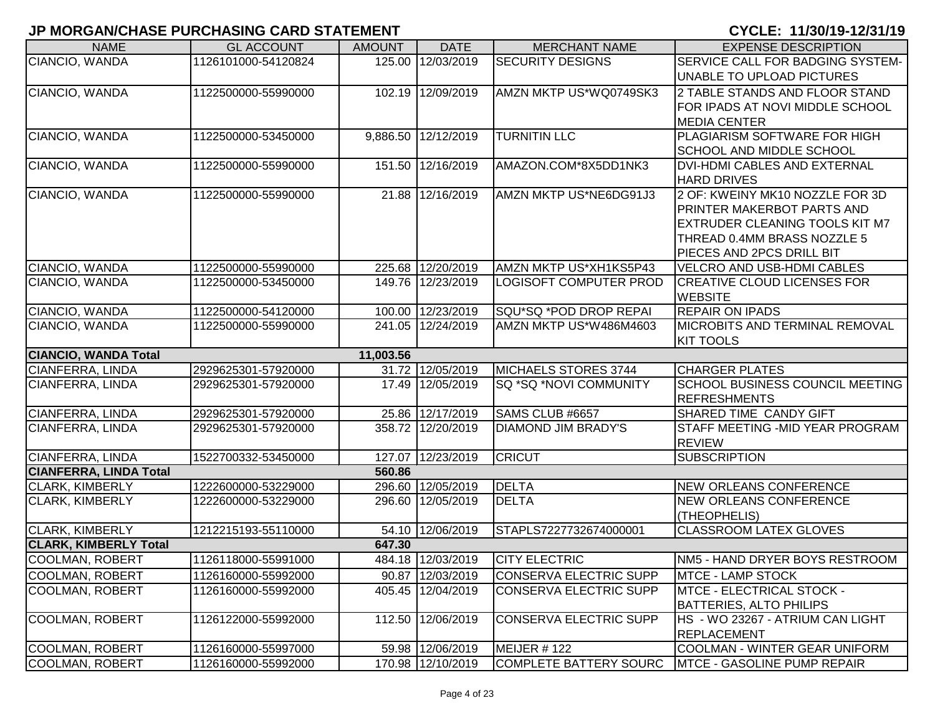| <b>NAME</b>                                       | <b>GL ACCOUNT</b>   | <b>AMOUNT</b> | <b>DATE</b>         | <b>MERCHANT NAME</b>          | <b>EXPENSE DESCRIPTION</b>             |
|---------------------------------------------------|---------------------|---------------|---------------------|-------------------------------|----------------------------------------|
| CIANCIO, WANDA                                    | 1126101000-54120824 |               | 125.00 12/03/2019   | <b>SECURITY DESIGNS</b>       | SERVICE CALL FOR BADGING SYSTEM-       |
|                                                   |                     |               |                     |                               | UNABLE TO UPLOAD PICTURES              |
| CIANCIO, WANDA                                    | 1122500000-55990000 |               | 102.19 12/09/2019   | AMZN MKTP US*WQ0749SK3        | 2 TABLE STANDS AND FLOOR STAND         |
|                                                   |                     |               |                     |                               | FOR IPADS AT NOVI MIDDLE SCHOOL        |
|                                                   |                     |               |                     |                               | <b>MEDIA CENTER</b>                    |
| CIANCIO, WANDA                                    | 1122500000-53450000 |               | 9,886.50 12/12/2019 | <b>TURNITIN LLC</b>           | PLAGIARISM SOFTWARE FOR HIGH           |
|                                                   |                     |               |                     |                               | <b>SCHOOL AND MIDDLE SCHOOL</b>        |
| CIANCIO, WANDA                                    | 1122500000-55990000 |               | 151.50 12/16/2019   | AMAZON.COM*8X5DD1NK3          | DVI-HDMI CABLES AND EXTERNAL           |
|                                                   |                     |               |                     |                               | <b>HARD DRIVES</b>                     |
| CIANCIO, WANDA                                    | 1122500000-55990000 |               | 21.88 12/16/2019    | AMZN MKTP US*NE6DG91J3        | 2 OF: KWEINY MK10 NOZZLE FOR 3D        |
|                                                   |                     |               |                     |                               | PRINTER MAKERBOT PARTS AND             |
|                                                   |                     |               |                     |                               | <b>EXTRUDER CLEANING TOOLS KIT M7</b>  |
|                                                   |                     |               |                     |                               | THREAD 0.4MM BRASS NOZZLE 5            |
|                                                   |                     |               |                     |                               | PIECES AND 2PCS DRILL BIT              |
| CIANCIO, WANDA                                    | 1122500000-55990000 |               | 225.68 12/20/2019   | AMZN MKTP US*XH1KS5P43        | VELCRO AND USB-HDMI CABLES             |
| CIANCIO, WANDA                                    | 1122500000-53450000 |               | 149.76 12/23/2019   | <b>LOGISOFT COMPUTER PROD</b> | <b>CREATIVE CLOUD LICENSES FOR</b>     |
|                                                   |                     |               |                     |                               | <b>WEBSITE</b>                         |
| CIANCIO, WANDA                                    | 1122500000-54120000 |               | 100.00 12/23/2019   | SQU*SQ *POD DROP REPAI        | <b>REPAIR ON IPADS</b>                 |
| CIANCIO, WANDA                                    | 1122500000-55990000 |               | 241.05 12/24/2019   | AMZN MKTP US*W486M4603        | <b>MICROBITS AND TERMINAL REMOVAL</b>  |
| <b>CIANCIO, WANDA Total</b>                       |                     | 11,003.56     |                     |                               | <b>KIT TOOLS</b>                       |
| CIANFERRA, LINDA                                  | 2929625301-57920000 |               | 31.72 12/05/2019    | <b>MICHAELS STORES 3744</b>   | <b>CHARGER PLATES</b>                  |
| CIANFERRA, LINDA                                  | 2929625301-57920000 |               | 17.49 12/05/2019    | SQ *SQ *NOVI COMMUNITY        | <b>SCHOOL BUSINESS COUNCIL MEETING</b> |
|                                                   |                     |               |                     |                               | <b>REFRESHMENTS</b>                    |
| CIANFERRA, LINDA                                  | 2929625301-57920000 |               | 25.86 12/17/2019    | SAMS CLUB #6657               | SHARED TIME CANDY GIFT                 |
| CIANFERRA, LINDA                                  | 2929625301-57920000 |               | 358.72 12/20/2019   | DIAMOND JIM BRADY'S           | STAFF MEETING - MID YEAR PROGRAM       |
|                                                   |                     |               |                     | <b>CRICUT</b>                 | <b>REVIEW</b><br><b>SUBSCRIPTION</b>   |
| CIANFERRA, LINDA<br><b>CIANFERRA, LINDA Total</b> | 1522700332-53450000 | 560.86        | 127.07 12/23/2019   |                               |                                        |
| <b>CLARK, KIMBERLY</b>                            | 1222600000-53229000 |               | 296.60 12/05/2019   | <b>DELTA</b>                  | <b>NEW ORLEANS CONFERENCE</b>          |
| <b>CLARK, KIMBERLY</b>                            | 1222600000-53229000 |               | 296.60 12/05/2019   | <b>DELTA</b>                  | <b>NEW ORLEANS CONFERENCE</b>          |
|                                                   |                     |               |                     |                               | (THEOPHELIS)                           |
| <b>CLARK, KIMBERLY</b>                            | 1212215193-55110000 |               | 54.10 12/06/2019    | STAPLS7227732674000001        | <b>CLASSROOM LATEX GLOVES</b>          |
| <b>CLARK, KIMBERLY Total</b>                      |                     | 647.30        |                     |                               |                                        |
| COOLMAN, ROBERT                                   | 1126118000-55991000 |               | 484.18 12/03/2019   | <b>CITY ELECTRIC</b>          | NM5 - HAND DRYER BOYS RESTROOM         |
| COOLMAN, ROBERT                                   | 1126160000-55992000 |               | 90.87 12/03/2019    | CONSERVA ELECTRIC SUPP        | <b>IMTCE - LAMP STOCK</b>              |
| <b>COOLMAN, ROBERT</b>                            | 1126160000-55992000 |               | 405.45 12/04/2019   | <b>CONSERVA ELECTRIC SUPP</b> | MTCE - ELECTRICAL STOCK -              |
|                                                   |                     |               |                     |                               | <b>BATTERIES, ALTO PHILIPS</b>         |
| COOLMAN, ROBERT                                   | 1126122000-55992000 |               | 112.50 12/06/2019   | <b>CONSERVA ELECTRIC SUPP</b> | HS - WO 23267 - ATRIUM CAN LIGHT       |
|                                                   |                     |               |                     |                               | <b>REPLACEMENT</b>                     |
| COOLMAN, ROBERT                                   | 1126160000-55997000 |               | 59.98 12/06/2019    | MEIJER #122                   | <b>COOLMAN - WINTER GEAR UNIFORM</b>   |
| <b>COOLMAN, ROBERT</b>                            | 1126160000-55992000 |               | 170.98 12/10/2019   | COMPLETE BATTERY SOURC        | <b>MTCE - GASOLINE PUMP REPAIR</b>     |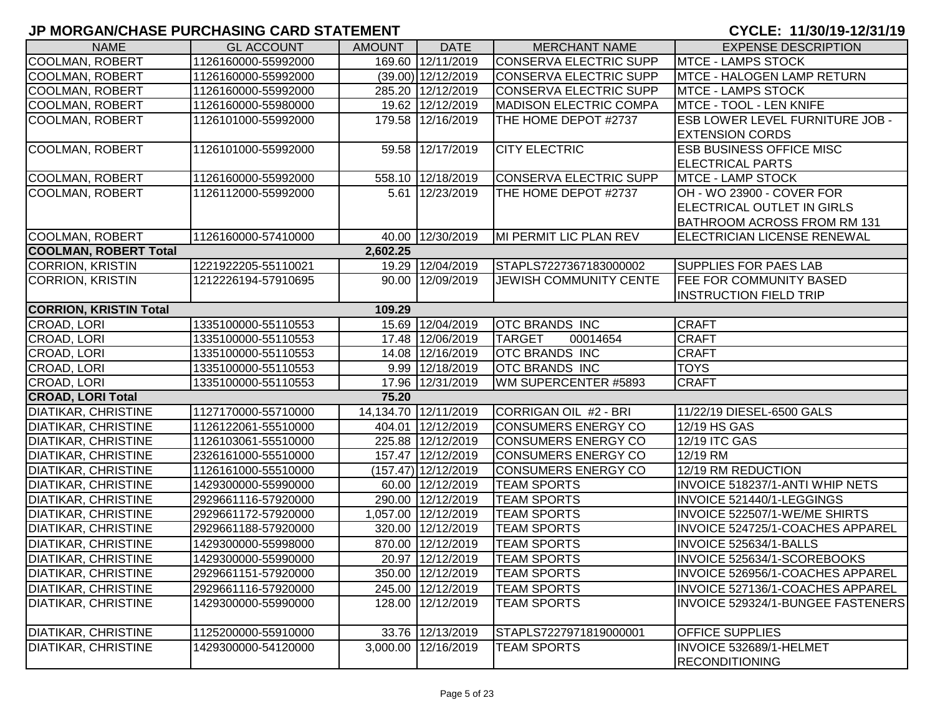| <b>NAME</b>                   | <b>GL ACCOUNT</b>   | <b>AMOUNT</b> | <b>DATE</b>          | <b>MERCHANT NAME</b>          | <b>EXPENSE DESCRIPTION</b>             |
|-------------------------------|---------------------|---------------|----------------------|-------------------------------|----------------------------------------|
| <b>COOLMAN, ROBERT</b>        | 1126160000-55992000 |               | 169.60 12/11/2019    | CONSERVA ELECTRIC SUPP        | <b>MTCE - LAMPS STOCK</b>              |
| <b>COOLMAN, ROBERT</b>        | 1126160000-55992000 |               | $(39.00)$ 12/12/2019 | <b>CONSERVA ELECTRIC SUPP</b> | MTCE - HALOGEN LAMP RETURN             |
| <b>COOLMAN, ROBERT</b>        | 1126160000-55992000 |               | 285.20 12/12/2019    | <b>CONSERVA ELECTRIC SUPP</b> | <b>MTCE - LAMPS STOCK</b>              |
| <b>COOLMAN, ROBERT</b>        | 1126160000-55980000 |               | 19.62 12/12/2019     | <b>MADISON ELECTRIC COMPA</b> | MTCE - TOOL - LEN KNIFE                |
| <b>COOLMAN, ROBERT</b>        | 1126101000-55992000 |               | 179.58 12/16/2019    | THE HOME DEPOT #2737          | <b>ESB LOWER LEVEL FURNITURE JOB -</b> |
|                               |                     |               |                      |                               | <b>EXTENSION CORDS</b>                 |
| <b>COOLMAN, ROBERT</b>        | 1126101000-55992000 |               | 59.58 12/17/2019     | <b>CITY ELECTRIC</b>          | <b>ESB BUSINESS OFFICE MISC</b>        |
|                               |                     |               |                      |                               | <b>ELECTRICAL PARTS</b>                |
| <b>COOLMAN, ROBERT</b>        | 1126160000-55992000 |               | 558.10 12/18/2019    | CONSERVA ELECTRIC SUPP        | <b>MTCE - LAMP STOCK</b>               |
| <b>COOLMAN, ROBERT</b>        | 1126112000-55992000 |               | 5.61 12/23/2019      | THE HOME DEPOT #2737          | OH - WO 23900 - COVER FOR              |
|                               |                     |               |                      |                               | ELECTRICAL OUTLET IN GIRLS             |
|                               |                     |               |                      |                               | <b>BATHROOM ACROSS FROM RM 131</b>     |
| <b>COOLMAN, ROBERT</b>        | 1126160000-57410000 |               | 40.00 12/30/2019     | MI PERMIT LIC PLAN REV        | <b>ELECTRICIAN LICENSE RENEWAL</b>     |
| <b>COOLMAN, ROBERT Total</b>  |                     | 2,602.25      |                      |                               |                                        |
| <b>CORRION, KRISTIN</b>       | 1221922205-55110021 |               | 19.29 12/04/2019     | STAPLS7227367183000002        | <b>SUPPLIES FOR PAES LAB</b>           |
| <b>CORRION, KRISTIN</b>       | 1212226194-57910695 |               | 90.00 12/09/2019     | <b>JEWISH COMMUNITY CENTE</b> | <b>FEE FOR COMMUNITY BASED</b>         |
|                               |                     |               |                      |                               | <b>INSTRUCTION FIELD TRIP</b>          |
| <b>CORRION, KRISTIN Total</b> |                     | 109.29        |                      |                               |                                        |
| CROAD, LORI                   | 1335100000-55110553 |               | 15.69 12/04/2019     | <b>OTC BRANDS INC</b>         | <b>CRAFT</b>                           |
| CROAD, LORI                   | 1335100000-55110553 |               | 17.48 12/06/2019     | <b>TARGET</b><br>00014654     | <b>CRAFT</b>                           |
| CROAD, LORI                   | 1335100000-55110553 |               | 14.08 12/16/2019     | <b>OTC BRANDS INC</b>         | <b>CRAFT</b>                           |
| CROAD, LORI                   | 1335100000-55110553 |               | 9.99 12/18/2019      | <b>OTC BRANDS INC</b>         | <b>TOYS</b>                            |
| CROAD, LORI                   | 1335100000-55110553 |               | 17.96 12/31/2019     | WM SUPERCENTER #5893          | <b>CRAFT</b>                           |
| <b>CROAD, LORI Total</b>      |                     | 75.20         |                      |                               |                                        |
| <b>DIATIKAR, CHRISTINE</b>    | 1127170000-55710000 |               | 14,134.70 12/11/2019 | CORRIGAN OIL #2 - BRI         | 11/22/19 DIESEL-6500 GALS              |
| <b>DIATIKAR, CHRISTINE</b>    | 1126122061-55510000 |               | 404.01 12/12/2019    | <b>CONSUMERS ENERGY CO</b>    | 12/19 HS GAS                           |
| <b>DIATIKAR, CHRISTINE</b>    | 1126103061-55510000 |               | 225.88 12/12/2019    | CONSUMERS ENERGY CO           | 12/19 ITC GAS                          |
| <b>DIATIKAR, CHRISTINE</b>    | 2326161000-55510000 |               | 157.47 12/12/2019    | <b>CONSUMERS ENERGY CO</b>    | 12/19 RM                               |
| <b>DIATIKAR, CHRISTINE</b>    | 1126161000-55510000 |               | (157.47) 12/12/2019  | <b>CONSUMERS ENERGY CO</b>    | 12/19 RM REDUCTION                     |
| <b>DIATIKAR, CHRISTINE</b>    | 1429300000-55990000 |               | 60.00 12/12/2019     | <b>TEAM SPORTS</b>            | INVOICE 518237/1-ANTI WHIP NETS        |
| <b>DIATIKAR, CHRISTINE</b>    | 2929661116-57920000 |               | 290.00 12/12/2019    | <b>TEAM SPORTS</b>            | INVOICE 521440/1-LEGGINGS              |
| <b>DIATIKAR, CHRISTINE</b>    | 2929661172-57920000 |               | 1,057.00 12/12/2019  | <b>TEAM SPORTS</b>            | INVOICE 522507/1-WE/ME SHIRTS          |
| <b>DIATIKAR, CHRISTINE</b>    | 2929661188-57920000 |               | 320.00 12/12/2019    | <b>TEAM SPORTS</b>            | INVOICE 524725/1-COACHES APPAREL       |
| <b>DIATIKAR, CHRISTINE</b>    | 1429300000-55998000 |               | 870.00 12/12/2019    | <b>TEAM SPORTS</b>            | INVOICE 525634/1-BALLS                 |
| <b>DIATIKAR, CHRISTINE</b>    | 1429300000-55990000 |               | 20.97 12/12/2019     | <b>TEAM SPORTS</b>            | INVOICE 525634/1-SCOREBOOKS            |
| <b>DIATIKAR, CHRISTINE</b>    | 2929661151-57920000 |               | 350.00 12/12/2019    | <b>TEAM SPORTS</b>            | INVOICE 526956/1-COACHES APPAREL       |
| <b>DIATIKAR, CHRISTINE</b>    | 2929661116-57920000 |               | 245.00 12/12/2019    | <b>TEAM SPORTS</b>            | INVOICE 527136/1-COACHES APPAREL       |
| <b>DIATIKAR, CHRISTINE</b>    | 1429300000-55990000 |               | 128.00 12/12/2019    | <b>TEAM SPORTS</b>            | INVOICE 529324/1-BUNGEE FASTENERS      |
|                               |                     |               |                      |                               |                                        |
| <b>DIATIKAR, CHRISTINE</b>    | 1125200000-55910000 |               | 33.76 12/13/2019     | STAPLS7227971819000001        | <b>OFFICE SUPPLIES</b>                 |
| <b>DIATIKAR, CHRISTINE</b>    | 1429300000-54120000 |               | 3,000.00 12/16/2019  | <b>TEAM SPORTS</b>            | INVOICE 532689/1-HELMET                |
|                               |                     |               |                      |                               | <b>RECONDITIONING</b>                  |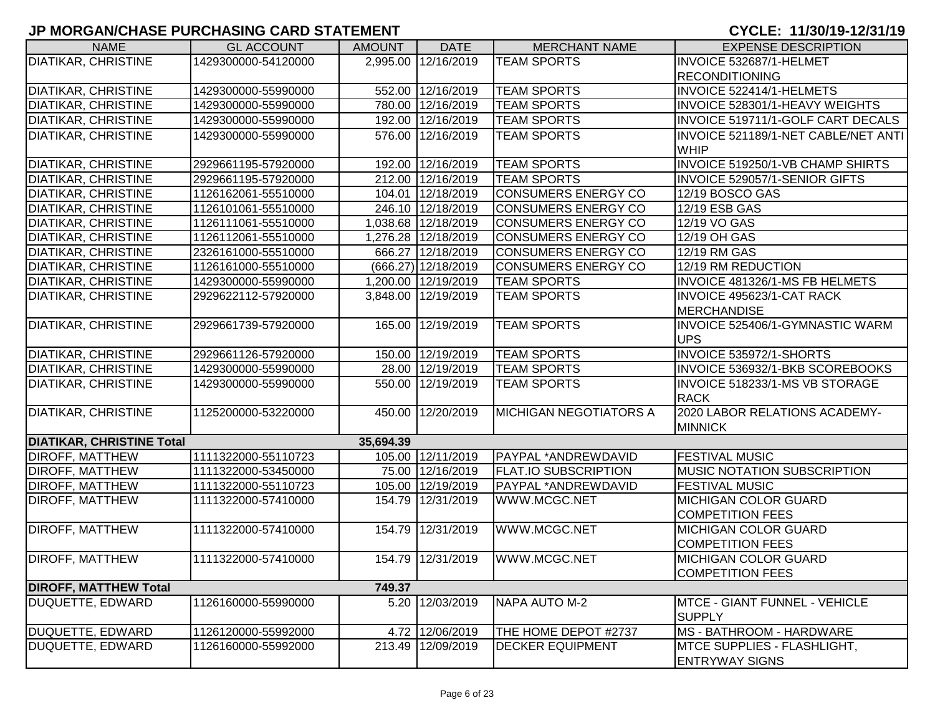| 2,995.00 12/16/2019<br>DIATIKAR, CHRISTINE<br>1429300000-54120000<br><b>TEAM SPORTS</b><br>INVOICE 532687/1-HELMET<br><b>RECONDITIONING</b><br>552.00 12/16/2019<br><b>DIATIKAR, CHRISTINE</b><br><b>TEAM SPORTS</b><br>1429300000-55990000<br>INVOICE 522414/1-HELMETS<br>780.00 12/16/2019<br><b>DIATIKAR, CHRISTINE</b><br><b>TEAM SPORTS</b><br>INVOICE 528301/1-HEAVY WEIGHTS<br>1429300000-55990000<br>192.00 12/16/2019<br>DIATIKAR, CHRISTINE<br><b>TEAM SPORTS</b><br>INVOICE 519711/1-GOLF CART DECALS<br>1429300000-55990000<br>576.00 12/16/2019<br><b>DIATIKAR, CHRISTINE</b><br><b>TEAM SPORTS</b><br>INVOICE 521189/1-NET CABLE/NET ANTI<br>1429300000-55990000<br><b>WHIP</b><br>192.00 12/16/2019<br><b>DIATIKAR, CHRISTINE</b><br><b>TEAM SPORTS</b><br>INVOICE 519250/1-VB CHAMP SHIRTS<br>2929661195-57920000<br>212.00 12/16/2019<br>DIATIKAR, CHRISTINE<br><b>TEAM SPORTS</b><br>INVOICE 529057/1-SENIOR GIFTS<br>2929661195-57920000<br>104.01 12/18/2019<br>DIATIKAR, CHRISTINE<br><b>CONSUMERS ENERGY CO</b><br>12/19 BOSCO GAS<br>1126162061-55510000<br>246.10 12/18/2019<br><b>CONSUMERS ENERGY CO</b><br><b>DIATIKAR, CHRISTINE</b><br>1126101061-55510000<br>12/19 ESB GAS<br>DIATIKAR, CHRISTINE<br>1,038.68 12/18/2019<br><b>CONSUMERS ENERGY CO</b><br>12/19 VO GAS<br>1126111061-55510000<br>DIATIKAR, CHRISTINE<br>1,276.28 12/18/2019<br>1126112061-55510000<br><b>CONSUMERS ENERGY CO</b><br>12/19 OH GAS<br>DIATIKAR, CHRISTINE<br>666.27 12/18/2019<br><b>CONSUMERS ENERGY CO</b><br>2326161000-55510000<br>12/19 RM GAS<br><b>DIATIKAR, CHRISTINE</b><br>(666.27) 12/18/2019<br><b>CONSUMERS ENERGY CO</b><br>12/19 RM REDUCTION<br>1126161000-55510000<br>1,200.00 12/19/2019<br>INVOICE 481326/1-MS FB HELMETS<br><b>DIATIKAR, CHRISTINE</b><br><b>TEAM SPORTS</b><br>1429300000-55990000<br><b>DIATIKAR, CHRISTINE</b><br>3,848.00 12/19/2019<br><b>TEAM SPORTS</b><br>INVOICE 495623/1-CAT RACK<br>2929622112-57920000<br><b>MERCHANDISE</b><br>INVOICE 525406/1-GYMNASTIC WARM<br>DIATIKAR, CHRISTINE<br>165.00 12/19/2019<br><b>TEAM SPORTS</b><br>2929661739-57920000<br><b>UPS</b><br><b>DIATIKAR, CHRISTINE</b><br>150.00 12/19/2019<br><b>TEAM SPORTS</b><br>INVOICE 535972/1-SHORTS<br>2929661126-57920000<br>28.00 12/19/2019<br><b>DIATIKAR, CHRISTINE</b><br><b>TEAM SPORTS</b><br>INVOICE 536932/1-BKB SCOREBOOKS<br>1429300000-55990000<br><b>DIATIKAR, CHRISTINE</b><br>550.00 12/19/2019<br><b>TEAM SPORTS</b><br>INVOICE 518233/1-MS VB STORAGE<br>1429300000-55990000<br><b>RACK</b><br><b>DIATIKAR, CHRISTINE</b><br>450.00 12/20/2019<br><b>MICHIGAN NEGOTIATORS A</b><br>2020 LABOR RELATIONS ACADEMY-<br>1125200000-53220000<br><b>MINNICK</b><br><b>DIATIKAR, CHRISTINE Total</b><br>35,694.39<br>105.00 12/11/2019<br>1111322000-55110723<br>PAYPAL *ANDREWDAVID<br><b>FESTIVAL MUSIC</b><br>DIROFF, MATTHEW<br>75.00 12/16/2019<br>DIROFF, MATTHEW<br><b>FLAT.IO SUBSCRIPTION</b><br><b>MUSIC NOTATION SUBSCRIPTION</b><br>1111322000-53450000<br>105.00 12/19/2019<br><b>DIROFF, MATTHEW</b><br>1111322000-55110723<br>PAYPAL *ANDREWDAVID<br><b>FESTIVAL MUSIC</b><br>154.79 12/31/2019<br>WWW.MCGC.NET<br><b>MICHIGAN COLOR GUARD</b><br><b>DIROFF, MATTHEW</b><br>1111322000-57410000 | <b>NAME</b>                  | <b>GL ACCOUNT</b> | <b>AMOUNT</b> | <b>DATE</b> | <b>MERCHANT NAME</b> | <b>EXPENSE DESCRIPTION</b> |
|--------------------------------------------------------------------------------------------------------------------------------------------------------------------------------------------------------------------------------------------------------------------------------------------------------------------------------------------------------------------------------------------------------------------------------------------------------------------------------------------------------------------------------------------------------------------------------------------------------------------------------------------------------------------------------------------------------------------------------------------------------------------------------------------------------------------------------------------------------------------------------------------------------------------------------------------------------------------------------------------------------------------------------------------------------------------------------------------------------------------------------------------------------------------------------------------------------------------------------------------------------------------------------------------------------------------------------------------------------------------------------------------------------------------------------------------------------------------------------------------------------------------------------------------------------------------------------------------------------------------------------------------------------------------------------------------------------------------------------------------------------------------------------------------------------------------------------------------------------------------------------------------------------------------------------------------------------------------------------------------------------------------------------------------------------------------------------------------------------------------------------------------------------------------------------------------------------------------------------------------------------------------------------------------------------------------------------------------------------------------------------------------------------------------------------------------------------------------------------------------------------------------------------------------------------------------------------------------------------------------------------------------------------------------------------------------------------------------------------------------------------------------------------------------------------------------------------------------------------------------------------------------------------------------------------------------------------------------------------------------------------------------------------------------------------------------------------------------------------------------------------------------------------------------------------------------------------------------------------------------------------------|------------------------------|-------------------|---------------|-------------|----------------------|----------------------------|
|                                                                                                                                                                                                                                                                                                                                                                                                                                                                                                                                                                                                                                                                                                                                                                                                                                                                                                                                                                                                                                                                                                                                                                                                                                                                                                                                                                                                                                                                                                                                                                                                                                                                                                                                                                                                                                                                                                                                                                                                                                                                                                                                                                                                                                                                                                                                                                                                                                                                                                                                                                                                                                                                                                                                                                                                                                                                                                                                                                                                                                                                                                                                                                                                                                                              |                              |                   |               |             |                      |                            |
|                                                                                                                                                                                                                                                                                                                                                                                                                                                                                                                                                                                                                                                                                                                                                                                                                                                                                                                                                                                                                                                                                                                                                                                                                                                                                                                                                                                                                                                                                                                                                                                                                                                                                                                                                                                                                                                                                                                                                                                                                                                                                                                                                                                                                                                                                                                                                                                                                                                                                                                                                                                                                                                                                                                                                                                                                                                                                                                                                                                                                                                                                                                                                                                                                                                              |                              |                   |               |             |                      |                            |
|                                                                                                                                                                                                                                                                                                                                                                                                                                                                                                                                                                                                                                                                                                                                                                                                                                                                                                                                                                                                                                                                                                                                                                                                                                                                                                                                                                                                                                                                                                                                                                                                                                                                                                                                                                                                                                                                                                                                                                                                                                                                                                                                                                                                                                                                                                                                                                                                                                                                                                                                                                                                                                                                                                                                                                                                                                                                                                                                                                                                                                                                                                                                                                                                                                                              |                              |                   |               |             |                      |                            |
|                                                                                                                                                                                                                                                                                                                                                                                                                                                                                                                                                                                                                                                                                                                                                                                                                                                                                                                                                                                                                                                                                                                                                                                                                                                                                                                                                                                                                                                                                                                                                                                                                                                                                                                                                                                                                                                                                                                                                                                                                                                                                                                                                                                                                                                                                                                                                                                                                                                                                                                                                                                                                                                                                                                                                                                                                                                                                                                                                                                                                                                                                                                                                                                                                                                              |                              |                   |               |             |                      |                            |
|                                                                                                                                                                                                                                                                                                                                                                                                                                                                                                                                                                                                                                                                                                                                                                                                                                                                                                                                                                                                                                                                                                                                                                                                                                                                                                                                                                                                                                                                                                                                                                                                                                                                                                                                                                                                                                                                                                                                                                                                                                                                                                                                                                                                                                                                                                                                                                                                                                                                                                                                                                                                                                                                                                                                                                                                                                                                                                                                                                                                                                                                                                                                                                                                                                                              |                              |                   |               |             |                      |                            |
|                                                                                                                                                                                                                                                                                                                                                                                                                                                                                                                                                                                                                                                                                                                                                                                                                                                                                                                                                                                                                                                                                                                                                                                                                                                                                                                                                                                                                                                                                                                                                                                                                                                                                                                                                                                                                                                                                                                                                                                                                                                                                                                                                                                                                                                                                                                                                                                                                                                                                                                                                                                                                                                                                                                                                                                                                                                                                                                                                                                                                                                                                                                                                                                                                                                              |                              |                   |               |             |                      |                            |
|                                                                                                                                                                                                                                                                                                                                                                                                                                                                                                                                                                                                                                                                                                                                                                                                                                                                                                                                                                                                                                                                                                                                                                                                                                                                                                                                                                                                                                                                                                                                                                                                                                                                                                                                                                                                                                                                                                                                                                                                                                                                                                                                                                                                                                                                                                                                                                                                                                                                                                                                                                                                                                                                                                                                                                                                                                                                                                                                                                                                                                                                                                                                                                                                                                                              |                              |                   |               |             |                      |                            |
|                                                                                                                                                                                                                                                                                                                                                                                                                                                                                                                                                                                                                                                                                                                                                                                                                                                                                                                                                                                                                                                                                                                                                                                                                                                                                                                                                                                                                                                                                                                                                                                                                                                                                                                                                                                                                                                                                                                                                                                                                                                                                                                                                                                                                                                                                                                                                                                                                                                                                                                                                                                                                                                                                                                                                                                                                                                                                                                                                                                                                                                                                                                                                                                                                                                              |                              |                   |               |             |                      |                            |
|                                                                                                                                                                                                                                                                                                                                                                                                                                                                                                                                                                                                                                                                                                                                                                                                                                                                                                                                                                                                                                                                                                                                                                                                                                                                                                                                                                                                                                                                                                                                                                                                                                                                                                                                                                                                                                                                                                                                                                                                                                                                                                                                                                                                                                                                                                                                                                                                                                                                                                                                                                                                                                                                                                                                                                                                                                                                                                                                                                                                                                                                                                                                                                                                                                                              |                              |                   |               |             |                      |                            |
|                                                                                                                                                                                                                                                                                                                                                                                                                                                                                                                                                                                                                                                                                                                                                                                                                                                                                                                                                                                                                                                                                                                                                                                                                                                                                                                                                                                                                                                                                                                                                                                                                                                                                                                                                                                                                                                                                                                                                                                                                                                                                                                                                                                                                                                                                                                                                                                                                                                                                                                                                                                                                                                                                                                                                                                                                                                                                                                                                                                                                                                                                                                                                                                                                                                              |                              |                   |               |             |                      |                            |
|                                                                                                                                                                                                                                                                                                                                                                                                                                                                                                                                                                                                                                                                                                                                                                                                                                                                                                                                                                                                                                                                                                                                                                                                                                                                                                                                                                                                                                                                                                                                                                                                                                                                                                                                                                                                                                                                                                                                                                                                                                                                                                                                                                                                                                                                                                                                                                                                                                                                                                                                                                                                                                                                                                                                                                                                                                                                                                                                                                                                                                                                                                                                                                                                                                                              |                              |                   |               |             |                      |                            |
|                                                                                                                                                                                                                                                                                                                                                                                                                                                                                                                                                                                                                                                                                                                                                                                                                                                                                                                                                                                                                                                                                                                                                                                                                                                                                                                                                                                                                                                                                                                                                                                                                                                                                                                                                                                                                                                                                                                                                                                                                                                                                                                                                                                                                                                                                                                                                                                                                                                                                                                                                                                                                                                                                                                                                                                                                                                                                                                                                                                                                                                                                                                                                                                                                                                              |                              |                   |               |             |                      |                            |
|                                                                                                                                                                                                                                                                                                                                                                                                                                                                                                                                                                                                                                                                                                                                                                                                                                                                                                                                                                                                                                                                                                                                                                                                                                                                                                                                                                                                                                                                                                                                                                                                                                                                                                                                                                                                                                                                                                                                                                                                                                                                                                                                                                                                                                                                                                                                                                                                                                                                                                                                                                                                                                                                                                                                                                                                                                                                                                                                                                                                                                                                                                                                                                                                                                                              |                              |                   |               |             |                      |                            |
|                                                                                                                                                                                                                                                                                                                                                                                                                                                                                                                                                                                                                                                                                                                                                                                                                                                                                                                                                                                                                                                                                                                                                                                                                                                                                                                                                                                                                                                                                                                                                                                                                                                                                                                                                                                                                                                                                                                                                                                                                                                                                                                                                                                                                                                                                                                                                                                                                                                                                                                                                                                                                                                                                                                                                                                                                                                                                                                                                                                                                                                                                                                                                                                                                                                              |                              |                   |               |             |                      |                            |
|                                                                                                                                                                                                                                                                                                                                                                                                                                                                                                                                                                                                                                                                                                                                                                                                                                                                                                                                                                                                                                                                                                                                                                                                                                                                                                                                                                                                                                                                                                                                                                                                                                                                                                                                                                                                                                                                                                                                                                                                                                                                                                                                                                                                                                                                                                                                                                                                                                                                                                                                                                                                                                                                                                                                                                                                                                                                                                                                                                                                                                                                                                                                                                                                                                                              |                              |                   |               |             |                      |                            |
|                                                                                                                                                                                                                                                                                                                                                                                                                                                                                                                                                                                                                                                                                                                                                                                                                                                                                                                                                                                                                                                                                                                                                                                                                                                                                                                                                                                                                                                                                                                                                                                                                                                                                                                                                                                                                                                                                                                                                                                                                                                                                                                                                                                                                                                                                                                                                                                                                                                                                                                                                                                                                                                                                                                                                                                                                                                                                                                                                                                                                                                                                                                                                                                                                                                              |                              |                   |               |             |                      |                            |
|                                                                                                                                                                                                                                                                                                                                                                                                                                                                                                                                                                                                                                                                                                                                                                                                                                                                                                                                                                                                                                                                                                                                                                                                                                                                                                                                                                                                                                                                                                                                                                                                                                                                                                                                                                                                                                                                                                                                                                                                                                                                                                                                                                                                                                                                                                                                                                                                                                                                                                                                                                                                                                                                                                                                                                                                                                                                                                                                                                                                                                                                                                                                                                                                                                                              |                              |                   |               |             |                      |                            |
|                                                                                                                                                                                                                                                                                                                                                                                                                                                                                                                                                                                                                                                                                                                                                                                                                                                                                                                                                                                                                                                                                                                                                                                                                                                                                                                                                                                                                                                                                                                                                                                                                                                                                                                                                                                                                                                                                                                                                                                                                                                                                                                                                                                                                                                                                                                                                                                                                                                                                                                                                                                                                                                                                                                                                                                                                                                                                                                                                                                                                                                                                                                                                                                                                                                              |                              |                   |               |             |                      |                            |
|                                                                                                                                                                                                                                                                                                                                                                                                                                                                                                                                                                                                                                                                                                                                                                                                                                                                                                                                                                                                                                                                                                                                                                                                                                                                                                                                                                                                                                                                                                                                                                                                                                                                                                                                                                                                                                                                                                                                                                                                                                                                                                                                                                                                                                                                                                                                                                                                                                                                                                                                                                                                                                                                                                                                                                                                                                                                                                                                                                                                                                                                                                                                                                                                                                                              |                              |                   |               |             |                      |                            |
|                                                                                                                                                                                                                                                                                                                                                                                                                                                                                                                                                                                                                                                                                                                                                                                                                                                                                                                                                                                                                                                                                                                                                                                                                                                                                                                                                                                                                                                                                                                                                                                                                                                                                                                                                                                                                                                                                                                                                                                                                                                                                                                                                                                                                                                                                                                                                                                                                                                                                                                                                                                                                                                                                                                                                                                                                                                                                                                                                                                                                                                                                                                                                                                                                                                              |                              |                   |               |             |                      |                            |
|                                                                                                                                                                                                                                                                                                                                                                                                                                                                                                                                                                                                                                                                                                                                                                                                                                                                                                                                                                                                                                                                                                                                                                                                                                                                                                                                                                                                                                                                                                                                                                                                                                                                                                                                                                                                                                                                                                                                                                                                                                                                                                                                                                                                                                                                                                                                                                                                                                                                                                                                                                                                                                                                                                                                                                                                                                                                                                                                                                                                                                                                                                                                                                                                                                                              |                              |                   |               |             |                      |                            |
|                                                                                                                                                                                                                                                                                                                                                                                                                                                                                                                                                                                                                                                                                                                                                                                                                                                                                                                                                                                                                                                                                                                                                                                                                                                                                                                                                                                                                                                                                                                                                                                                                                                                                                                                                                                                                                                                                                                                                                                                                                                                                                                                                                                                                                                                                                                                                                                                                                                                                                                                                                                                                                                                                                                                                                                                                                                                                                                                                                                                                                                                                                                                                                                                                                                              |                              |                   |               |             |                      |                            |
|                                                                                                                                                                                                                                                                                                                                                                                                                                                                                                                                                                                                                                                                                                                                                                                                                                                                                                                                                                                                                                                                                                                                                                                                                                                                                                                                                                                                                                                                                                                                                                                                                                                                                                                                                                                                                                                                                                                                                                                                                                                                                                                                                                                                                                                                                                                                                                                                                                                                                                                                                                                                                                                                                                                                                                                                                                                                                                                                                                                                                                                                                                                                                                                                                                                              |                              |                   |               |             |                      |                            |
|                                                                                                                                                                                                                                                                                                                                                                                                                                                                                                                                                                                                                                                                                                                                                                                                                                                                                                                                                                                                                                                                                                                                                                                                                                                                                                                                                                                                                                                                                                                                                                                                                                                                                                                                                                                                                                                                                                                                                                                                                                                                                                                                                                                                                                                                                                                                                                                                                                                                                                                                                                                                                                                                                                                                                                                                                                                                                                                                                                                                                                                                                                                                                                                                                                                              |                              |                   |               |             |                      |                            |
|                                                                                                                                                                                                                                                                                                                                                                                                                                                                                                                                                                                                                                                                                                                                                                                                                                                                                                                                                                                                                                                                                                                                                                                                                                                                                                                                                                                                                                                                                                                                                                                                                                                                                                                                                                                                                                                                                                                                                                                                                                                                                                                                                                                                                                                                                                                                                                                                                                                                                                                                                                                                                                                                                                                                                                                                                                                                                                                                                                                                                                                                                                                                                                                                                                                              |                              |                   |               |             |                      |                            |
|                                                                                                                                                                                                                                                                                                                                                                                                                                                                                                                                                                                                                                                                                                                                                                                                                                                                                                                                                                                                                                                                                                                                                                                                                                                                                                                                                                                                                                                                                                                                                                                                                                                                                                                                                                                                                                                                                                                                                                                                                                                                                                                                                                                                                                                                                                                                                                                                                                                                                                                                                                                                                                                                                                                                                                                                                                                                                                                                                                                                                                                                                                                                                                                                                                                              |                              |                   |               |             |                      |                            |
|                                                                                                                                                                                                                                                                                                                                                                                                                                                                                                                                                                                                                                                                                                                                                                                                                                                                                                                                                                                                                                                                                                                                                                                                                                                                                                                                                                                                                                                                                                                                                                                                                                                                                                                                                                                                                                                                                                                                                                                                                                                                                                                                                                                                                                                                                                                                                                                                                                                                                                                                                                                                                                                                                                                                                                                                                                                                                                                                                                                                                                                                                                                                                                                                                                                              |                              |                   |               |             |                      |                            |
|                                                                                                                                                                                                                                                                                                                                                                                                                                                                                                                                                                                                                                                                                                                                                                                                                                                                                                                                                                                                                                                                                                                                                                                                                                                                                                                                                                                                                                                                                                                                                                                                                                                                                                                                                                                                                                                                                                                                                                                                                                                                                                                                                                                                                                                                                                                                                                                                                                                                                                                                                                                                                                                                                                                                                                                                                                                                                                                                                                                                                                                                                                                                                                                                                                                              |                              |                   |               |             |                      |                            |
|                                                                                                                                                                                                                                                                                                                                                                                                                                                                                                                                                                                                                                                                                                                                                                                                                                                                                                                                                                                                                                                                                                                                                                                                                                                                                                                                                                                                                                                                                                                                                                                                                                                                                                                                                                                                                                                                                                                                                                                                                                                                                                                                                                                                                                                                                                                                                                                                                                                                                                                                                                                                                                                                                                                                                                                                                                                                                                                                                                                                                                                                                                                                                                                                                                                              |                              |                   |               |             |                      |                            |
|                                                                                                                                                                                                                                                                                                                                                                                                                                                                                                                                                                                                                                                                                                                                                                                                                                                                                                                                                                                                                                                                                                                                                                                                                                                                                                                                                                                                                                                                                                                                                                                                                                                                                                                                                                                                                                                                                                                                                                                                                                                                                                                                                                                                                                                                                                                                                                                                                                                                                                                                                                                                                                                                                                                                                                                                                                                                                                                                                                                                                                                                                                                                                                                                                                                              |                              |                   |               |             |                      |                            |
|                                                                                                                                                                                                                                                                                                                                                                                                                                                                                                                                                                                                                                                                                                                                                                                                                                                                                                                                                                                                                                                                                                                                                                                                                                                                                                                                                                                                                                                                                                                                                                                                                                                                                                                                                                                                                                                                                                                                                                                                                                                                                                                                                                                                                                                                                                                                                                                                                                                                                                                                                                                                                                                                                                                                                                                                                                                                                                                                                                                                                                                                                                                                                                                                                                                              |                              |                   |               |             |                      |                            |
| <b>COMPETITION FEES</b>                                                                                                                                                                                                                                                                                                                                                                                                                                                                                                                                                                                                                                                                                                                                                                                                                                                                                                                                                                                                                                                                                                                                                                                                                                                                                                                                                                                                                                                                                                                                                                                                                                                                                                                                                                                                                                                                                                                                                                                                                                                                                                                                                                                                                                                                                                                                                                                                                                                                                                                                                                                                                                                                                                                                                                                                                                                                                                                                                                                                                                                                                                                                                                                                                                      |                              |                   |               |             |                      |                            |
| <b>DIROFF, MATTHEW</b><br>154.79 12/31/2019<br>WWW.MCGC.NET<br>1111322000-57410000<br><b>MICHIGAN COLOR GUARD</b>                                                                                                                                                                                                                                                                                                                                                                                                                                                                                                                                                                                                                                                                                                                                                                                                                                                                                                                                                                                                                                                                                                                                                                                                                                                                                                                                                                                                                                                                                                                                                                                                                                                                                                                                                                                                                                                                                                                                                                                                                                                                                                                                                                                                                                                                                                                                                                                                                                                                                                                                                                                                                                                                                                                                                                                                                                                                                                                                                                                                                                                                                                                                            |                              |                   |               |             |                      |                            |
| <b>COMPETITION FEES</b>                                                                                                                                                                                                                                                                                                                                                                                                                                                                                                                                                                                                                                                                                                                                                                                                                                                                                                                                                                                                                                                                                                                                                                                                                                                                                                                                                                                                                                                                                                                                                                                                                                                                                                                                                                                                                                                                                                                                                                                                                                                                                                                                                                                                                                                                                                                                                                                                                                                                                                                                                                                                                                                                                                                                                                                                                                                                                                                                                                                                                                                                                                                                                                                                                                      |                              |                   |               |             |                      |                            |
| 154.79 12/31/2019<br><b>DIROFF, MATTHEW</b><br>WWW.MCGC.NET<br>1111322000-57410000<br><b>MICHIGAN COLOR GUARD</b>                                                                                                                                                                                                                                                                                                                                                                                                                                                                                                                                                                                                                                                                                                                                                                                                                                                                                                                                                                                                                                                                                                                                                                                                                                                                                                                                                                                                                                                                                                                                                                                                                                                                                                                                                                                                                                                                                                                                                                                                                                                                                                                                                                                                                                                                                                                                                                                                                                                                                                                                                                                                                                                                                                                                                                                                                                                                                                                                                                                                                                                                                                                                            |                              |                   |               |             |                      |                            |
| COMPETITION FEES                                                                                                                                                                                                                                                                                                                                                                                                                                                                                                                                                                                                                                                                                                                                                                                                                                                                                                                                                                                                                                                                                                                                                                                                                                                                                                                                                                                                                                                                                                                                                                                                                                                                                                                                                                                                                                                                                                                                                                                                                                                                                                                                                                                                                                                                                                                                                                                                                                                                                                                                                                                                                                                                                                                                                                                                                                                                                                                                                                                                                                                                                                                                                                                                                                             |                              |                   |               |             |                      |                            |
| 749.37                                                                                                                                                                                                                                                                                                                                                                                                                                                                                                                                                                                                                                                                                                                                                                                                                                                                                                                                                                                                                                                                                                                                                                                                                                                                                                                                                                                                                                                                                                                                                                                                                                                                                                                                                                                                                                                                                                                                                                                                                                                                                                                                                                                                                                                                                                                                                                                                                                                                                                                                                                                                                                                                                                                                                                                                                                                                                                                                                                                                                                                                                                                                                                                                                                                       | <b>DIROFF, MATTHEW Total</b> |                   |               |             |                      |                            |
| DUQUETTE, EDWARD<br>5.20 12/03/2019<br>NAPA AUTO M-2<br><b>MTCE - GIANT FUNNEL - VEHICLE</b><br>1126160000-55990000                                                                                                                                                                                                                                                                                                                                                                                                                                                                                                                                                                                                                                                                                                                                                                                                                                                                                                                                                                                                                                                                                                                                                                                                                                                                                                                                                                                                                                                                                                                                                                                                                                                                                                                                                                                                                                                                                                                                                                                                                                                                                                                                                                                                                                                                                                                                                                                                                                                                                                                                                                                                                                                                                                                                                                                                                                                                                                                                                                                                                                                                                                                                          |                              |                   |               |             |                      |                            |
| <b>SUPPLY</b><br><b>MS - BATHROOM - HARDWARE</b>                                                                                                                                                                                                                                                                                                                                                                                                                                                                                                                                                                                                                                                                                                                                                                                                                                                                                                                                                                                                                                                                                                                                                                                                                                                                                                                                                                                                                                                                                                                                                                                                                                                                                                                                                                                                                                                                                                                                                                                                                                                                                                                                                                                                                                                                                                                                                                                                                                                                                                                                                                                                                                                                                                                                                                                                                                                                                                                                                                                                                                                                                                                                                                                                             |                              |                   |               |             |                      |                            |
| DUQUETTE, EDWARD<br>4.72 12/06/2019<br>1126120000-55992000<br>THE HOME DEPOT #2737<br><b>DUQUETTE, EDWARD</b>                                                                                                                                                                                                                                                                                                                                                                                                                                                                                                                                                                                                                                                                                                                                                                                                                                                                                                                                                                                                                                                                                                                                                                                                                                                                                                                                                                                                                                                                                                                                                                                                                                                                                                                                                                                                                                                                                                                                                                                                                                                                                                                                                                                                                                                                                                                                                                                                                                                                                                                                                                                                                                                                                                                                                                                                                                                                                                                                                                                                                                                                                                                                                |                              |                   |               |             |                      |                            |
| 213.49 12/09/2019<br>1126160000-55992000<br><b>DECKER EQUIPMENT</b><br><b>MTCE SUPPLIES - FLASHLIGHT,</b><br><b>ENTRYWAY SIGNS</b>                                                                                                                                                                                                                                                                                                                                                                                                                                                                                                                                                                                                                                                                                                                                                                                                                                                                                                                                                                                                                                                                                                                                                                                                                                                                                                                                                                                                                                                                                                                                                                                                                                                                                                                                                                                                                                                                                                                                                                                                                                                                                                                                                                                                                                                                                                                                                                                                                                                                                                                                                                                                                                                                                                                                                                                                                                                                                                                                                                                                                                                                                                                           |                              |                   |               |             |                      |                            |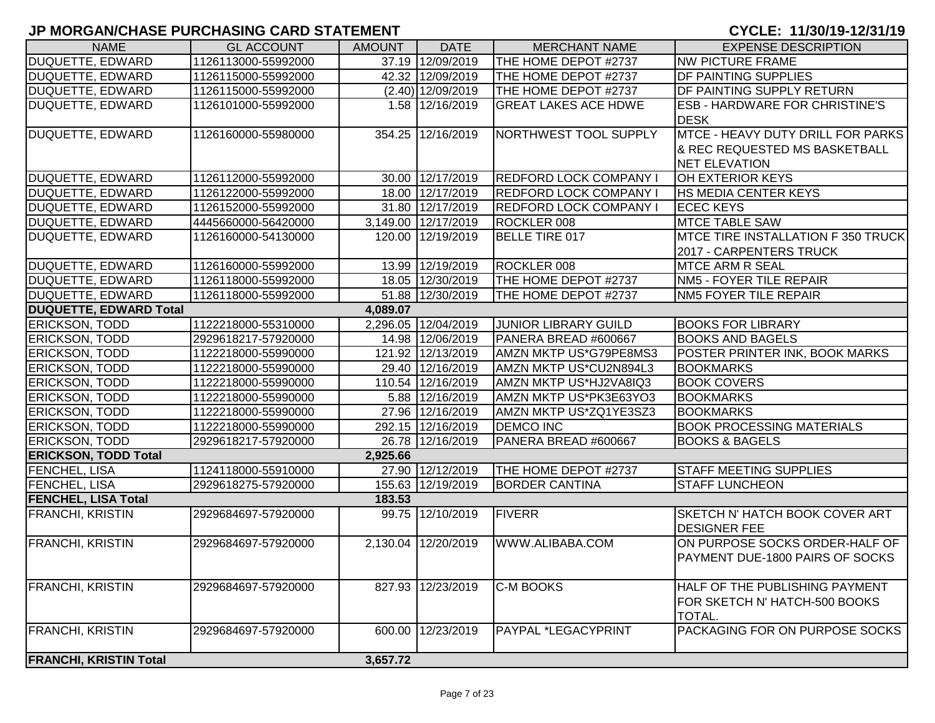| <b>NAME</b>                                        | <b>GL ACCOUNT</b>                          | <b>AMOUNT</b> | <b>DATE</b>         | <b>MERCHANT NAME</b>                          | <b>EXPENSE DESCRIPTION</b>                             |
|----------------------------------------------------|--------------------------------------------|---------------|---------------------|-----------------------------------------------|--------------------------------------------------------|
| DUQUETTE, EDWARD                                   | 1126113000-55992000                        |               | 37.19 12/09/2019    | THE HOME DEPOT #2737                          | <b>NW PICTURE FRAME</b>                                |
| DUQUETTE, EDWARD                                   | 1126115000-55992000                        |               | 42.32 12/09/2019    | THE HOME DEPOT #2737                          | <b>DF PAINTING SUPPLIES</b>                            |
| DUQUETTE, EDWARD                                   | 1126115000-55992000                        |               | $(2.40)$ 12/09/2019 | THE HOME DEPOT #2737                          | DF PAINTING SUPPLY RETURN                              |
| DUQUETTE, EDWARD                                   | 1126101000-55992000                        |               | 1.58 12/16/2019     | <b>GREAT LAKES ACE HDWE</b>                   | <b>ESB - HARDWARE FOR CHRISTINE'S</b>                  |
|                                                    |                                            |               |                     |                                               | <b>DESK</b>                                            |
| DUQUETTE, EDWARD                                   | 1126160000-55980000                        |               | 354.25 12/16/2019   | NORTHWEST TOOL SUPPLY                         | MTCE - HEAVY DUTY DRILL FOR PARKS                      |
|                                                    |                                            |               |                     |                                               | & REC REQUESTED MS BASKETBALL                          |
|                                                    |                                            |               |                     |                                               | <b>NET ELEVATION</b>                                   |
| DUQUETTE, EDWARD                                   | 1126112000-55992000                        |               | 30.00 12/17/2019    | <b>REDFORD LOCK COMPANY I</b>                 | OH EXTERIOR KEYS                                       |
| <b>DUQUETTE, EDWARD</b>                            | 1126122000-55992000                        |               | 18.00 12/17/2019    | <b>REDFORD LOCK COMPANY I</b>                 | <b>HS MEDIA CENTER KEYS</b>                            |
| <b>DUQUETTE, EDWARD</b>                            | 1126152000-55992000                        |               | 31.80 12/17/2019    | <b>REDFORD LOCK COMPANY I</b>                 | <b>ECEC KEYS</b>                                       |
| DUQUETTE, EDWARD                                   | 4445660000-56420000                        |               | 3,149.00 12/17/2019 | ROCKLER 008                                   | <b>MTCE TABLE SAW</b>                                  |
| DUQUETTE, EDWARD                                   | 1126160000-54130000                        |               | 120.00 12/19/2019   | BELLE TIRE 017                                | MTCE TIRE INSTALLATION F 350 TRUCK                     |
|                                                    |                                            |               |                     |                                               | 2017 - CARPENTERS TRUCK                                |
| DUQUETTE, EDWARD                                   | 1126160000-55992000                        |               | 13.99 12/19/2019    | ROCKLER 008                                   | <b>MTCE ARM R SEAL</b>                                 |
| <b>DUQUETTE, EDWARD</b>                            | 1126118000-55992000                        |               | 18.05 12/30/2019    | THE HOME DEPOT #2737                          | NM5 - FOYER TILE REPAIR                                |
| <b>DUQUETTE, EDWARD</b>                            | 1126118000-55992000                        |               | 51.88 12/30/2019    | THE HOME DEPOT #2737                          | NM5 FOYER TILE REPAIR                                  |
| <b>DUQUETTE, EDWARD Total</b>                      |                                            | 4,089.07      |                     |                                               |                                                        |
| <b>ERICKSON, TODD</b>                              | 1122218000-55310000                        |               | 2,296.05 12/04/2019 | <b>JUNIOR LIBRARY GUILD</b>                   | <b>BOOKS FOR LIBRARY</b>                               |
| <b>ERICKSON, TODD</b>                              | 2929618217-57920000                        |               | 14.98 12/06/2019    | PANERA BREAD #600667                          | <b>BOOKS AND BAGELS</b>                                |
| <b>ERICKSON, TODD</b>                              | 1122218000-55990000                        |               | 121.92 12/13/2019   | AMZN MKTP US*G79PE8MS3                        | POSTER PRINTER INK, BOOK MARKS                         |
| <b>ERICKSON, TODD</b>                              | 1122218000-55990000                        |               | 29.40 12/16/2019    | AMZN MKTP US*CU2N894L3                        | <b>BOOKMARKS</b>                                       |
| <b>ERICKSON, TODD</b>                              | 1122218000-55990000                        |               | 110.54 12/16/2019   | AMZN MKTP US*HJ2VA8IQ3                        | <b>BOOK COVERS</b>                                     |
| <b>ERICKSON, TODD</b>                              | 1122218000-55990000                        |               | 5.88 12/16/2019     | AMZN MKTP US*PK3E63YO3                        | <b>BOOKMARKS</b>                                       |
| <b>ERICKSON, TODD</b>                              | 1122218000-55990000                        |               | 27.96 12/16/2019    | AMZN MKTP US*ZQ1YE3SZ3                        | <b>BOOKMARKS</b>                                       |
| <b>ERICKSON, TODD</b>                              | 1122218000-55990000                        |               | 292.15 12/16/2019   | <b>DEMCO INC</b>                              | <b>BOOK PROCESSING MATERIALS</b>                       |
| <b>ERICKSON, TODD</b>                              | 2929618217-57920000                        |               | 26.78 12/16/2019    | PANERA BREAD #600667                          | <b>BOOKS &amp; BAGELS</b>                              |
| <b>ERICKSON, TODD Total</b>                        |                                            | 2,925.66      | 27.90 12/12/2019    |                                               |                                                        |
| <b>FENCHEL, LISA</b>                               | 1124118000-55910000<br>2929618275-57920000 |               | 155.63 12/19/2019   | THE HOME DEPOT #2737<br><b>BORDER CANTINA</b> | <b>STAFF MEETING SUPPLIES</b><br><b>STAFF LUNCHEON</b> |
| <b>FENCHEL, LISA</b><br><b>FENCHEL, LISA Total</b> |                                            | 183.53        |                     |                                               |                                                        |
| <b>FRANCHI, KRISTIN</b>                            | 2929684697-57920000                        |               | 99.75 12/10/2019    | <b>FIVERR</b>                                 | SKETCH N' HATCH BOOK COVER ART                         |
|                                                    |                                            |               |                     |                                               | <b>DESIGNER FEE</b>                                    |
| <b>FRANCHI, KRISTIN</b>                            | 2929684697-57920000                        |               | 2,130.04 12/20/2019 | WWW.ALIBABA.COM                               | ON PURPOSE SOCKS ORDER-HALF OF                         |
|                                                    |                                            |               |                     |                                               | PAYMENT DUE-1800 PAIRS OF SOCKS                        |
|                                                    |                                            |               |                     |                                               |                                                        |
| <b>FRANCHI, KRISTIN</b>                            | 2929684697-57920000                        |               | 827.93 12/23/2019   | <b>C-M BOOKS</b>                              | HALF OF THE PUBLISHING PAYMENT                         |
|                                                    |                                            |               |                     |                                               | FOR SKETCH N' HATCH-500 BOOKS                          |
|                                                    |                                            |               |                     |                                               | TOTAL.                                                 |
| <b>FRANCHI, KRISTIN</b>                            | 2929684697-57920000                        | 600.00        | 12/23/2019          | PAYPAL *LEGACYPRINT                           | PACKAGING FOR ON PURPOSE SOCKS                         |
|                                                    |                                            |               |                     |                                               |                                                        |
| <b>FRANCHI, KRISTIN Total</b>                      |                                            | 3,657.72      |                     |                                               |                                                        |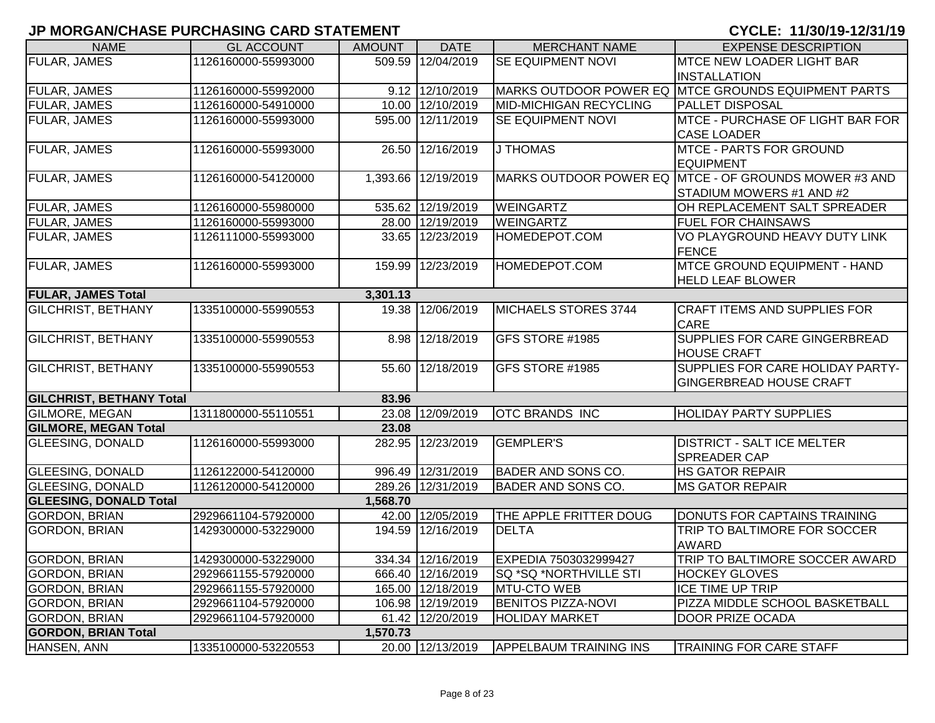| <b>NAME</b>                     | <b>GL ACCOUNT</b>   | <b>AMOUNT</b> | <b>DATE</b>         | <b>MERCHANT NAME</b>          | <b>EXPENSE DESCRIPTION</b>                            |
|---------------------------------|---------------------|---------------|---------------------|-------------------------------|-------------------------------------------------------|
| <b>FULAR, JAMES</b>             | 1126160000-55993000 |               | 509.59 12/04/2019   | <b>SE EQUIPMENT NOVI</b>      | <b>MTCE NEW LOADER LIGHT BAR</b>                      |
|                                 |                     |               |                     |                               | <b>INSTALLATION</b>                                   |
| <b>FULAR, JAMES</b>             | 1126160000-55992000 |               | 9.12 12/10/2019     |                               | MARKS OUTDOOR POWER EQ MTCE GROUNDS EQUIPMENT PARTS   |
| <b>FULAR, JAMES</b>             | 1126160000-54910000 |               | 10.00 12/10/2019    | <b>MID-MICHIGAN RECYCLING</b> | <b>PALLET DISPOSAL</b>                                |
| <b>FULAR, JAMES</b>             | 1126160000-55993000 |               | 595.00 12/11/2019   | SE EQUIPMENT NOVI             | MTCE - PURCHASE OF LIGHT BAR FOR                      |
|                                 |                     |               |                     |                               | <b>CASE LOADER</b>                                    |
| <b>FULAR, JAMES</b>             | 1126160000-55993000 | 26.50         | 12/16/2019          | J THOMAS                      | <b>MTCE - PARTS FOR GROUND</b>                        |
|                                 |                     |               |                     |                               | <b>EQUIPMENT</b>                                      |
| <b>FULAR, JAMES</b>             | 1126160000-54120000 |               | 1,393.66 12/19/2019 |                               | MARKS OUTDOOR POWER EQ MTCE - OF GROUNDS MOWER #3 AND |
|                                 |                     |               |                     |                               | STADIUM MOWERS #1 AND #2                              |
| <b>FULAR, JAMES</b>             | 1126160000-55980000 |               | 535.62 12/19/2019   | <b>WEINGARTZ</b>              | OH REPLACEMENT SALT SPREADER                          |
| <b>FULAR, JAMES</b>             | 1126160000-55993000 |               | 28.00 12/19/2019    | WEINGARTZ                     | <b>FUEL FOR CHAINSAWS</b>                             |
| FULAR, JAMES                    | 1126111000-55993000 |               | 33.65 12/23/2019    | HOMEDEPOT.COM                 | VO PLAYGROUND HEAVY DUTY LINK                         |
|                                 |                     |               |                     |                               | <b>FENCE</b>                                          |
| <b>FULAR, JAMES</b>             | 1126160000-55993000 |               | 159.99 12/23/2019   | HOMEDEPOT.COM                 | <b>MTCE GROUND EQUIPMENT - HAND</b>                   |
|                                 |                     |               |                     |                               | <b>HELD LEAF BLOWER</b>                               |
| <b>FULAR, JAMES Total</b>       |                     | 3,301.13      |                     |                               |                                                       |
| <b>GILCHRIST, BETHANY</b>       | 1335100000-55990553 |               | 19.38 12/06/2019    | MICHAELS STORES 3744          | <b>CRAFT ITEMS AND SUPPLIES FOR</b>                   |
|                                 |                     |               |                     |                               | <b>CARE</b>                                           |
| <b>GILCHRIST, BETHANY</b>       | 1335100000-55990553 | 8.98          | 12/18/2019          | GFS STORE #1985               | SUPPLIES FOR CARE GINGERBREAD                         |
|                                 |                     |               |                     |                               | <b>HOUSE CRAFT</b>                                    |
| <b>GILCHRIST, BETHANY</b>       | 1335100000-55990553 |               | 55.60 12/18/2019    | GFS STORE #1985               | SUPPLIES FOR CARE HOLIDAY PARTY-                      |
|                                 |                     |               |                     |                               | <b>GINGERBREAD HOUSE CRAFT</b>                        |
| <b>GILCHRIST, BETHANY Total</b> |                     | 83.96         |                     |                               |                                                       |
| <b>GILMORE, MEGAN</b>           | 1311800000-55110551 |               | 23.08 12/09/2019    | <b>OTC BRANDS INC</b>         | <b>HOLIDAY PARTY SUPPLIES</b>                         |
| <b>GILMORE, MEGAN Total</b>     |                     | 23.08         |                     |                               |                                                       |
| <b>GLEESING, DONALD</b>         | 1126160000-55993000 |               | 282.95 12/23/2019   | <b>GEMPLER'S</b>              | <b>DISTRICT - SALT ICE MELTER</b>                     |
|                                 |                     |               |                     |                               | <b>SPREADER CAP</b>                                   |
| <b>GLEESING, DONALD</b>         | 1126122000-54120000 |               | 996.49 12/31/2019   | <b>BADER AND SONS CO.</b>     | <b>HS GATOR REPAIR</b>                                |
| <b>GLEESING, DONALD</b>         | 1126120000-54120000 |               | 289.26 12/31/2019   | <b>BADER AND SONS CO.</b>     | <b>MS GATOR REPAIR</b>                                |
| <b>GLEESING, DONALD Total</b>   |                     | 1,568.70      |                     |                               |                                                       |
| <b>GORDON, BRIAN</b>            | 2929661104-57920000 |               | 42.00 12/05/2019    | THE APPLE FRITTER DOUG        | DONUTS FOR CAPTAINS TRAINING                          |
| <b>GORDON, BRIAN</b>            | 1429300000-53229000 | 194.59        | 12/16/2019          | <b>DELTA</b>                  | TRIP TO BALTIMORE FOR SOCCER                          |
|                                 |                     |               |                     |                               | <b>AWARD</b>                                          |
| <b>GORDON, BRIAN</b>            | 1429300000-53229000 |               | 334.34 12/16/2019   | EXPEDIA 7503032999427         | TRIP TO BALTIMORE SOCCER AWARD                        |
| <b>GORDON, BRIAN</b>            | 2929661155-57920000 |               | 666.40 12/16/2019   | SQ *SQ *NORTHVILLE STI        | <b>HOCKEY GLOVES</b>                                  |
| <b>GORDON, BRIAN</b>            | 2929661155-57920000 |               | 165.00 12/18/2019   | MTU-CTO WEB                   | ICE TIME UP TRIP                                      |
| <b>GORDON, BRIAN</b>            | 2929661104-57920000 |               | 106.98 12/19/2019   | <b>BENITOS PIZZA-NOVI</b>     | PIZZA MIDDLE SCHOOL BASKETBALL                        |
| <b>GORDON, BRIAN</b>            | 2929661104-57920000 |               | 61.42 12/20/2019    | <b>HOLIDAY MARKET</b>         | <b>DOOR PRIZE OCADA</b>                               |
| <b>GORDON, BRIAN Total</b>      |                     | 1,570.73      |                     |                               |                                                       |
| HANSEN, ANN                     | 1335100000-53220553 |               | 20.00 12/13/2019    | <b>APPELBAUM TRAINING INS</b> | <b>TRAINING FOR CARE STAFF</b>                        |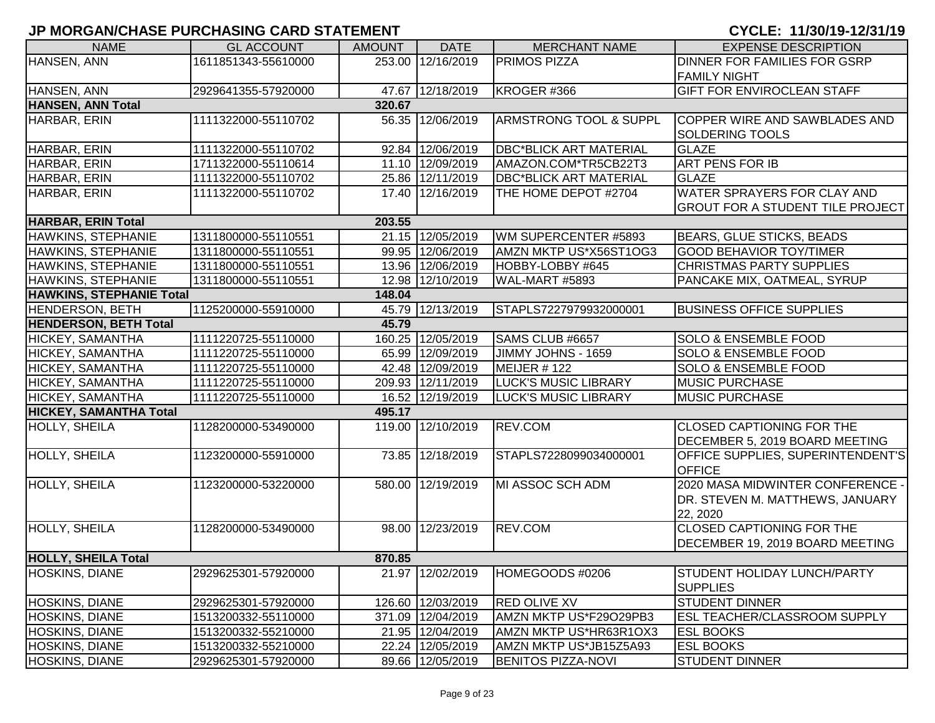| <b>NAME</b>                     | <b>GL ACCOUNT</b>   | <b>AMOUNT</b> | <b>DATE</b>       | <b>MERCHANT NAME</b>              | <b>EXPENSE DESCRIPTION</b>              |
|---------------------------------|---------------------|---------------|-------------------|-----------------------------------|-----------------------------------------|
| HANSEN, ANN                     | 1611851343-55610000 |               | 253.00 12/16/2019 | <b>PRIMOS PIZZA</b>               | <b>DINNER FOR FAMILIES FOR GSRP</b>     |
|                                 |                     |               |                   |                                   | <b>FAMILY NIGHT</b>                     |
| HANSEN, ANN                     | 2929641355-57920000 |               | 47.67 12/18/2019  | KROGER #366                       | <b>GIFT FOR ENVIROCLEAN STAFF</b>       |
| <b>HANSEN, ANN Total</b>        |                     | 320.67        |                   |                                   |                                         |
| HARBAR, ERIN                    | 1111322000-55110702 |               | 56.35 12/06/2019  | <b>ARMSTRONG TOOL &amp; SUPPL</b> | COPPER WIRE AND SAWBLADES AND           |
|                                 |                     |               |                   |                                   | SOLDERING TOOLS                         |
| HARBAR, ERIN                    | 1111322000-55110702 |               | 92.84 12/06/2019  | <b>DBC*BLICK ART MATERIAL</b>     | <b>GLAZE</b>                            |
| HARBAR, ERIN                    | 1711322000-55110614 |               | 11.10 12/09/2019  | AMAZON.COM*TR5CB22T3              | ART PENS FOR IB                         |
| HARBAR, ERIN                    | 1111322000-55110702 |               | 25.86 12/11/2019  | <b>DBC*BLICK ART MATERIAL</b>     | <b>GLAZE</b>                            |
| HARBAR, ERIN                    | 1111322000-55110702 |               | 17.40 12/16/2019  | THE HOME DEPOT #2704              | <b>WATER SPRAYERS FOR CLAY AND</b>      |
|                                 |                     |               |                   |                                   | <b>GROUT FOR A STUDENT TILE PROJECT</b> |
| <b>HARBAR, ERIN Total</b>       |                     | 203.55        |                   |                                   |                                         |
| <b>HAWKINS, STEPHANIE</b>       | 1311800000-55110551 |               | 21.15 12/05/2019  | WM SUPERCENTER #5893              | <b>BEARS, GLUE STICKS, BEADS</b>        |
| <b>HAWKINS, STEPHANIE</b>       | 1311800000-55110551 |               | 99.95 12/06/2019  | AMZN MKTP US*X56ST1OG3            | <b>GOOD BEHAVIOR TOY/TIMER</b>          |
| HAWKINS, STEPHANIE              | 1311800000-55110551 |               | 13.96 12/06/2019  | HOBBY-LOBBY #645                  | <b>CHRISTMAS PARTY SUPPLIES</b>         |
| HAWKINS, STEPHANIE              | 1311800000-55110551 |               | 12.98 12/10/2019  | WAL-MART #5893                    | PANCAKE MIX, OATMEAL, SYRUP             |
| <b>HAWKINS, STEPHANIE Total</b> |                     | 148.04        |                   |                                   |                                         |
| <b>HENDERSON, BETH</b>          | 1125200000-55910000 |               | 45.79 12/13/2019  | STAPLS7227979932000001            | <b>BUSINESS OFFICE SUPPLIES</b>         |
| <b>HENDERSON, BETH Total</b>    |                     | 45.79         |                   |                                   |                                         |
| HICKEY, SAMANTHA                | 1111220725-55110000 |               | 160.25 12/05/2019 | SAMS CLUB #6657                   | <b>SOLO &amp; ENSEMBLE FOOD</b>         |
| HICKEY, SAMANTHA                | 1111220725-55110000 |               | 65.99 12/09/2019  | JIMMY JOHNS - 1659                | <b>SOLO &amp; ENSEMBLE FOOD</b>         |
| HICKEY, SAMANTHA                | 1111220725-55110000 |               | 42.48 12/09/2019  | MEIJER #122                       | <b>SOLO &amp; ENSEMBLE FOOD</b>         |
| HICKEY, SAMANTHA                | 1111220725-55110000 |               | 209.93 12/11/2019 | <b>LUCK'S MUSIC LIBRARY</b>       | <b>MUSIC PURCHASE</b>                   |
| <b>HICKEY, SAMANTHA</b>         | 1111220725-55110000 |               | 16.52 12/19/2019  | <b>LUCK'S MUSIC LIBRARY</b>       | <b>MUSIC PURCHASE</b>                   |
| <b>HICKEY, SAMANTHA Total</b>   |                     | 495.17        |                   |                                   |                                         |
| HOLLY, SHEILA                   | 1128200000-53490000 |               | 119.00 12/10/2019 | REV.COM                           | <b>CLOSED CAPTIONING FOR THE</b>        |
|                                 |                     |               |                   |                                   | DECEMBER 5, 2019 BOARD MEETING          |
| HOLLY, SHEILA                   | 1123200000-55910000 |               | 73.85 12/18/2019  | STAPLS7228099034000001            | OFFICE SUPPLIES, SUPERINTENDENT'S       |
|                                 |                     |               |                   |                                   | <b>OFFICE</b>                           |
| HOLLY, SHEILA                   | 1123200000-53220000 |               | 580.00 12/19/2019 | MI ASSOC SCH ADM                  | 2020 MASA MIDWINTER CONFERENCE -        |
|                                 |                     |               |                   |                                   | DR. STEVEN M. MATTHEWS, JANUARY         |
|                                 |                     |               |                   |                                   | 22, 2020                                |
| HOLLY, SHEILA                   | 1128200000-53490000 |               | 98.00 12/23/2019  | REV.COM                           | <b>CLOSED CAPTIONING FOR THE</b>        |
|                                 |                     |               |                   |                                   | DECEMBER 19, 2019 BOARD MEETING         |
| <b>HOLLY, SHEILA Total</b>      |                     | 870.85        |                   |                                   |                                         |
| <b>HOSKINS, DIANE</b>           | 2929625301-57920000 |               | 21.97 12/02/2019  | HOMEGOODS #0206                   | STUDENT HOLIDAY LUNCH/PARTY             |
|                                 |                     |               |                   |                                   | <b>SUPPLIES</b>                         |
| HOSKINS, DIANE                  | 2929625301-57920000 |               | 126.60 12/03/2019 | <b>RED OLIVE XV</b>               | <b>STUDENT DINNER</b>                   |
| HOSKINS, DIANE                  | 1513200332-55110000 |               | 371.09 12/04/2019 | AMZN MKTP US*F29O29PB3            | <b>ESL TEACHER/CLASSROOM SUPPLY</b>     |
| <b>HOSKINS, DIANE</b>           | 1513200332-55210000 |               | 21.95 12/04/2019  | AMZN MKTP US*HR63R1OX3            | <b>ESL BOOKS</b>                        |
| <b>HOSKINS, DIANE</b>           | 1513200332-55210000 |               | 22.24 12/05/2019  | AMZN MKTP US*JB15Z5A93            | <b>ESL BOOKS</b>                        |
| <b>HOSKINS, DIANE</b>           | 2929625301-57920000 |               | 89.66 12/05/2019  | <b>BENITOS PIZZA-NOVI</b>         | <b>STUDENT DINNER</b>                   |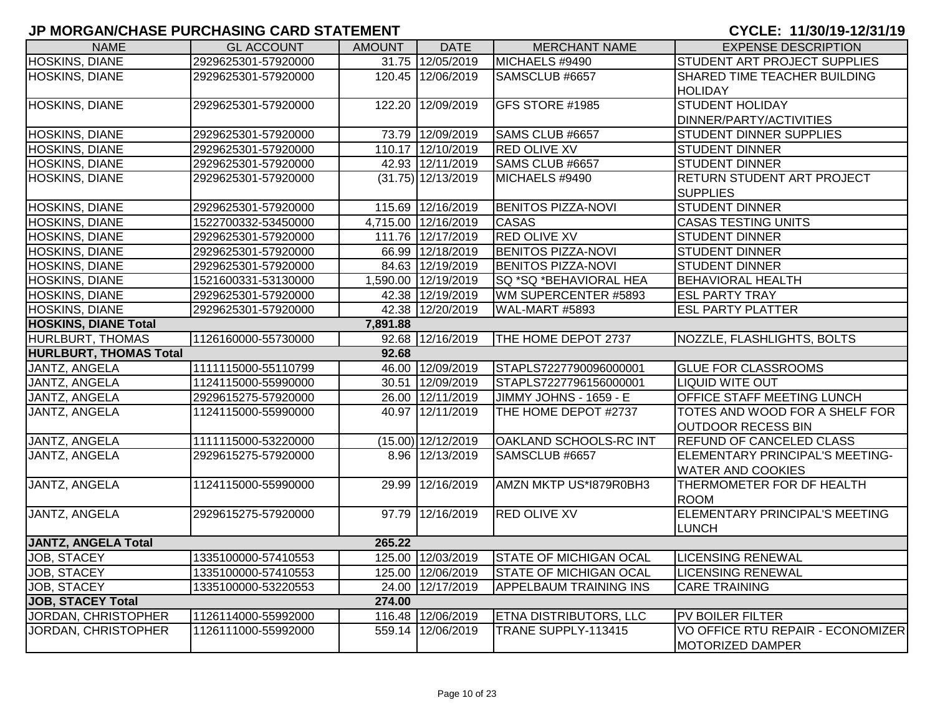| <b>NAME</b>                   | <b>GL ACCOUNT</b>   | <b>AMOUNT</b> | <b>DATE</b>          | <b>MERCHANT NAME</b>          | <b>EXPENSE DESCRIPTION</b>          |  |  |  |
|-------------------------------|---------------------|---------------|----------------------|-------------------------------|-------------------------------------|--|--|--|
| <b>HOSKINS, DIANE</b>         | 2929625301-57920000 |               | 31.75 12/05/2019     | MICHAELS #9490                | <b>STUDENT ART PROJECT SUPPLIES</b> |  |  |  |
| HOSKINS, DIANE                | 2929625301-57920000 |               | 120.45 12/06/2019    | SAMSCLUB #6657                | SHARED TIME TEACHER BUILDING        |  |  |  |
|                               |                     |               |                      |                               | <b>HOLIDAY</b>                      |  |  |  |
| HOSKINS, DIANE                | 2929625301-57920000 |               | 122.20 12/09/2019    | GFS STORE #1985               | <b>STUDENT HOLIDAY</b>              |  |  |  |
|                               |                     |               |                      |                               | DINNER/PARTY/ACTIVITIES             |  |  |  |
| HOSKINS, DIANE                | 2929625301-57920000 |               | 73.79 12/09/2019     | SAMS CLUB #6657               | <b>STUDENT DINNER SUPPLIES</b>      |  |  |  |
| HOSKINS, DIANE                | 2929625301-57920000 |               | 110.17 12/10/2019    | <b>RED OLIVE XV</b>           | <b>STUDENT DINNER</b>               |  |  |  |
| HOSKINS, DIANE                | 2929625301-57920000 |               | 42.93 12/11/2019     | SAMS CLUB #6657               | <b>STUDENT DINNER</b>               |  |  |  |
| HOSKINS, DIANE                | 2929625301-57920000 |               | $(31.75)$ 12/13/2019 | MICHAELS #9490                | RETURN STUDENT ART PROJECT          |  |  |  |
|                               |                     |               |                      |                               | <b>SUPPLIES</b>                     |  |  |  |
| <b>HOSKINS, DIANE</b>         | 2929625301-57920000 |               | 115.69 12/16/2019    | <b>BENITOS PIZZA-NOVI</b>     | <b>STUDENT DINNER</b>               |  |  |  |
| <b>HOSKINS, DIANE</b>         | 1522700332-53450000 |               | 4,715.00 12/16/2019  | <b>CASAS</b>                  | <b>CASAS TESTING UNITS</b>          |  |  |  |
| <b>HOSKINS, DIANE</b>         | 2929625301-57920000 |               | 111.76 12/17/2019    | <b>RED OLIVE XV</b>           | <b>STUDENT DINNER</b>               |  |  |  |
| <b>HOSKINS, DIANE</b>         | 2929625301-57920000 |               | 66.99 12/18/2019     | <b>BENITOS PIZZA-NOVI</b>     | <b>STUDENT DINNER</b>               |  |  |  |
| <b>HOSKINS, DIANE</b>         | 2929625301-57920000 |               | 84.63 12/19/2019     | <b>BENITOS PIZZA-NOVI</b>     | <b>STUDENT DINNER</b>               |  |  |  |
| <b>HOSKINS, DIANE</b>         | 1521600331-53130000 |               | 1,590.00 12/19/2019  | SQ *SQ *BEHAVIORAL HEA        | <b>BEHAVIORAL HEALTH</b>            |  |  |  |
| <b>HOSKINS, DIANE</b>         | 2929625301-57920000 |               | 42.38 12/19/2019     | WM SUPERCENTER #5893          | <b>ESL PARTY TRAY</b>               |  |  |  |
| <b>HOSKINS, DIANE</b>         | 2929625301-57920000 |               | 42.38 12/20/2019     | WAL-MART #5893                | <b>ESL PARTY PLATTER</b>            |  |  |  |
| <b>HOSKINS, DIANE Total</b>   | 7,891.88            |               |                      |                               |                                     |  |  |  |
| <b>HURLBURT, THOMAS</b>       | 1126160000-55730000 |               | 92.68 12/16/2019     | THE HOME DEPOT 2737           | NOZZLE, FLASHLIGHTS, BOLTS          |  |  |  |
| <b>HURLBURT, THOMAS Total</b> |                     | 92.68         |                      |                               |                                     |  |  |  |
| JANTZ, ANGELA                 | 1111115000-55110799 |               | 46.00 12/09/2019     | STAPLS7227790096000001        | <b>GLUE FOR CLASSROOMS</b>          |  |  |  |
| JANTZ, ANGELA                 | 1124115000-55990000 |               | 30.51 12/09/2019     | STAPLS7227796156000001        | <b>LIQUID WITE OUT</b>              |  |  |  |
| <b>JANTZ, ANGELA</b>          | 2929615275-57920000 |               | 26.00 12/11/2019     | JIMMY JOHNS - 1659 - E        | OFFICE STAFF MEETING LUNCH          |  |  |  |
| JANTZ, ANGELA                 | 1124115000-55990000 |               | 40.97 12/11/2019     | THE HOME DEPOT #2737          | TOTES AND WOOD FOR A SHELF FOR      |  |  |  |
|                               |                     |               |                      |                               | <b>OUTDOOR RECESS BIN</b>           |  |  |  |
| JANTZ, ANGELA                 | 1111115000-53220000 |               | $(15.00)$ 12/12/2019 | OAKLAND SCHOOLS-RC INT        | <b>REFUND OF CANCELED CLASS</b>     |  |  |  |
| JANTZ, ANGELA                 | 2929615275-57920000 |               | 8.96 12/13/2019      | SAMSCLUB #6657                | ELEMENTARY PRINCIPAL'S MEETING-     |  |  |  |
|                               |                     |               |                      |                               | <b>WATER AND COOKIES</b>            |  |  |  |
| JANTZ, ANGELA                 | 1124115000-55990000 | 29.99         | 12/16/2019           | AMZN MKTP US*1879R0BH3        | THERMOMETER FOR DF HEALTH           |  |  |  |
|                               |                     |               |                      |                               | <b>ROOM</b>                         |  |  |  |
| JANTZ, ANGELA                 | 2929615275-57920000 |               | 97.79 12/16/2019     | <b>RED OLIVE XV</b>           | ELEMENTARY PRINCIPAL'S MEETING      |  |  |  |
|                               |                     |               |                      |                               | <b>LUNCH</b>                        |  |  |  |
| <b>JANTZ, ANGELA Total</b>    |                     | 265.22        |                      |                               |                                     |  |  |  |
| JOB, STACEY                   | 1335100000-57410553 |               | 125.00 12/03/2019    | <b>STATE OF MICHIGAN OCAL</b> | <b>LICENSING RENEWAL</b>            |  |  |  |
| JOB, STACEY                   | 1335100000-57410553 |               | 125.00 12/06/2019    | <b>STATE OF MICHIGAN OCAL</b> | <b>LICENSING RENEWAL</b>            |  |  |  |
| JOB, STACEY                   | 1335100000-53220553 |               | 24.00 12/17/2019     | <b>APPELBAUM TRAINING INS</b> | <b>CARE TRAINING</b>                |  |  |  |
| <b>JOB, STACEY Total</b>      |                     | 274.00        |                      |                               |                                     |  |  |  |
| JORDAN, CHRISTOPHER           | 1126114000-55992000 |               | 116.48 12/06/2019    | <b>ETNA DISTRIBUTORS, LLC</b> | <b>PV BOILER FILTER</b>             |  |  |  |
| JORDAN, CHRISTOPHER           | 1126111000-55992000 |               | 559.14 12/06/2019    | TRANE SUPPLY-113415           | VO OFFICE RTU REPAIR - ECONOMIZER   |  |  |  |
|                               |                     |               |                      |                               | <b>MOTORIZED DAMPER</b>             |  |  |  |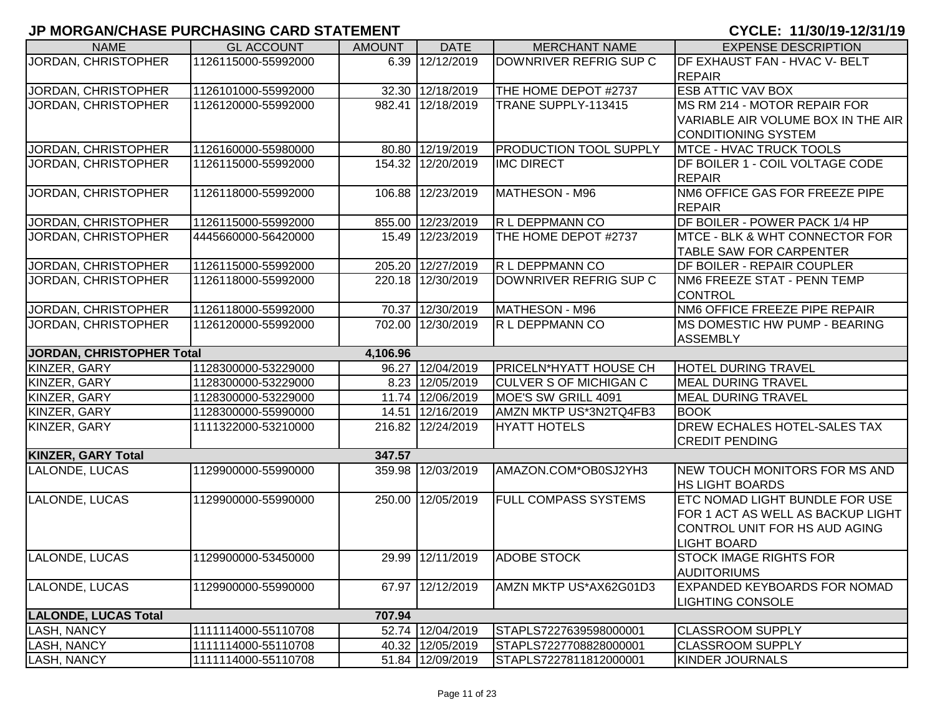| <b>NAME</b>                      | <b>GL ACCOUNT</b>   | <b>AMOUNT</b> | <b>DATE</b>       | <b>MERCHANT NAME</b>          | <b>EXPENSE DESCRIPTION</b>                         |
|----------------------------------|---------------------|---------------|-------------------|-------------------------------|----------------------------------------------------|
| JORDAN, CHRISTOPHER              | 1126115000-55992000 |               | 6.39 12/12/2019   | DOWNRIVER REFRIG SUP C        | DF EXHAUST FAN - HVAC V- BELT                      |
|                                  |                     |               |                   |                               | <b>REPAIR</b>                                      |
| JORDAN, CHRISTOPHER              | 1126101000-55992000 |               | 32.30 12/18/2019  | THE HOME DEPOT #2737          | <b>ESB ATTIC VAV BOX</b>                           |
| JORDAN, CHRISTOPHER              | 1126120000-55992000 |               | 982.41 12/18/2019 | TRANE SUPPLY-113415           | MS RM 214 - MOTOR REPAIR FOR                       |
|                                  |                     |               |                   |                               | VARIABLE AIR VOLUME BOX IN THE AIR                 |
|                                  |                     |               |                   |                               | <b>CONDITIONING SYSTEM</b>                         |
| JORDAN, CHRISTOPHER              | 1126160000-55980000 |               | 80.80 12/19/2019  | <b>PRODUCTION TOOL SUPPLY</b> | <b>MTCE - HVAC TRUCK TOOLS</b>                     |
| JORDAN, CHRISTOPHER              | 1126115000-55992000 |               | 154.32 12/20/2019 | <b>IMC DIRECT</b>             | DF BOILER 1 - COIL VOLTAGE CODE                    |
|                                  |                     |               |                   |                               | <b>REPAIR</b>                                      |
| <b>JORDAN, CHRISTOPHER</b>       | 1126118000-55992000 |               | 106.88 12/23/2019 | MATHESON - M96                | NM6 OFFICE GAS FOR FREEZE PIPE                     |
|                                  |                     |               |                   |                               | <b>REPAIR</b>                                      |
| JORDAN, CHRISTOPHER              | 1126115000-55992000 |               | 855.00 12/23/2019 | R L DEPPMANN CO               | DF BOILER - POWER PACK 1/4 HP                      |
| JORDAN, CHRISTOPHER              | 4445660000-56420000 |               | 15.49 12/23/2019  | THE HOME DEPOT #2737          | <b>MTCE - BLK &amp; WHT CONNECTOR FOR</b>          |
|                                  |                     |               |                   |                               | TABLE SAW FOR CARPENTER                            |
| JORDAN, CHRISTOPHER              | 1126115000-55992000 |               | 205.20 12/27/2019 | R L DEPPMANN CO               | DF BOILER - REPAIR COUPLER                         |
| JORDAN, CHRISTOPHER              | 1126118000-55992000 |               | 220.18 12/30/2019 | DOWNRIVER REFRIG SUP C        | NM6 FREEZE STAT - PENN TEMP                        |
|                                  |                     |               |                   |                               | <b>CONTROL</b>                                     |
| JORDAN, CHRISTOPHER              | 1126118000-55992000 |               | 70.37 12/30/2019  | MATHESON - M96                | NM6 OFFICE FREEZE PIPE REPAIR                      |
| JORDAN, CHRISTOPHER              | 1126120000-55992000 |               | 702.00 12/30/2019 | R L DEPPMANN CO               | MS DOMESTIC HW PUMP - BEARING                      |
|                                  |                     |               |                   |                               | <b>ASSEMBLY</b>                                    |
| <b>JORDAN, CHRISTOPHER Total</b> |                     | 4,106.96      |                   |                               |                                                    |
| KINZER, GARY                     | 1128300000-53229000 |               | 96.27 12/04/2019  | PRICELN*HYATT HOUSE CH        | <b>HOTEL DURING TRAVEL</b>                         |
| KINZER, GARY                     | 1128300000-53229000 |               | 8.23 12/05/2019   | <b>CULVER S OF MICHIGAN C</b> | <b>MEAL DURING TRAVEL</b>                          |
| KINZER, GARY                     | 1128300000-53229000 |               | 11.74 12/06/2019  | MOE'S SW GRILL 4091           | <b>MEAL DURING TRAVEL</b>                          |
| KINZER, GARY                     | 1128300000-55990000 |               | 14.51 12/16/2019  | AMZN MKTP US*3N2TQ4FB3        | <b>BOOK</b>                                        |
| KINZER, GARY                     | 1111322000-53210000 |               | 216.82 12/24/2019 | <b>HYATT HOTELS</b>           | DREW ECHALES HOTEL-SALES TAX                       |
|                                  |                     |               |                   |                               | <b>CREDIT PENDING</b>                              |
| <b>KINZER, GARY Total</b>        |                     | 347.57        |                   |                               |                                                    |
| LALONDE, LUCAS                   | 1129900000-55990000 |               | 359.98 12/03/2019 | AMAZON.COM*OB0SJ2YH3          | <b>NEW TOUCH MONITORS FOR MS AND</b>               |
|                                  |                     |               |                   |                               | <b>HS LIGHT BOARDS</b>                             |
| LALONDE, LUCAS                   | 1129900000-55990000 |               | 250.00 12/05/2019 | <b>FULL COMPASS SYSTEMS</b>   | <b>ETC NOMAD LIGHT BUNDLE FOR USE</b>              |
|                                  |                     |               |                   |                               | FOR 1 ACT AS WELL AS BACKUP LIGHT                  |
|                                  |                     |               |                   |                               | CONTROL UNIT FOR HS AUD AGING                      |
|                                  |                     |               |                   |                               | <b>LIGHT BOARD</b>                                 |
| LALONDE, LUCAS                   | 1129900000-53450000 |               | 29.99 12/11/2019  | <b>ADOBE STOCK</b>            | <b>STOCK IMAGE RIGHTS FOR</b>                      |
|                                  |                     |               |                   |                               | AUDITORIUMS<br><b>EXPANDED KEYBOARDS FOR NOMAD</b> |
| LALONDE, LUCAS                   | 1129900000-55990000 |               | 67.97 12/12/2019  | AMZN MKTP US*AX62G01D3        |                                                    |
| <b>LALONDE, LUCAS Total</b>      |                     | 707.94        |                   |                               | <b>LIGHTING CONSOLE</b>                            |
| <b>LASH, NANCY</b>               | 1111114000-55110708 |               | 52.74 12/04/2019  | STAPLS7227639598000001        | <b>CLASSROOM SUPPLY</b>                            |
| <b>LASH, NANCY</b>               | 1111114000-55110708 |               | 40.32 12/05/2019  | STAPLS7227708828000001        | <b>CLASSROOM SUPPLY</b>                            |
| <b>LASH, NANCY</b>               | 1111114000-55110708 |               | 51.84 12/09/2019  | STAPLS7227811812000001        | <b>KINDER JOURNALS</b>                             |
|                                  |                     |               |                   |                               |                                                    |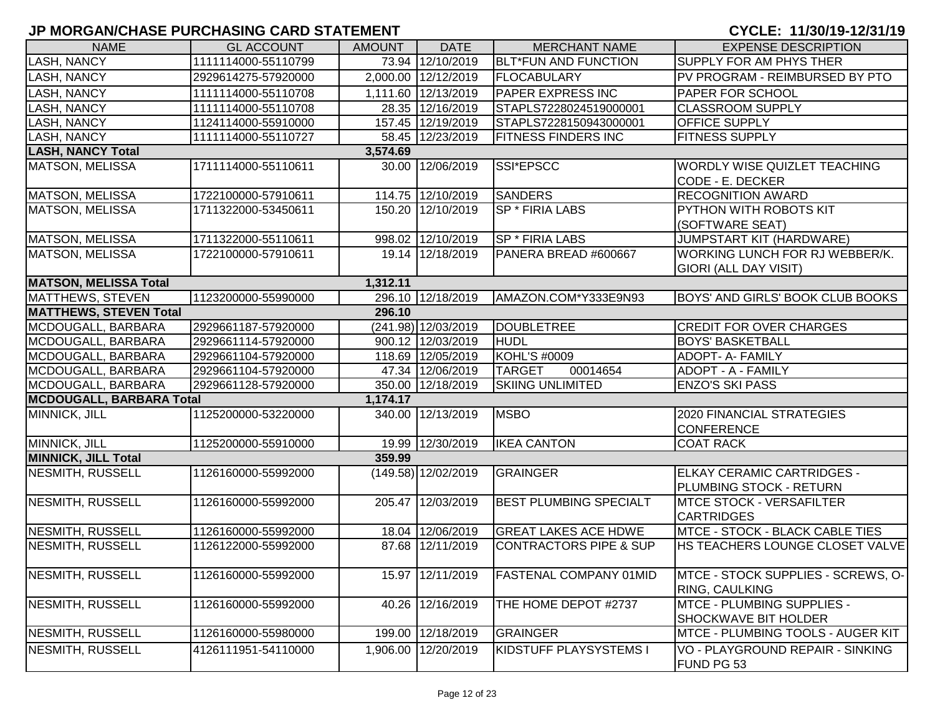| <b>NAME</b>                     | <b>GL ACCOUNT</b>   | <b>AMOUNT</b> | <b>DATE</b>           | <b>MERCHANT NAME</b>              | <b>EXPENSE DESCRIPTION</b>               |
|---------------------------------|---------------------|---------------|-----------------------|-----------------------------------|------------------------------------------|
| <b>LASH, NANCY</b>              | 1111114000-55110799 |               | 73.94 12/10/2019      | <b>BLT*FUN AND FUNCTION</b>       | SUPPLY FOR AM PHYS THER                  |
| <b>LASH, NANCY</b>              | 2929614275-57920000 |               | 2,000.00 12/12/2019   | <b>FLOCABULARY</b>                | PV PROGRAM - REIMBURSED BY PTO           |
| <b>LASH, NANCY</b>              | 1111114000-55110708 |               | 1,111.60 12/13/2019   | <b>PAPER EXPRESS INC</b>          | <b>PAPER FOR SCHOOL</b>                  |
| <b>LASH, NANCY</b>              | 1111114000-55110708 |               | 28.35 12/16/2019      | STAPLS7228024519000001            | <b>CLASSROOM SUPPLY</b>                  |
| LASH, NANCY                     | 1124114000-55910000 |               | 157.45 12/19/2019     | STAPLS7228150943000001            | OFFICE SUPPLY                            |
| <b>LASH, NANCY</b>              | 1111114000-55110727 |               | 58.45 12/23/2019      | <b>FITNESS FINDERS INC</b>        | <b>FITNESS SUPPLY</b>                    |
| <b>LASH, NANCY Total</b>        |                     | 3,574.69      |                       |                                   |                                          |
| <b>MATSON, MELISSA</b>          | 1711114000-55110611 |               | 30.00 12/06/2019      | SSI*EPSCC                         | <b>WORDLY WISE QUIZLET TEACHING</b>      |
|                                 |                     |               |                       |                                   | CODE - E. DECKER                         |
| <b>MATSON, MELISSA</b>          | 1722100000-57910611 |               | 114.75 12/10/2019     | <b>SANDERS</b>                    | <b>RECOGNITION AWARD</b>                 |
| <b>MATSON, MELISSA</b>          | 1711322000-53450611 |               | 150.20 12/10/2019     | SP * FIRIA LABS                   | PYTHON WITH ROBOTS KIT                   |
|                                 |                     |               |                       |                                   | (SOFTWARE SEAT)                          |
| MATSON, MELISSA                 | 1711322000-55110611 |               | 998.02 12/10/2019     | SP * FIRIA LABS                   | JUMPSTART KIT (HARDWARE)                 |
| <b>MATSON, MELISSA</b>          | 1722100000-57910611 |               | 19.14 12/18/2019      | PANERA BREAD #600667              | WORKING LUNCH FOR RJ WEBBER/K.           |
|                                 |                     |               |                       |                                   | GIORI (ALL DAY VISIT)                    |
| <b>MATSON, MELISSA Total</b>    |                     | 1,312.11      |                       |                                   |                                          |
| <b>MATTHEWS, STEVEN</b>         | 1123200000-55990000 |               | 296.10 12/18/2019     | AMAZON.COM*Y333E9N93              | <b>BOYS' AND GIRLS' BOOK CLUB BOOKS</b>  |
| <b>MATTHEWS, STEVEN Total</b>   |                     | 296.10        |                       |                                   |                                          |
| MCDOUGALL, BARBARA              | 2929661187-57920000 |               | (241.98) 12/03/2019   | <b>DOUBLETREE</b>                 | <b>CREDIT FOR OVER CHARGES</b>           |
| MCDOUGALL, BARBARA              | 2929661114-57920000 |               | 900.12 12/03/2019     | <b>HUDL</b>                       | <b>BOYS' BASKETBALL</b>                  |
| MCDOUGALL, BARBARA              | 2929661104-57920000 |               | 118.69 12/05/2019     | KOHL'S #0009                      | ADOPT- A- FAMILY                         |
| MCDOUGALL, BARBARA              | 2929661104-57920000 |               | 47.34 12/06/2019      | 00014654<br><b>TARGET</b>         | ADOPT - A - FAMILY                       |
| MCDOUGALL, BARBARA              | 2929661128-57920000 |               | 350.00 12/18/2019     | <b>SKIING UNLIMITED</b>           | <b>ENZO'S SKI PASS</b>                   |
| <b>MCDOUGALL, BARBARA Total</b> |                     | 1,174.17      |                       |                                   |                                          |
| MINNICK, JILL                   | 1125200000-53220000 |               | 340.00 12/13/2019     | <b>MSBO</b>                       | 2020 FINANCIAL STRATEGIES                |
|                                 |                     |               |                       |                                   | <b>CONFERENCE</b>                        |
| MINNICK, JILL                   | 1125200000-55910000 |               | 19.99 12/30/2019      | <b>IKEA CANTON</b>                | <b>COAT RACK</b>                         |
| <b>MINNICK, JILL Total</b>      |                     | 359.99        |                       |                                   |                                          |
| <b>NESMITH, RUSSELL</b>         | 1126160000-55992000 |               | $(149.58)$ 12/02/2019 | <b>GRAINGER</b>                   | <b>ELKAY CERAMIC CARTRIDGES -</b>        |
|                                 |                     |               |                       |                                   | PLUMBING STOCK - RETURN                  |
| NESMITH, RUSSELL                | 1126160000-55992000 |               | 205.47 12/03/2019     | <b>BEST PLUMBING SPECIALT</b>     | <b>MTCE STOCK - VERSAFILTER</b>          |
|                                 |                     |               |                       |                                   | <b>CARTRIDGES</b>                        |
| NESMITH, RUSSELL                | 1126160000-55992000 |               | 18.04 12/06/2019      | <b>GREAT LAKES ACE HDWE</b>       | MTCE - STOCK - BLACK CABLE TIES          |
| NESMITH, RUSSELL                | 1126122000-55992000 |               | 87.68 12/11/2019      | <b>CONTRACTORS PIPE &amp; SUP</b> | HS TEACHERS LOUNGE CLOSET VALVE          |
|                                 |                     |               |                       |                                   |                                          |
| <b>NESMITH, RUSSELL</b>         | 1126160000-55992000 |               | 15.97 12/11/2019      | <b>FASTENAL COMPANY 01MID</b>     | MTCE - STOCK SUPPLIES - SCREWS, O-       |
|                                 |                     |               |                       |                                   | RING, CAULKING                           |
| <b>NESMITH, RUSSELL</b>         | 1126160000-55992000 |               | 40.26 12/16/2019      | THE HOME DEPOT #2737              | MTCE - PLUMBING SUPPLIES -               |
|                                 |                     |               |                       |                                   | <b>SHOCKWAVE BIT HOLDER</b>              |
| <b>NESMITH, RUSSELL</b>         | 1126160000-55980000 |               | 199.00 12/18/2019     | <b>GRAINGER</b>                   | <b>MTCE - PLUMBING TOOLS - AUGER KIT</b> |
| NESMITH, RUSSELL                | 4126111951-54110000 | 1,906.00      | 12/20/2019            | KIDSTUFF PLAYSYSTEMS I            | VO - PLAYGROUND REPAIR - SINKING         |
|                                 |                     |               |                       |                                   | FUND PG 53                               |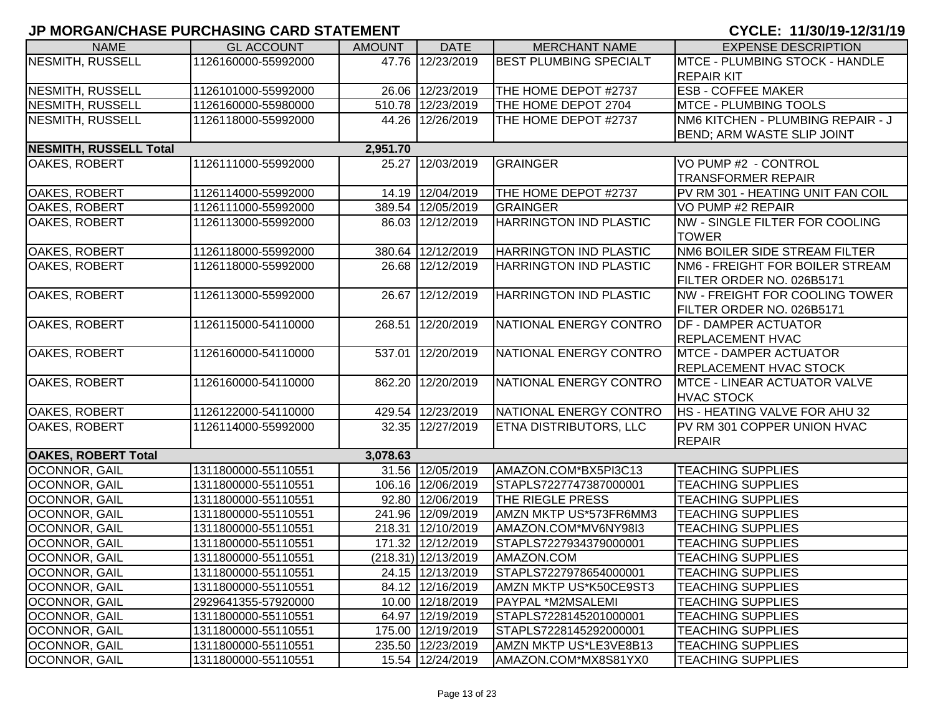| <b>NAME</b>                   | <b>GL ACCOUNT</b>   | <b>AMOUNT</b> | <b>DATE</b>         | <b>MERCHANT NAME</b>          | <b>EXPENSE DESCRIPTION</b>            |
|-------------------------------|---------------------|---------------|---------------------|-------------------------------|---------------------------------------|
| <b>NESMITH, RUSSELL</b>       | 1126160000-55992000 |               | 47.76 12/23/2019    | <b>BEST PLUMBING SPECIALT</b> | <b>MTCE - PLUMBING STOCK - HANDLE</b> |
|                               |                     |               |                     |                               | <b>REPAIR KIT</b>                     |
| <b>NESMITH, RUSSELL</b>       | 1126101000-55992000 |               | 26.06 12/23/2019    | THE HOME DEPOT #2737          | <b>ESB - COFFEE MAKER</b>             |
| <b>NESMITH, RUSSELL</b>       | 1126160000-55980000 |               | 510.78 12/23/2019   | THE HOME DEPOT 2704           | <b>MTCE - PLUMBING TOOLS</b>          |
| <b>NESMITH, RUSSELL</b>       | 1126118000-55992000 |               | 44.26 12/26/2019    | THE HOME DEPOT #2737          | NM6 KITCHEN - PLUMBING REPAIR - J     |
|                               |                     |               |                     |                               | BEND; ARM WASTE SLIP JOINT            |
| <b>NESMITH, RUSSELL Total</b> |                     | 2,951.70      |                     |                               |                                       |
| OAKES, ROBERT                 | 1126111000-55992000 |               | 25.27 12/03/2019    | <b>GRAINGER</b>               | VO PUMP #2 - CONTROL                  |
|                               |                     |               |                     |                               | <b>TRANSFORMER REPAIR</b>             |
| OAKES, ROBERT                 | 1126114000-55992000 |               | 14.19 12/04/2019    | THE HOME DEPOT #2737          | PV RM 301 - HEATING UNIT FAN COIL     |
| <b>OAKES, ROBERT</b>          | 1126111000-55992000 |               | 389.54 12/05/2019   | <b>GRAINGER</b>               | VO PUMP #2 REPAIR                     |
| OAKES, ROBERT                 | 1126113000-55992000 |               | 86.03 12/12/2019    | HARRINGTON IND PLASTIC        | NW - SINGLE FILTER FOR COOLING        |
|                               |                     |               |                     |                               | <b>TOWER</b>                          |
| OAKES, ROBERT                 | 1126118000-55992000 |               | 380.64 12/12/2019   | <b>HARRINGTON IND PLASTIC</b> | NM6 BOILER SIDE STREAM FILTER         |
| OAKES, ROBERT                 | 1126118000-55992000 |               | 26.68 12/12/2019    | <b>HARRINGTON IND PLASTIC</b> | NM6 - FREIGHT FOR BOILER STREAM       |
|                               |                     |               |                     |                               | FILTER ORDER NO. 026B5171             |
| OAKES, ROBERT                 | 1126113000-55992000 |               | 26.67 12/12/2019    | <b>HARRINGTON IND PLASTIC</b> | <b>NW - FREIGHT FOR COOLING TOWER</b> |
|                               |                     |               |                     |                               | FILTER ORDER NO. 026B5171             |
| OAKES, ROBERT                 | 1126115000-54110000 |               | 268.51 12/20/2019   | NATIONAL ENERGY CONTRO        | <b>DF - DAMPER ACTUATOR</b>           |
|                               |                     |               |                     |                               | <b>REPLACEMENT HVAC</b>               |
| OAKES, ROBERT                 | 1126160000-54110000 |               | 537.01 12/20/2019   | NATIONAL ENERGY CONTRO        | <b>MTCE - DAMPER ACTUATOR</b>         |
|                               |                     |               |                     |                               | <b>REPLACEMENT HVAC STOCK</b>         |
| OAKES, ROBERT                 | 1126160000-54110000 |               | 862.20 12/20/2019   | NATIONAL ENERGY CONTRO        | <b>MTCE - LINEAR ACTUATOR VALVE</b>   |
|                               |                     |               |                     |                               | <b>HVAC STOCK</b>                     |
| OAKES, ROBERT                 | 1126122000-54110000 |               | 429.54 12/23/2019   | NATIONAL ENERGY CONTRO        | HS - HEATING VALVE FOR AHU 32         |
| OAKES, ROBERT                 | 1126114000-55992000 |               | 32.35 12/27/2019    | <b>ETNA DISTRIBUTORS, LLC</b> | PV RM 301 COPPER UNION HVAC           |
|                               |                     |               |                     |                               | <b>REPAIR</b>                         |
| <b>OAKES, ROBERT Total</b>    |                     | 3,078.63      |                     |                               |                                       |
| OCONNOR, GAIL                 | 1311800000-55110551 |               | 31.56 12/05/2019    | AMAZON.COM*BX5PI3C13          | <b>TEACHING SUPPLIES</b>              |
| OCONNOR, GAIL                 | 1311800000-55110551 |               | 106.16 12/06/2019   | STAPLS7227747387000001        | <b>TEACHING SUPPLIES</b>              |
| OCONNOR, GAIL                 | 1311800000-55110551 |               | 92.80 12/06/2019    | THE RIEGLE PRESS              | <b>TEACHING SUPPLIES</b>              |
| OCONNOR, GAIL                 | 1311800000-55110551 |               | 241.96 12/09/2019   | AMZN MKTP US*573FR6MM3        | <b>TEACHING SUPPLIES</b>              |
| OCONNOR, GAIL                 | 1311800000-55110551 |               | 218.31 12/10/2019   | AMAZON.COM*MV6NY98I3          | <b>TEACHING SUPPLIES</b>              |
| OCONNOR, GAIL                 | 1311800000-55110551 |               | 171.32 12/12/2019   | STAPLS7227934379000001        | <b>TEACHING SUPPLIES</b>              |
| OCONNOR, GAIL                 | 1311800000-55110551 |               | (218.31) 12/13/2019 | AMAZON.COM                    | <b>TEACHING SUPPLIES</b>              |
| <b>OCONNOR, GAIL</b>          | 1311800000-55110551 |               | 24.15 12/13/2019    | STAPLS7227978654000001        | <b>TEACHING SUPPLIES</b>              |
| <b>OCONNOR, GAIL</b>          | 1311800000-55110551 |               | 84.12 12/16/2019    | AMZN MKTP US*K50CE9ST3        | <b>TEACHING SUPPLIES</b>              |
| <b>OCONNOR, GAIL</b>          | 2929641355-57920000 |               | 10.00 12/18/2019    | PAYPAL *M2MSALEMI             | <b>TEACHING SUPPLIES</b>              |
| <b>OCONNOR, GAIL</b>          | 1311800000-55110551 |               | 64.97 12/19/2019    | STAPLS7228145201000001        | <b>TEACHING SUPPLIES</b>              |
| OCONNOR, GAIL                 | 1311800000-55110551 |               | 175.00 12/19/2019   | STAPLS7228145292000001        | <b>TEACHING SUPPLIES</b>              |
| <b>OCONNOR, GAIL</b>          | 1311800000-55110551 |               | 235.50 12/23/2019   | AMZN MKTP US*LE3VE8B13        | <b>TEACHING SUPPLIES</b>              |
| OCONNOR, GAIL                 | 1311800000-55110551 |               | 15.54 12/24/2019    | AMAZON.COM*MX8S81YX0          | <b>TEACHING SUPPLIES</b>              |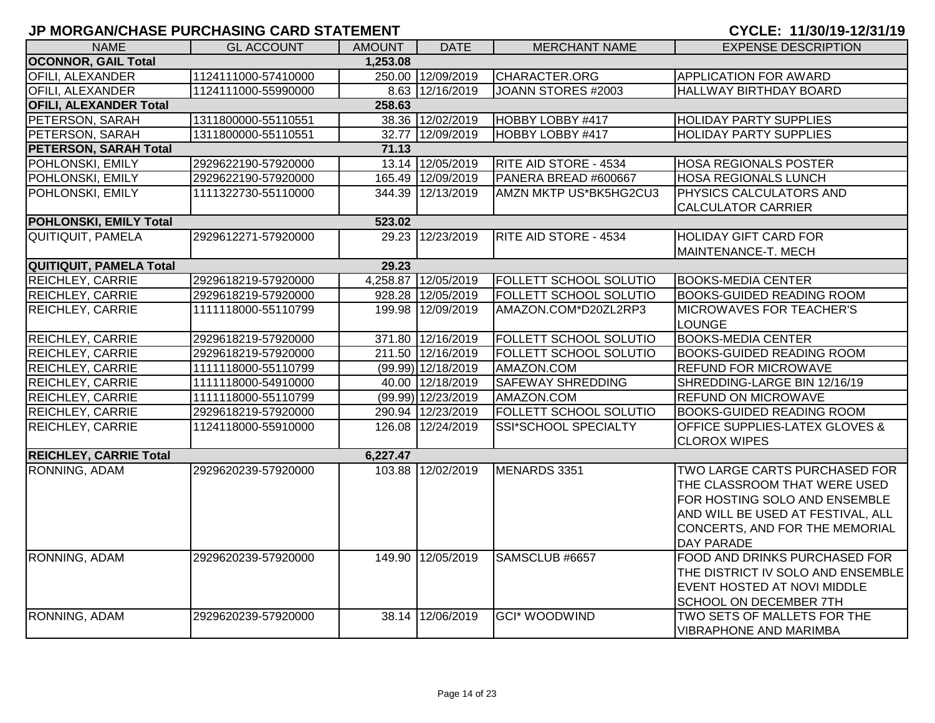|  | CYCLE: 11/30/19-12/31/19 |  |  |  |  |  |  |
|--|--------------------------|--|--|--|--|--|--|
|  |                          |  |  |  |  |  |  |

|                                |                     |               |                    |                              | U : ULL.  /VV/ .V   .2/V ./ .V            |
|--------------------------------|---------------------|---------------|--------------------|------------------------------|-------------------------------------------|
| <b>NAME</b>                    | <b>GL ACCOUNT</b>   | <b>AMOUNT</b> | <b>DATE</b>        | <b>MERCHANT NAME</b>         | <b>EXPENSE DESCRIPTION</b>                |
| <b>OCONNOR, GAIL Total</b>     |                     | 1,253.08      |                    |                              |                                           |
| <b>OFILI, ALEXANDER</b>        | 1124111000-57410000 |               | 250.00 12/09/2019  | CHARACTER.ORG                | APPLICATION FOR AWARD                     |
| <b>OFILI, ALEXANDER</b>        | 1124111000-55990000 |               | 8.63 12/16/2019    | JOANN STORES #2003           | HALLWAY BIRTHDAY BOARD                    |
| <b>OFILI, ALEXANDER Total</b>  |                     | 258.63        |                    |                              |                                           |
| PETERSON, SARAH                | 1311800000-55110551 |               | 38.36 12/02/2019   | HOBBY LOBBY #417             | <b>HOLIDAY PARTY SUPPLIES</b>             |
| PETERSON, SARAH                | 1311800000-55110551 | 32.77         | 12/09/2019         | HOBBY LOBBY #417             | <b>HOLIDAY PARTY SUPPLIES</b>             |
| <b>PETERSON, SARAH Total</b>   |                     | 71.13         |                    |                              |                                           |
| POHLONSKI, EMILY               | 2929622190-57920000 |               | 13.14 12/05/2019   | <b>RITE AID STORE - 4534</b> | <b>HOSA REGIONALS POSTER</b>              |
| POHLONSKI, EMILY               | 2929622190-57920000 |               | 165.49 12/09/2019  | PANERA BREAD #600667         | <b>HOSA REGIONALS LUNCH</b>               |
| POHLONSKI, EMILY               | 1111322730-55110000 |               | 344.39 12/13/2019  | AMZN MKTP US*BK5HG2CU3       | PHYSICS CALCULATORS AND                   |
|                                |                     |               |                    |                              | <b>CALCULATOR CARRIER</b>                 |
| <b>POHLONSKI, EMILY Total</b>  |                     | 523.02        |                    |                              |                                           |
| <b>QUITIQUIT, PAMELA</b>       | 2929612271-57920000 |               | 29.23 12/23/2019   | <b>RITE AID STORE - 4534</b> | <b>HOLIDAY GIFT CARD FOR</b>              |
|                                |                     |               |                    |                              | MAINTENANCE-T. MECH                       |
| <b>QUITIQUIT, PAMELA Total</b> |                     | 29.23         |                    |                              |                                           |
| <b>REICHLEY, CARRIE</b>        | 2929618219-57920000 | 4,258.87      | 12/05/2019         | FOLLETT SCHOOL SOLUTIO       | <b>BOOKS-MEDIA CENTER</b>                 |
| <b>REICHLEY, CARRIE</b>        | 2929618219-57920000 |               | 928.28 12/05/2019  | FOLLETT SCHOOL SOLUTIO       | <b>BOOKS-GUIDED READING ROOM</b>          |
| REICHLEY, CARRIE               | 1111118000-55110799 | 199.98        | 12/09/2019         | AMAZON.COM*D20ZL2RP3         | MICROWAVES FOR TEACHER'S                  |
|                                |                     |               |                    |                              | <b>LOUNGE</b>                             |
| <b>REICHLEY, CARRIE</b>        | 2929618219-57920000 |               | 371.80 12/16/2019  | FOLLETT SCHOOL SOLUTIO       | <b>BOOKS-MEDIA CENTER</b>                 |
| <b>REICHLEY, CARRIE</b>        | 2929618219-57920000 |               | 211.50 12/16/2019  | FOLLETT SCHOOL SOLUTIO       | <b>BOOKS-GUIDED READING ROOM</b>          |
| <b>REICHLEY, CARRIE</b>        | 1111118000-55110799 |               | (99.99) 12/18/2019 | AMAZON.COM                   | <b>REFUND FOR MICROWAVE</b>               |
| <b>REICHLEY, CARRIE</b>        | 1111118000-54910000 |               | 40.00 12/18/2019   | <b>SAFEWAY SHREDDING</b>     | SHREDDING-LARGE BIN 12/16/19              |
| REICHLEY, CARRIE               | 1111118000-55110799 |               | (99.99) 12/23/2019 | AMAZON.COM                   | REFUND ON MICROWAVE                       |
| REICHLEY, CARRIE               | 2929618219-57920000 |               | 290.94 12/23/2019  | FOLLETT SCHOOL SOLUTIO       | <b>BOOKS-GUIDED READING ROOM</b>          |
| <b>REICHLEY, CARRIE</b>        | 1124118000-55910000 |               | 126.08 12/24/2019  | SSI*SCHOOL SPECIALTY         | <b>OFFICE SUPPLIES-LATEX GLOVES &amp;</b> |
|                                |                     |               |                    |                              | <b>CLOROX WIPES</b>                       |
| <b>REICHLEY, CARRIE Total</b>  |                     | 6,227.47      |                    |                              |                                           |
| RONNING, ADAM                  | 2929620239-57920000 |               | 103.88 12/02/2019  | MENARDS 3351                 | TWO LARGE CARTS PURCHASED FOR             |
|                                |                     |               |                    |                              | THE CLASSROOM THAT WERE USED              |
|                                |                     |               |                    |                              | FOR HOSTING SOLO AND ENSEMBLE             |
|                                |                     |               |                    |                              | AND WILL BE USED AT FESTIVAL, ALL         |
|                                |                     |               |                    |                              | CONCERTS, AND FOR THE MEMORIAL            |
|                                |                     |               |                    |                              | DAY PARADE                                |
| RONNING, ADAM                  | 2929620239-57920000 |               | 149.90 12/05/2019  | SAMSCLUB #6657               | FOOD AND DRINKS PURCHASED FOR             |
|                                |                     |               |                    |                              | THE DISTRICT IV SOLO AND ENSEMBLE         |
|                                |                     |               |                    |                              | EVENT HOSTED AT NOVI MIDDLE               |
|                                |                     |               |                    |                              | SCHOOL ON DECEMBER 7TH                    |
| RONNING, ADAM                  | 2929620239-57920000 | 38.14         | 12/06/2019         | <b>GCI* WOODWIND</b>         | TWO SETS OF MALLETS FOR THE               |
|                                |                     |               |                    |                              | <b>VIBRAPHONE AND MARIMBA</b>             |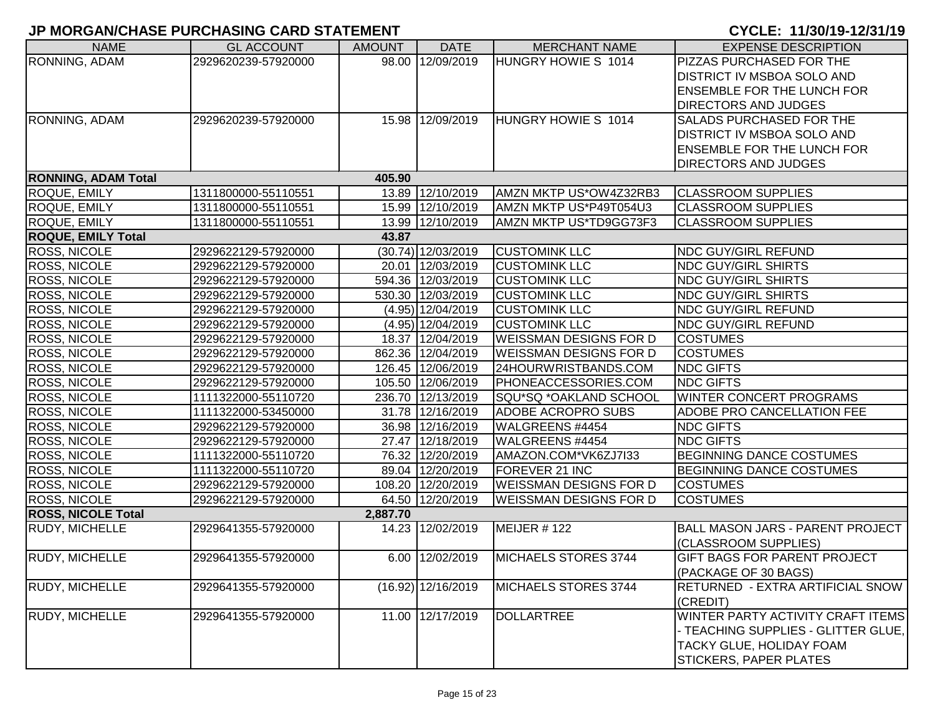| <b>NAME</b>                | <b>GL ACCOUNT</b>   | <b>AMOUNT</b> | <b>DATE</b>          | <b>MERCHANT NAME</b>          | <b>EXPENSE DESCRIPTION</b>                                                                                                                   |
|----------------------------|---------------------|---------------|----------------------|-------------------------------|----------------------------------------------------------------------------------------------------------------------------------------------|
| RONNING, ADAM              | 2929620239-57920000 |               | 98.00 12/09/2019     | HUNGRY HOWIE S 1014           | PIZZAS PURCHASED FOR THE                                                                                                                     |
|                            |                     |               |                      |                               | <b>DISTRICT IV MSBOA SOLO AND</b>                                                                                                            |
|                            |                     |               |                      |                               | <b>ENSEMBLE FOR THE LUNCH FOR</b>                                                                                                            |
|                            |                     |               |                      |                               | <b>DIRECTORS AND JUDGES</b>                                                                                                                  |
| RONNING, ADAM              | 2929620239-57920000 |               | 15.98 12/09/2019     | HUNGRY HOWIE S 1014           | <b>SALADS PURCHASED FOR THE</b>                                                                                                              |
|                            |                     |               |                      |                               | <b>DISTRICT IV MSBOA SOLO AND</b>                                                                                                            |
|                            |                     |               |                      |                               | <b>ENSEMBLE FOR THE LUNCH FOR</b>                                                                                                            |
|                            |                     |               |                      |                               | <b>DIRECTORS AND JUDGES</b>                                                                                                                  |
| <b>RONNING, ADAM Total</b> |                     | 405.90        |                      |                               |                                                                                                                                              |
| ROQUE, EMILY               | 1311800000-55110551 |               | 13.89 12/10/2019     | AMZN MKTP US*OW4Z32RB3        | <b>CLASSROOM SUPPLIES</b>                                                                                                                    |
| ROQUE, EMILY               | 1311800000-55110551 |               | 15.99 12/10/2019     | AMZN MKTP US*P49T054U3        | <b>CLASSROOM SUPPLIES</b>                                                                                                                    |
| ROQUE, EMILY               | 1311800000-55110551 |               | 13.99 12/10/2019     | AMZN MKTP US*TD9GG73F3        | <b>CLASSROOM SUPPLIES</b>                                                                                                                    |
| <b>ROQUE, EMILY Total</b>  |                     | 43.87         |                      |                               |                                                                                                                                              |
| <b>ROSS, NICOLE</b>        | 2929622129-57920000 |               | $(30.74)$ 12/03/2019 | <b>CUSTOMINK LLC</b>          | <b>NDC GUY/GIRL REFUND</b>                                                                                                                   |
| <b>ROSS, NICOLE</b>        | 2929622129-57920000 |               | 20.01 12/03/2019     | <b>CUSTOMINK LLC</b>          | <b>NDC GUY/GIRL SHIRTS</b>                                                                                                                   |
| <b>ROSS, NICOLE</b>        | 2929622129-57920000 |               | 594.36 12/03/2019    | <b>CUSTOMINK LLC</b>          | <b>NDC GUY/GIRL SHIRTS</b>                                                                                                                   |
| ROSS, NICOLE               | 2929622129-57920000 |               | 530.30 12/03/2019    | <b>CUSTOMINK LLC</b>          | <b>NDC GUY/GIRL SHIRTS</b>                                                                                                                   |
| ROSS, NICOLE               | 2929622129-57920000 |               | (4.95) 12/04/2019    | <b>CUSTOMINK LLC</b>          | <b>NDC GUY/GIRL REFUND</b>                                                                                                                   |
| <b>ROSS, NICOLE</b>        | 2929622129-57920000 |               | (4.95) 12/04/2019    | <b>CUSTOMINK LLC</b>          | <b>NDC GUY/GIRL REFUND</b>                                                                                                                   |
| ROSS, NICOLE               | 2929622129-57920000 |               | 18.37 12/04/2019     | <b>WEISSMAN DESIGNS FOR D</b> | <b>COSTUMES</b>                                                                                                                              |
| ROSS, NICOLE               | 2929622129-57920000 |               | 862.36 12/04/2019    | <b>WEISSMAN DESIGNS FOR D</b> | <b>COSTUMES</b>                                                                                                                              |
| <b>ROSS, NICOLE</b>        | 2929622129-57920000 |               | 126.45 12/06/2019    | 24HOURWRISTBANDS.COM          | <b>NDC GIFTS</b>                                                                                                                             |
| <b>ROSS, NICOLE</b>        | 2929622129-57920000 |               | 105.50 12/06/2019    | PHONEACCESSORIES.COM          | <b>NDC GIFTS</b>                                                                                                                             |
| ROSS, NICOLE               | 1111322000-55110720 |               | 236.70 12/13/2019    | SQU*SQ *OAKLAND SCHOOL        | WINTER CONCERT PROGRAMS                                                                                                                      |
| <b>ROSS, NICOLE</b>        | 1111322000-53450000 |               | 31.78 12/16/2019     | ADOBE ACROPRO SUBS            | ADOBE PRO CANCELLATION FEE                                                                                                                   |
| ROSS, NICOLE               | 2929622129-57920000 |               | 36.98 12/16/2019     | WALGREENS #4454               | <b>NDC GIFTS</b>                                                                                                                             |
| ROSS, NICOLE               | 2929622129-57920000 |               | 27.47 12/18/2019     | WALGREENS #4454               | <b>NDC GIFTS</b>                                                                                                                             |
| ROSS, NICOLE               | 1111322000-55110720 |               | 76.32 12/20/2019     | AMAZON.COM*VK6ZJ7I33          | <b>BEGINNING DANCE COSTUMES</b>                                                                                                              |
| ROSS, NICOLE               | 1111322000-55110720 |               | 89.04 12/20/2019     | <b>FOREVER 21 INC</b>         | <b>BEGINNING DANCE COSTUMES</b>                                                                                                              |
| <b>ROSS, NICOLE</b>        | 2929622129-57920000 |               | 108.20 12/20/2019    | <b>WEISSMAN DESIGNS FOR D</b> | <b>COSTUMES</b>                                                                                                                              |
| ROSS, NICOLE               | 2929622129-57920000 |               | 64.50 12/20/2019     | <b>WEISSMAN DESIGNS FOR D</b> | <b>COSTUMES</b>                                                                                                                              |
| <b>ROSS, NICOLE Total</b>  |                     | 2,887.70      |                      |                               |                                                                                                                                              |
| RUDY, MICHELLE             | 2929641355-57920000 |               | 14.23 12/02/2019     | MEIJER #122                   | <b>BALL MASON JARS - PARENT PROJECT</b><br>(CLASSROOM SUPPLIES)                                                                              |
| <b>RUDY, MICHELLE</b>      | 2929641355-57920000 |               | 6.00 12/02/2019      | MICHAELS STORES 3744          | <b>GIFT BAGS FOR PARENT PROJECT</b><br>(PACKAGE OF 30 BAGS)                                                                                  |
| <b>RUDY, MICHELLE</b>      | 2929641355-57920000 |               | $(16.92)$ 12/16/2019 | MICHAELS STORES 3744          | <b>RETURNED - EXTRA ARTIFICIAL SNOW</b><br>(CREDIT)                                                                                          |
| <b>RUDY, MICHELLE</b>      | 2929641355-57920000 |               | 11.00 12/17/2019     | <b>DOLLARTREE</b>             | WINTER PARTY ACTIVITY CRAFT ITEMS<br>- TEACHING SUPPLIES - GLITTER GLUE,<br><b>TACKY GLUE, HOLIDAY FOAM</b><br><b>STICKERS, PAPER PLATES</b> |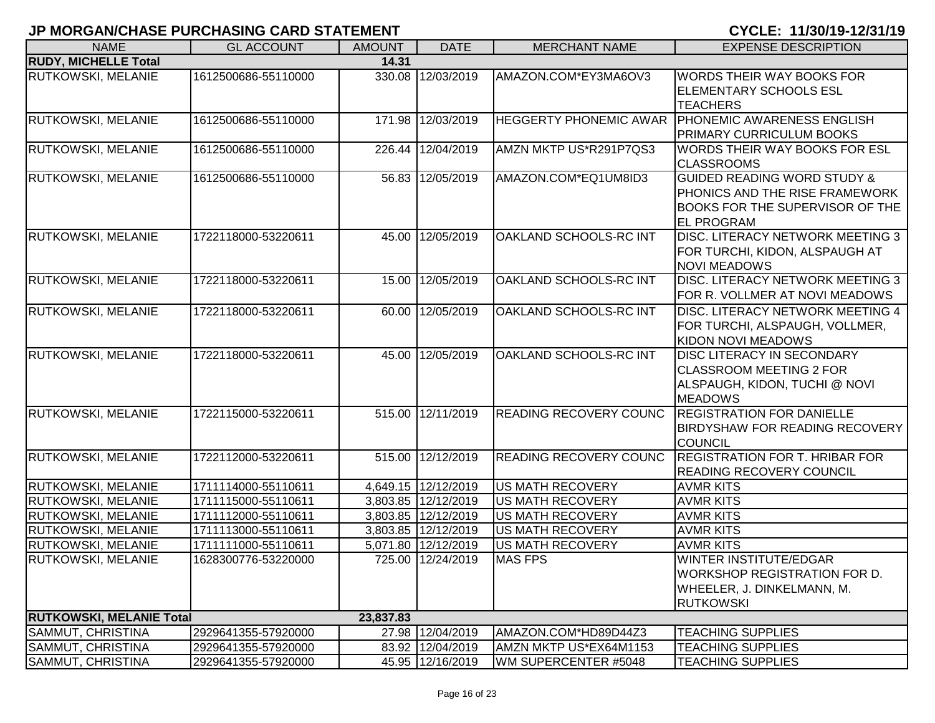| <b>NAME</b>                     | <b>GL ACCOUNT</b>   | <b>AMOUNT</b> | <b>DATE</b>         | <b>MERCHANT NAME</b>          | <b>EXPENSE DESCRIPTION</b>             |
|---------------------------------|---------------------|---------------|---------------------|-------------------------------|----------------------------------------|
| <b>RUDY, MICHELLE Total</b>     |                     | 14.31         |                     |                               |                                        |
| <b>RUTKOWSKI, MELANIE</b>       | 1612500686-55110000 |               | 330.08 12/03/2019   | AMAZON.COM*EY3MA6OV3          | <b>WORDS THEIR WAY BOOKS FOR</b>       |
|                                 |                     |               |                     |                               | ELEMENTARY SCHOOLS ESL                 |
|                                 |                     |               |                     |                               | <b>TEACHERS</b>                        |
| <b>RUTKOWSKI, MELANIE</b>       | 1612500686-55110000 |               | 171.98 12/03/2019   | <b>HEGGERTY PHONEMIC AWAR</b> | <b>TPHONEMIC AWARENESS ENGLISH</b>     |
|                                 |                     |               |                     |                               | PRIMARY CURRICULUM BOOKS               |
| <b>RUTKOWSKI, MELANIE</b>       | 1612500686-55110000 | 226.44        | 12/04/2019          | AMZN MKTP US*R291P7QS3        | <b>WORDS THEIR WAY BOOKS FOR ESL</b>   |
|                                 |                     |               |                     |                               | <b>CLASSROOMS</b>                      |
| <b>RUTKOWSKI, MELANIE</b>       | 1612500686-55110000 |               | 56.83 12/05/2019    | AMAZON.COM*EQ1UM8ID3          | <b>GUIDED READING WORD STUDY &amp;</b> |
|                                 |                     |               |                     |                               | PHONICS AND THE RISE FRAMEWORK         |
|                                 |                     |               |                     |                               | <b>BOOKS FOR THE SUPERVISOR OF THE</b> |
|                                 |                     |               |                     |                               | <b>EL PROGRAM</b>                      |
| <b>RUTKOWSKI, MELANIE</b>       | 1722118000-53220611 |               | 45.00 12/05/2019    | OAKLAND SCHOOLS-RC INT        | DISC. LITERACY NETWORK MEETING 3       |
|                                 |                     |               |                     |                               | FOR TURCHI, KIDON, ALSPAUGH AT         |
|                                 |                     |               |                     |                               | <b>NOVI MEADOWS</b>                    |
| <b>RUTKOWSKI, MELANIE</b>       | 1722118000-53220611 | 15.00         | 12/05/2019          | OAKLAND SCHOOLS-RC INT        | DISC. LITERACY NETWORK MEETING 3       |
|                                 |                     |               |                     |                               | FOR R. VOLLMER AT NOVI MEADOWS         |
| RUTKOWSKI, MELANIE              | 1722118000-53220611 | 60.00         | 12/05/2019          | OAKLAND SCHOOLS-RC INT        | DISC. LITERACY NETWORK MEETING 4       |
|                                 |                     |               |                     |                               | FOR TURCHI, ALSPAUGH, VOLLMER,         |
|                                 |                     |               |                     |                               | <b>KIDON NOVI MEADOWS</b>              |
| <b>RUTKOWSKI, MELANIE</b>       | 1722118000-53220611 |               | 45.00 12/05/2019    | OAKLAND SCHOOLS-RC INT        | <b>DISC LITERACY IN SECONDARY</b>      |
|                                 |                     |               |                     |                               | <b>CLASSROOM MEETING 2 FOR</b>         |
|                                 |                     |               |                     |                               | ALSPAUGH, KIDON, TUCHI @ NOVI          |
|                                 |                     |               |                     |                               | <b>MEADOWS</b>                         |
| <b>RUTKOWSKI, MELANIE</b>       | 1722115000-53220611 |               | 515.00 12/11/2019   | <b>READING RECOVERY COUNC</b> | <b>REGISTRATION FOR DANIELLE</b>       |
|                                 |                     |               |                     |                               | BIRDYSHAW FOR READING RECOVERY         |
|                                 |                     |               |                     |                               | <b>COUNCIL</b>                         |
| <b>RUTKOWSKI, MELANIE</b>       | 1722112000-53220611 |               | 515.00 12/12/2019   | <b>READING RECOVERY COUNC</b> | <b>REGISTRATION FOR T. HRIBAR FOR</b>  |
|                                 |                     |               |                     |                               | <b>READING RECOVERY COUNCIL</b>        |
| <b>RUTKOWSKI, MELANIE</b>       | 1711114000-55110611 |               | 4,649.15 12/12/2019 | <b>US MATH RECOVERY</b>       | <b>AVMR KITS</b>                       |
| <b>RUTKOWSKI, MELANIE</b>       | 1711115000-55110611 |               | 3,803.85 12/12/2019 | <b>US MATH RECOVERY</b>       | <b>AVMR KITS</b>                       |
| <b>RUTKOWSKI, MELANIE</b>       | 1711112000-55110611 |               | 3,803.85 12/12/2019 | <b>US MATH RECOVERY</b>       | <b>AVMR KITS</b>                       |
| <b>RUTKOWSKI, MELANIE</b>       | 1711113000-55110611 |               | 3,803.85 12/12/2019 | <b>US MATH RECOVERY</b>       | <b>AVMR KITS</b>                       |
| <b>RUTKOWSKI, MELANIE</b>       | 1711111000-55110611 |               | 5,071.80 12/12/2019 | <b>US MATH RECOVERY</b>       | <b>AVMR KITS</b>                       |
| <b>RUTKOWSKI, MELANIE</b>       | 1628300776-53220000 |               | 725.00 12/24/2019   | <b>MAS FPS</b>                | <b>WINTER INSTITUTE/EDGAR</b>          |
|                                 |                     |               |                     |                               | <b>WORKSHOP REGISTRATION FOR D.</b>    |
|                                 |                     |               |                     |                               | WHEELER, J. DINKELMANN, M.             |
| <b>RUTKOWSKI, MELANIE Total</b> |                     | 23,837.83     |                     |                               | <b>RUTKOWSKI</b>                       |
| SAMMUT, CHRISTINA               | 2929641355-57920000 |               | 27.98 12/04/2019    | AMAZON.COM*HD89D44Z3          | <b>TEACHING SUPPLIES</b>               |
| SAMMUT, CHRISTINA               | 2929641355-57920000 |               | 83.92 12/04/2019    | AMZN MKTP US*EX64M1153        | <b>TEACHING SUPPLIES</b>               |
| SAMMUT, CHRISTINA               | 2929641355-57920000 |               | 45.95 12/16/2019    | WM SUPERCENTER #5048          | <b>TEACHING SUPPLIES</b>               |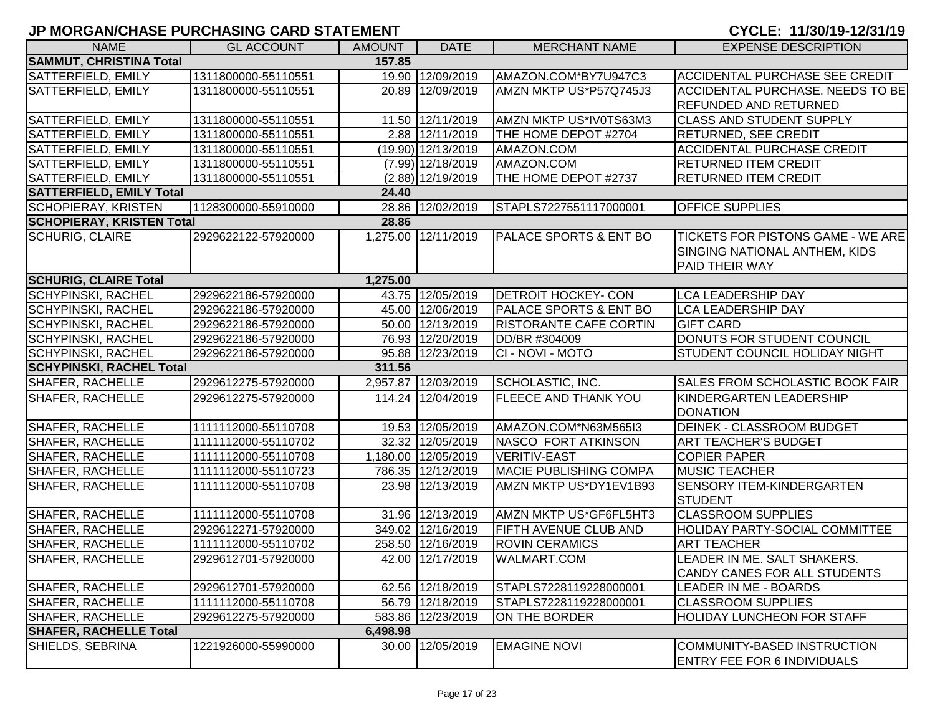| <b>NAME</b>                      | <b>GL ACCOUNT</b>   | <b>AMOUNT</b> | <b>DATE</b>         | <b>MERCHANT NAME</b>              | <b>EXPENSE DESCRIPTION</b>               |
|----------------------------------|---------------------|---------------|---------------------|-----------------------------------|------------------------------------------|
| <b>SAMMUT, CHRISTINA Total</b>   |                     | 157.85        |                     |                                   |                                          |
| SATTERFIELD, EMILY               | 1311800000-55110551 |               | 19.90 12/09/2019    | AMAZON.COM*BY7U947C3              | ACCIDENTAL PURCHASE SEE CREDIT           |
| SATTERFIELD, EMILY               | 1311800000-55110551 |               | 20.89 12/09/2019    | AMZN MKTP US*P57Q745J3            | ACCIDENTAL PURCHASE. NEEDS TO BE         |
|                                  |                     |               |                     |                                   | <b>REFUNDED AND RETURNED</b>             |
| <b>SATTERFIELD, EMILY</b>        | 1311800000-55110551 |               | 11.50 12/11/2019    | AMZN MKTP US*IV0TS63M3            | <b>CLASS AND STUDENT SUPPLY</b>          |
| <b>SATTERFIELD, EMILY</b>        | 1311800000-55110551 |               | 2.88 12/11/2019     | THE HOME DEPOT #2704              | <b>RETURNED, SEE CREDIT</b>              |
| SATTERFIELD, EMILY               | 1311800000-55110551 |               | (19.90) 12/13/2019  | AMAZON.COM                        | <b>ACCIDENTAL PURCHASE CREDIT</b>        |
| SATTERFIELD, EMILY               | 1311800000-55110551 |               | $(7.99)$ 12/18/2019 | AMAZON.COM                        | <b>RETURNED ITEM CREDIT</b>              |
| SATTERFIELD, EMILY               | 1311800000-55110551 |               | $(2.88)$ 12/19/2019 | THE HOME DEPOT #2737              | <b>RETURNED ITEM CREDIT</b>              |
| <b>SATTERFIELD, EMILY Total</b>  |                     | 24.40         |                     |                                   |                                          |
| <b>SCHOPIERAY, KRISTEN</b>       | 1128300000-55910000 |               | 28.86 12/02/2019    | STAPLS7227551117000001            | <b>OFFICE SUPPLIES</b>                   |
| <b>SCHOPIERAY, KRISTEN Total</b> |                     | 28.86         |                     |                                   |                                          |
| <b>SCHURIG, CLAIRE</b>           | 2929622122-57920000 |               | 1,275.00 12/11/2019 | <b>PALACE SPORTS &amp; ENT BO</b> | <b>TICKETS FOR PISTONS GAME - WE ARE</b> |
|                                  |                     |               |                     |                                   | SINGING NATIONAL ANTHEM, KIDS            |
|                                  |                     |               |                     |                                   | <b>PAID THEIR WAY</b>                    |
| <b>SCHURIG, CLAIRE Total</b>     |                     | 1,275.00      |                     |                                   |                                          |
| <b>SCHYPINSKI, RACHEL</b>        | 2929622186-57920000 |               | 43.75 12/05/2019    | <b>DETROIT HOCKEY- CON</b>        | <b>LCA LEADERSHIP DAY</b>                |
| <b>SCHYPINSKI, RACHEL</b>        | 2929622186-57920000 |               | 45.00 12/06/2019    | PALACE SPORTS & ENT BO            | <b>LCA LEADERSHIP DAY</b>                |
| <b>SCHYPINSKI, RACHEL</b>        | 2929622186-57920000 |               | 50.00 12/13/2019    | <b>RISTORANTE CAFE CORTIN</b>     | <b>GIFT CARD</b>                         |
| <b>SCHYPINSKI, RACHEL</b>        | 2929622186-57920000 |               | 76.93 12/20/2019    | DD/BR #304009                     | DONUTS FOR STUDENT COUNCIL               |
| <b>SCHYPINSKI, RACHEL</b>        | 2929622186-57920000 |               | 95.88 12/23/2019    | CI - NOVI - MOTO                  | <b>STUDENT COUNCIL HOLIDAY NIGHT</b>     |
| <b>SCHYPINSKI, RACHEL Total</b>  |                     | 311.56        |                     |                                   |                                          |
| <b>SHAFER, RACHELLE</b>          | 2929612275-57920000 |               | 2,957.87 12/03/2019 | SCHOLASTIC, INC.                  | <b>SALES FROM SCHOLASTIC BOOK FAIR</b>   |
| <b>SHAFER, RACHELLE</b>          | 2929612275-57920000 |               | 114.24 12/04/2019   | <b>FLEECE AND THANK YOU</b>       | KINDERGARTEN LEADERSHIP                  |
|                                  |                     |               |                     |                                   | <b>DONATION</b>                          |
| SHAFER, RACHELLE                 | 1111112000-55110708 |               | 19.53 12/05/2019    | AMAZON.COM*N63M565I3              | <b>DEINEK - CLASSROOM BUDGET</b>         |
| SHAFER, RACHELLE                 | 1111112000-55110702 |               | 32.32 12/05/2019    | NASCO FORT ATKINSON               | <b>ART TEACHER'S BUDGET</b>              |
| SHAFER, RACHELLE                 | 1111112000-55110708 |               | 1,180.00 12/05/2019 | <b>VERITIV-EAST</b>               | <b>COPIER PAPER</b>                      |
| SHAFER, RACHELLE                 | 1111112000-55110723 |               | 786.35 12/12/2019   | <b>MACIE PUBLISHING COMPA</b>     | <b>MUSIC TEACHER</b>                     |
| SHAFER, RACHELLE                 | 1111112000-55110708 |               | 23.98 12/13/2019    | AMZN MKTP US*DY1EV1B93            | <b>SENSORY ITEM-KINDERGARTEN</b>         |
|                                  |                     |               |                     |                                   | STUDENT                                  |
| SHAFER, RACHELLE                 | 1111112000-55110708 |               | 31.96 12/13/2019    | AMZN MKTP US*GF6FL5HT3            | <b>CLASSROOM SUPPLIES</b>                |
| SHAFER, RACHELLE                 | 2929612271-57920000 |               | 349.02 12/16/2019   | <b>FIFTH AVENUE CLUB AND</b>      | <b>HOLIDAY PARTY-SOCIAL COMMITTEE</b>    |
| <b>SHAFER, RACHELLE</b>          | 1111112000-55110702 |               | 258.50 12/16/2019   | <b>ROVIN CERAMICS</b>             | <b>ART TEACHER</b>                       |
| <b>SHAFER, RACHELLE</b>          | 2929612701-57920000 |               | 42.00 12/17/2019    | <b>WALMART.COM</b>                | LEADER IN ME. SALT SHAKERS.              |
|                                  |                     |               |                     |                                   | CANDY CANES FOR ALL STUDENTS             |
| <b>SHAFER, RACHELLE</b>          | 2929612701-57920000 |               | 62.56 12/18/2019    | STAPLS7228119228000001            | LEADER IN ME - BOARDS                    |
| <b>SHAFER, RACHELLE</b>          | 1111112000-55110708 |               | 56.79 12/18/2019    | STAPLS7228119228000001            | <b>CLASSROOM SUPPLIES</b>                |
| <b>SHAFER, RACHELLE</b>          | 2929612275-57920000 |               | 583.86 12/23/2019   | ON THE BORDER                     | <b>HOLIDAY LUNCHEON FOR STAFF</b>        |
| <b>SHAFER, RACHELLE Total</b>    |                     | 6,498.98      |                     |                                   |                                          |
| SHIELDS, SEBRINA                 | 1221926000-55990000 |               | 30.00 12/05/2019    | <b>EMAGINE NOVI</b>               | COMMUNITY-BASED INSTRUCTION              |
|                                  |                     |               |                     |                                   | <b>ENTRY FEE FOR 6 INDIVIDUALS</b>       |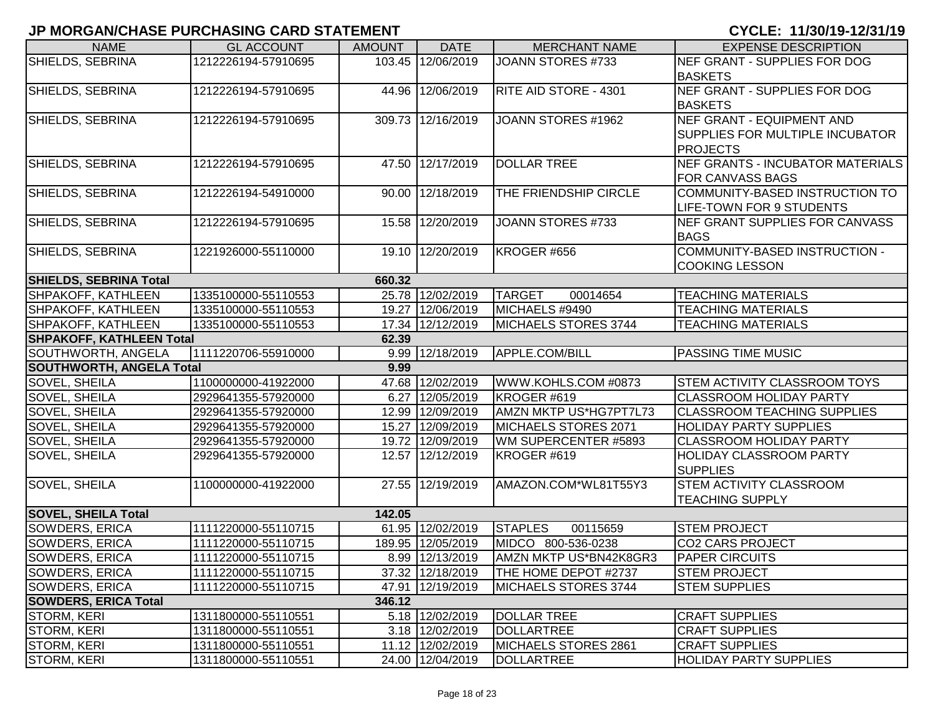| <b>NAME</b>                              | <b>GL ACCOUNT</b>   | <b>AMOUNT</b> | <b>DATE</b>       | <b>MERCHANT NAME</b>       | <b>EXPENSE DESCRIPTION</b>              |  |  |  |
|------------------------------------------|---------------------|---------------|-------------------|----------------------------|-----------------------------------------|--|--|--|
| SHIELDS, SEBRINA                         | 1212226194-57910695 |               | 103.45 12/06/2019 | <b>JOANN STORES #733</b>   | NEF GRANT - SUPPLIES FOR DOG            |  |  |  |
|                                          |                     |               |                   |                            | <b>BASKETS</b>                          |  |  |  |
| SHIELDS, SEBRINA                         | 1212226194-57910695 |               | 44.96 12/06/2019  | RITE AID STORE - 4301      | NEF GRANT - SUPPLIES FOR DOG            |  |  |  |
|                                          |                     |               |                   |                            | <b>BASKETS</b>                          |  |  |  |
| SHIELDS, SEBRINA                         | 1212226194-57910695 |               | 309.73 12/16/2019 | JOANN STORES #1962         | NEF GRANT - EQUIPMENT AND               |  |  |  |
|                                          |                     |               |                   |                            | <b>SUPPLIES FOR MULTIPLE INCUBATOR</b>  |  |  |  |
|                                          |                     |               |                   |                            | <b>PROJECTS</b>                         |  |  |  |
| SHIELDS, SEBRINA                         | 1212226194-57910695 |               | 47.50 12/17/2019  | <b>DOLLAR TREE</b>         | <b>NEF GRANTS - INCUBATOR MATERIALS</b> |  |  |  |
|                                          |                     |               |                   |                            | <b>FOR CANVASS BAGS</b>                 |  |  |  |
| SHIELDS, SEBRINA                         | 1212226194-54910000 |               | 90.00 12/18/2019  | THE FRIENDSHIP CIRCLE      | COMMUNITY-BASED INSTRUCTION TO          |  |  |  |
|                                          |                     |               |                   |                            | LIFE-TOWN FOR 9 STUDENTS                |  |  |  |
| SHIELDS, SEBRINA                         | 1212226194-57910695 |               | 15.58 12/20/2019  | JOANN STORES #733          | NEF GRANT SUPPLIES FOR CANVASS          |  |  |  |
|                                          |                     |               |                   |                            | <b>BAGS</b>                             |  |  |  |
| SHIELDS, SEBRINA                         | 1221926000-55110000 |               | 19.10 12/20/2019  | KROGER #656                | COMMUNITY-BASED INSTRUCTION -           |  |  |  |
|                                          |                     |               |                   |                            | <b>COOKING LESSON</b>                   |  |  |  |
| SHIELDS, SEBRINA Total                   |                     | 660.32        |                   |                            |                                         |  |  |  |
| <b>SHPAKOFF, KATHLEEN</b>                | 1335100000-55110553 |               | 25.78 12/02/2019  | <b>TARGET</b><br>00014654  | <b>TEACHING MATERIALS</b>               |  |  |  |
| SHPAKOFF, KATHLEEN                       | 1335100000-55110553 |               | 19.27 12/06/2019  | MICHAELS #9490             | <b>TEACHING MATERIALS</b>               |  |  |  |
| SHPAKOFF, KATHLEEN                       | 1335100000-55110553 |               | 17.34 12/12/2019  | MICHAELS STORES 3744       | <b>TEACHING MATERIALS</b>               |  |  |  |
| <b>SHPAKOFF, KATHLEEN Total</b><br>62.39 |                     |               |                   |                            |                                         |  |  |  |
| SOUTHWORTH, ANGELA                       | 1111220706-55910000 |               | 9.99 12/18/2019   | APPLE.COM/BILL             | <b>PASSING TIME MUSIC</b>               |  |  |  |
| <b>SOUTHWORTH, ANGELA Total</b>          |                     | 9.99          |                   |                            |                                         |  |  |  |
| SOVEL, SHEILA                            | 1100000000-41922000 |               | 47.68 12/02/2019  | WWW.KOHLS.COM #0873        | <b>STEM ACTIVITY CLASSROOM TOYS</b>     |  |  |  |
| SOVEL, SHEILA                            | 2929641355-57920000 |               | 6.27 12/05/2019   | KROGER #619                | <b>CLASSROOM HOLIDAY PARTY</b>          |  |  |  |
| SOVEL, SHEILA                            | 2929641355-57920000 |               | 12.99 12/09/2019  | AMZN MKTP US*HG7PT7L73     | <b>CLASSROOM TEACHING SUPPLIES</b>      |  |  |  |
| SOVEL, SHEILA                            | 2929641355-57920000 |               | 15.27 12/09/2019  | MICHAELS STORES 2071       | <b>HOLIDAY PARTY SUPPLIES</b>           |  |  |  |
| SOVEL, SHEILA                            | 2929641355-57920000 |               | 19.72 12/09/2019  | WM SUPERCENTER #5893       | <b>CLASSROOM HOLIDAY PARTY</b>          |  |  |  |
| SOVEL, SHEILA                            | 2929641355-57920000 |               | 12.57 12/12/2019  | KROGER #619                | <b>HOLIDAY CLASSROOM PARTY</b>          |  |  |  |
|                                          |                     |               |                   |                            | <b>SUPPLIES</b>                         |  |  |  |
| SOVEL, SHEILA                            | 1100000000-41922000 |               | 27.55 12/19/2019  | AMAZON.COM*WL81T55Y3       | <b>STEM ACTIVITY CLASSROOM</b>          |  |  |  |
|                                          |                     |               |                   |                            | <b>TEACHING SUPPLY</b>                  |  |  |  |
| <b>SOVEL, SHEILA Total</b>               |                     | 142.05        |                   |                            |                                         |  |  |  |
| <b>SOWDERS, ERICA</b>                    | 1111220000-55110715 |               | 61.95 12/02/2019  | <b>STAPLES</b><br>00115659 | <b>STEM PROJECT</b>                     |  |  |  |
| <b>SOWDERS, ERICA</b>                    | 1111220000-55110715 |               | 189.95 12/05/2019 | MIDCO 800-536-0238         | <b>CO2 CARS PROJECT</b>                 |  |  |  |
| SOWDERS, ERICA                           | 1111220000-55110715 |               | 8.99 12/13/2019   | AMZN MKTP US*BN42K8GR3     | <b>PAPER CIRCUITS</b>                   |  |  |  |
| SOWDERS, ERICA                           | 1111220000-55110715 |               | 37.32 12/18/2019  | THE HOME DEPOT #2737       | <b>STEM PROJECT</b>                     |  |  |  |
| SOWDERS, ERICA                           | 1111220000-55110715 |               | 47.91 12/19/2019  | MICHAELS STORES 3744       | <b>STEM SUPPLIES</b>                    |  |  |  |
| <b>SOWDERS, ERICA Total</b>              |                     | 346.12        |                   |                            |                                         |  |  |  |
| <b>STORM, KERI</b>                       | 1311800000-55110551 |               | 5.18 12/02/2019   | <b>DOLLAR TREE</b>         | <b>CRAFT SUPPLIES</b>                   |  |  |  |
| <b>STORM, KERI</b>                       | 1311800000-55110551 |               | 3.18 12/02/2019   | <b>DOLLARTREE</b>          | <b>CRAFT SUPPLIES</b>                   |  |  |  |
| <b>STORM, KERI</b>                       | 1311800000-55110551 |               | 11.12 12/02/2019  | MICHAELS STORES 2861       | <b>CRAFT SUPPLIES</b>                   |  |  |  |
| <b>STORM, KERI</b>                       | 1311800000-55110551 |               | 24.00 12/04/2019  | DOLLARTREE                 | <b>HOLIDAY PARTY SUPPLIES</b>           |  |  |  |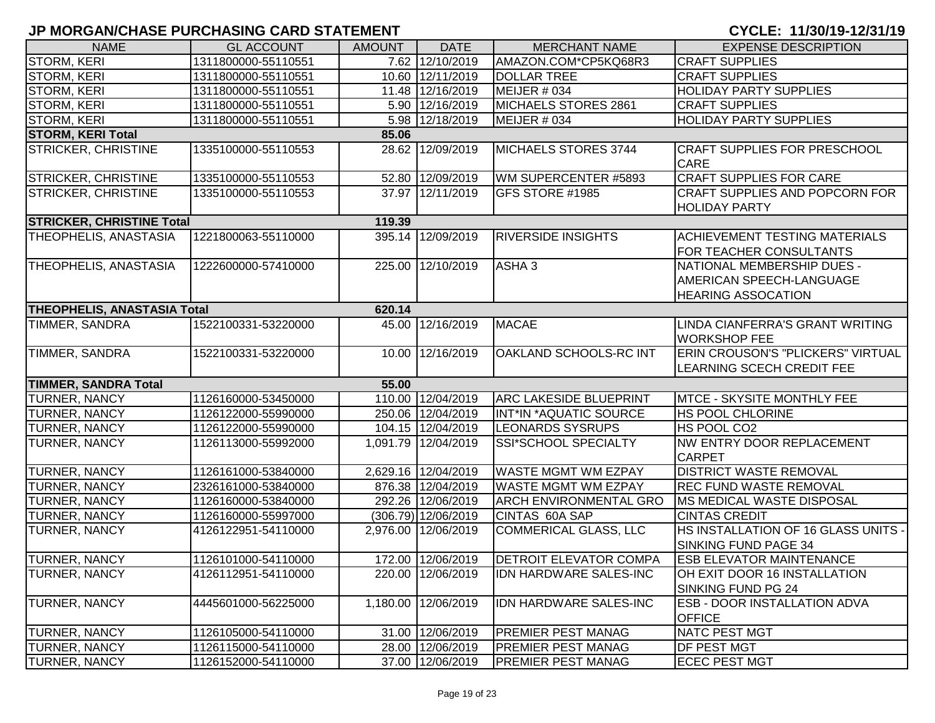| <b>NAME</b>                      | <b>GL ACCOUNT</b>                            | <b>AMOUNT</b> | <b>DATE</b>           | <b>MERCHANT NAME</b>          | <b>EXPENSE DESCRIPTION</b>                                                          |  |  |  |  |  |
|----------------------------------|----------------------------------------------|---------------|-----------------------|-------------------------------|-------------------------------------------------------------------------------------|--|--|--|--|--|
| STORM, KERI                      | 1311800000-55110551                          |               | 7.62 12/10/2019       | AMAZON.COM*CP5KQ68R3          | <b>CRAFT SUPPLIES</b>                                                               |  |  |  |  |  |
| <b>STORM, KERI</b>               | 1311800000-55110551                          |               | 10.60 12/11/2019      | <b>DOLLAR TREE</b>            | <b>CRAFT SUPPLIES</b>                                                               |  |  |  |  |  |
| <b>STORM, KERI</b>               | 1311800000-55110551                          |               | 11.48 12/16/2019      | MEIJER # 034                  | <b>HOLIDAY PARTY SUPPLIES</b>                                                       |  |  |  |  |  |
| <b>STORM, KERI</b>               | 1311800000-55110551                          |               | 5.90 12/16/2019       | MICHAELS STORES 2861          | <b>CRAFT SUPPLIES</b>                                                               |  |  |  |  |  |
| <b>STORM, KERI</b>               | 1311800000-55110551                          |               | 5.98 12/18/2019       | MEIJER # 034                  | <b>HOLIDAY PARTY SUPPLIES</b>                                                       |  |  |  |  |  |
| <b>STORM, KERI Total</b>         |                                              | 85.06         |                       |                               |                                                                                     |  |  |  |  |  |
| <b>STRICKER, CHRISTINE</b>       | 1335100000-55110553                          |               | 28.62 12/09/2019      | MICHAELS STORES 3744          | <b>CRAFT SUPPLIES FOR PRESCHOOL</b><br><b>CARE</b>                                  |  |  |  |  |  |
| <b>STRICKER, CHRISTINE</b>       | 1335100000-55110553                          |               | 52.80 12/09/2019      | WM SUPERCENTER #5893          | <b>CRAFT SUPPLIES FOR CARE</b>                                                      |  |  |  |  |  |
| <b>STRICKER, CHRISTINE</b>       | 1335100000-55110553                          |               | 37.97 12/11/2019      | <b>GFS STORE #1985</b>        | <b>CRAFT SUPPLIES AND POPCORN FOR</b><br><b>HOLIDAY PARTY</b>                       |  |  |  |  |  |
| <b>STRICKER, CHRISTINE Total</b> |                                              | 119.39        |                       |                               |                                                                                     |  |  |  |  |  |
| THEOPHELIS, ANASTASIA            | 1221800063-55110000                          |               | 395.14 12/09/2019     | <b>RIVERSIDE INSIGHTS</b>     | <b>ACHIEVEMENT TESTING MATERIALS</b><br>FOR TEACHER CONSULTANTS                     |  |  |  |  |  |
| THEOPHELIS, ANASTASIA            | 1222600000-57410000                          |               | 225.00 12/10/2019     | ASHA <sub>3</sub>             | NATIONAL MEMBERSHIP DUES -<br>AMERICAN SPEECH-LANGUAGE<br><b>HEARING ASSOCATION</b> |  |  |  |  |  |
|                                  | <b>THEOPHELIS, ANASTASIA Total</b><br>620.14 |               |                       |                               |                                                                                     |  |  |  |  |  |
| TIMMER, SANDRA                   | 1522100331-53220000                          |               | 45.00 12/16/2019      | <b>MACAE</b>                  | LINDA CIANFERRA'S GRANT WRITING<br><b>WORKSHOP FEE</b>                              |  |  |  |  |  |
| TIMMER, SANDRA                   | 1522100331-53220000                          |               | 10.00 12/16/2019      | OAKLAND SCHOOLS-RC INT        | <b>ERIN CROUSON'S "PLICKERS" VIRTUAL</b><br>LEARNING SCECH CREDIT FEE               |  |  |  |  |  |
| <b>TIMMER, SANDRA Total</b>      |                                              | 55.00         |                       |                               |                                                                                     |  |  |  |  |  |
| <b>TURNER, NANCY</b>             | 1126160000-53450000                          |               | 110.00 12/04/2019     | <b>ARC LAKESIDE BLUEPRINT</b> | MTCE - SKYSITE MONTHLY FEE                                                          |  |  |  |  |  |
| <b>TURNER, NANCY</b>             | 1126122000-55990000                          |               | 250.06 12/04/2019     | INT*IN *AQUATIC SOURCE        | <b>HS POOL CHLORINE</b>                                                             |  |  |  |  |  |
| <b>TURNER, NANCY</b>             | 1126122000-55990000                          |               | 104.15 12/04/2019     | <b>LEONARDS SYSRUPS</b>       | HS POOL CO2                                                                         |  |  |  |  |  |
| <b>TURNER, NANCY</b>             | 1126113000-55992000                          |               | 1,091.79 12/04/2019   | SSI*SCHOOL SPECIALTY          | NW ENTRY DOOR REPLACEMENT<br><b>CARPET</b>                                          |  |  |  |  |  |
| <b>TURNER, NANCY</b>             | 1126161000-53840000                          |               | 2,629.16 12/04/2019   | <b>WASTE MGMT WM EZPAY</b>    | <b>DISTRICT WASTE REMOVAL</b>                                                       |  |  |  |  |  |
| <b>TURNER, NANCY</b>             | 2326161000-53840000                          |               | 876.38 12/04/2019     | <b>WASTE MGMT WM EZPAY</b>    | REC FUND WASTE REMOVAL                                                              |  |  |  |  |  |
| <b>TURNER, NANCY</b>             | 1126160000-53840000                          |               | 292.26 12/06/2019     | <b>ARCH ENVIRONMENTAL GRO</b> | <b>IMS MEDICAL WASTE DISPOSAL</b>                                                   |  |  |  |  |  |
| <b>TURNER, NANCY</b>             | 1126160000-55997000                          |               | $(306.79)$ 12/06/2019 | CINTAS 60A SAP                | <b>CINTAS CREDIT</b>                                                                |  |  |  |  |  |
| <b>TURNER, NANCY</b>             | 4126122951-54110000                          |               | 2,976.00 12/06/2019   | <b>COMMERICAL GLASS, LLC</b>  | HS INSTALLATION OF 16 GLASS UNITS -<br>SINKING FUND PAGE 34                         |  |  |  |  |  |
| <b>TURNER, NANCY</b>             | 1126101000-54110000                          |               | 172.00 12/06/2019     | <b>DETROIT ELEVATOR COMPA</b> | <b>ESB ELEVATOR MAINTENANCE</b>                                                     |  |  |  |  |  |
| <b>TURNER, NANCY</b>             | 4126112951-54110000                          |               | 220.00 12/06/2019     | <b>IDN HARDWARE SALES-INC</b> | OH EXIT DOOR 16 INSTALLATION<br>SINKING FUND PG 24                                  |  |  |  |  |  |
| <b>TURNER, NANCY</b>             | 4445601000-56225000                          |               | 1,180.00 12/06/2019   | IDN HARDWARE SALES-INC        | <b>ESB - DOOR INSTALLATION ADVA</b><br><b>OFFICE</b>                                |  |  |  |  |  |
| <b>TURNER, NANCY</b>             | 1126105000-54110000                          |               | 31.00 12/06/2019      | <b>PREMIER PEST MANAG</b>     | <b>NATC PEST MGT</b>                                                                |  |  |  |  |  |
| <b>TURNER, NANCY</b>             | 1126115000-54110000                          |               | 28.00 12/06/2019      | <b>PREMIER PEST MANAG</b>     | DF PEST MGT                                                                         |  |  |  |  |  |
| <b>TURNER, NANCY</b>             | 1126152000-54110000                          |               | 37.00 12/06/2019      | <b>PREMIER PEST MANAG</b>     | <b>ECEC PEST MGT</b>                                                                |  |  |  |  |  |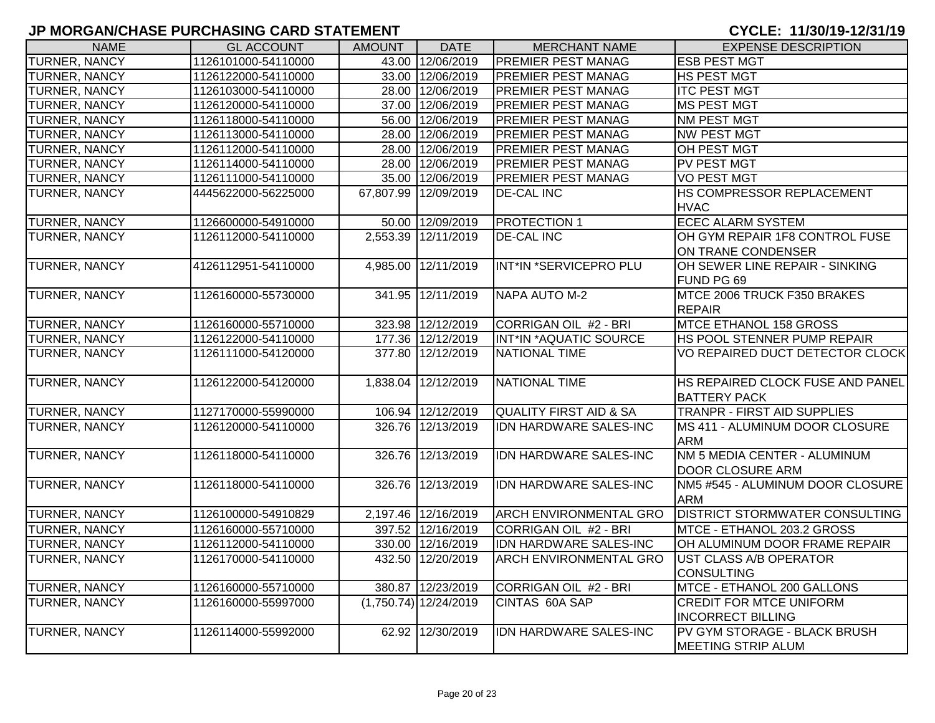| <b>NAME</b>          | <b>GL ACCOUNT</b>   | <b>AMOUNT</b> | <b>DATE</b>             | <b>MERCHANT NAME</b>              | <b>EXPENSE DESCRIPTION</b>                                |
|----------------------|---------------------|---------------|-------------------------|-----------------------------------|-----------------------------------------------------------|
| TURNER, NANCY        | 1126101000-54110000 |               | 43.00 12/06/2019        | PREMIER PEST MANAG                | <b>ESB PEST MGT</b>                                       |
| TURNER, NANCY        | 1126122000-54110000 |               | 33.00 12/06/2019        | <b>PREMIER PEST MANAG</b>         | <b>HS PEST MGT</b>                                        |
| TURNER, NANCY        | 1126103000-54110000 |               | 28.00 12/06/2019        | PREMIER PEST MANAG                | <b>ITC PEST MGT</b>                                       |
| TURNER, NANCY        | 1126120000-54110000 |               | 37.00 12/06/2019        | PREMIER PEST MANAG                | <b>MS PEST MGT</b>                                        |
| TURNER, NANCY        | 1126118000-54110000 |               | 56.00 12/06/2019        | PREMIER PEST MANAG                | <b>NM PEST MGT</b>                                        |
| TURNER, NANCY        | 1126113000-54110000 |               | 28.00 12/06/2019        | PREMIER PEST MANAG                | <b>NW PEST MGT</b>                                        |
| TURNER, NANCY        | 1126112000-54110000 |               | 28.00 12/06/2019        | PREMIER PEST MANAG                | OH PEST MGT                                               |
| TURNER, NANCY        | 1126114000-54110000 |               | 28.00 12/06/2019        | PREMIER PEST MANAG                | PV PEST MGT                                               |
| TURNER, NANCY        | 1126111000-54110000 |               | 35.00 12/06/2019        | PREMIER PEST MANAG                | <b>VO PEST MGT</b>                                        |
| TURNER, NANCY        | 4445622000-56225000 |               | 67,807.99 12/09/2019    | <b>DE-CAL INC</b>                 | HS COMPRESSOR REPLACEMENT<br><b>HVAC</b>                  |
| <b>TURNER, NANCY</b> | 1126600000-54910000 |               | 50.00 12/09/2019        | <b>PROTECTION 1</b>               | <b>ECEC ALARM SYSTEM</b>                                  |
| TURNER, NANCY        | 1126112000-54110000 |               | 2,553.39 12/11/2019     | <b>DE-CAL INC</b>                 | OH GYM REPAIR 1F8 CONTROL FUSE                            |
|                      |                     |               |                         |                                   | ON TRANE CONDENSER                                        |
| <b>TURNER, NANCY</b> | 4126112951-54110000 |               | 4,985.00 12/11/2019     | INT*IN *SERVICEPRO PLU            | OH SEWER LINE REPAIR - SINKING                            |
|                      |                     |               |                         |                                   | FUND PG 69                                                |
| <b>TURNER, NANCY</b> | 1126160000-55730000 |               | 341.95 12/11/2019       | <b>NAPA AUTO M-2</b>              | MTCE 2006 TRUCK F350 BRAKES                               |
|                      |                     |               |                         |                                   | <b>REPAIR</b>                                             |
| <b>TURNER, NANCY</b> | 1126160000-55710000 |               | 323.98 12/12/2019       | CORRIGAN OIL #2 - BRI             | <b>MTCE ETHANOL 158 GROSS</b>                             |
| <b>TURNER, NANCY</b> | 1126122000-54110000 |               | 177.36 12/12/2019       | INT*IN *AQUATIC SOURCE            | HS POOL STENNER PUMP REPAIR                               |
| TURNER, NANCY        | 1126111000-54120000 |               | 377.80 12/12/2019       | <b>NATIONAL TIME</b>              | VO REPAIRED DUCT DETECTOR CLOCK                           |
| <b>TURNER, NANCY</b> | 1126122000-54120000 |               | 1,838.04 12/12/2019     | <b>NATIONAL TIME</b>              | HS REPAIRED CLOCK FUSE AND PANEL                          |
|                      |                     |               |                         |                                   | <b>BATTERY PACK</b>                                       |
| <b>TURNER, NANCY</b> | 1127170000-55990000 |               | 106.94 12/12/2019       | <b>QUALITY FIRST AID &amp; SA</b> | <b>TRANPR - FIRST AID SUPPLIES</b>                        |
| <b>TURNER, NANCY</b> | 1126120000-54110000 |               | 326.76 12/13/2019       | <b>IDN HARDWARE SALES-INC</b>     | MS 411 - ALUMINUM DOOR CLOSURE<br><b>ARM</b>              |
| <b>TURNER, NANCY</b> | 1126118000-54110000 |               | 326.76 12/13/2019       | <b>IDN HARDWARE SALES-INC</b>     | NM 5 MEDIA CENTER - ALUMINUM<br><b>DOOR CLOSURE ARM</b>   |
| TURNER, NANCY        | 1126118000-54110000 |               | 326.76 12/13/2019       | IDN HARDWARE SALES-INC            | NM5 #545 - ALUMINUM DOOR CLOSURE<br><b>ARM</b>            |
| <b>TURNER, NANCY</b> | 1126100000-54910829 |               | 2,197.46 12/16/2019     | <b>ARCH ENVIRONMENTAL GRO</b>     | <b>DISTRICT STORMWATER CONSULTING</b>                     |
| TURNER, NANCY        | 1126160000-55710000 |               | 397.52 12/16/2019       | CORRIGAN OIL #2 - BRI             | MTCE - ETHANOL 203.2 GROSS                                |
| <b>TURNER, NANCY</b> | 1126112000-54110000 |               | 330.00 12/16/2019       | IDN HARDWARE SALES-INC            | OH ALUMINUM DOOR FRAME REPAIR                             |
| TURNER, NANCY        | 1126170000-54110000 |               | 432.50 12/20/2019       | <b>ARCH ENVIRONMENTAL GRO</b>     | <b>UST CLASS A/B OPERATOR</b><br><b>CONSULTING</b>        |
| <b>TURNER, NANCY</b> | 1126160000-55710000 |               | 380.87 12/23/2019       | <b>CORRIGAN OIL #2 - BRI</b>      | MTCE - ETHANOL 200 GALLONS                                |
| <b>TURNER, NANCY</b> | 1126160000-55997000 |               | $(1,750.74)$ 12/24/2019 | CINTAS 60A SAP                    | <b>CREDIT FOR MTCE UNIFORM</b>                            |
|                      |                     |               |                         |                                   | <b>INCORRECT BILLING</b>                                  |
| <b>TURNER, NANCY</b> | 1126114000-55992000 |               | 62.92 12/30/2019        | IDN HARDWARE SALES-INC            | PV GYM STORAGE - BLACK BRUSH<br><b>MEETING STRIP ALUM</b> |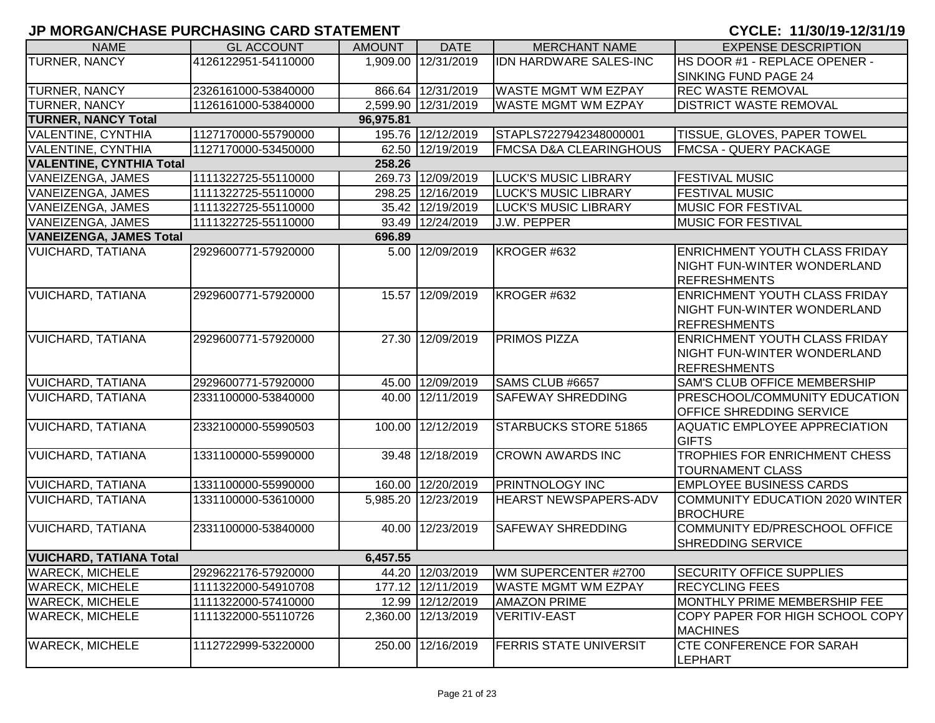| <b>NAME</b>                     | <b>GL ACCOUNT</b>   | <b>AMOUNT</b> | <b>DATE</b>         | <b>MERCHANT NAME</b>              | <b>EXPENSE DESCRIPTION</b>                         |
|---------------------------------|---------------------|---------------|---------------------|-----------------------------------|----------------------------------------------------|
| <b>TURNER, NANCY</b>            | 4126122951-54110000 |               | 1,909.00 12/31/2019 | IDN HARDWARE SALES-INC            | HS DOOR #1 - REPLACE OPENER -                      |
|                                 |                     |               |                     |                                   | <b>SINKING FUND PAGE 24</b>                        |
| <b>TURNER, NANCY</b>            | 2326161000-53840000 |               | 866.64 12/31/2019   | <b>WASTE MGMT WM EZPAY</b>        | <b>REC WASTE REMOVAL</b>                           |
| <b>TURNER, NANCY</b>            | 1126161000-53840000 |               | 2,599.90 12/31/2019 | <b>WASTE MGMT WM EZPAY</b>        | <b>DISTRICT WASTE REMOVAL</b>                      |
| <b>TURNER, NANCY Total</b>      |                     | 96,975.81     |                     |                                   |                                                    |
| <b>VALENTINE, CYNTHIA</b>       | 1127170000-55790000 |               | 195.76 12/12/2019   | STAPLS7227942348000001            | <b>TISSUE, GLOVES, PAPER TOWEL</b>                 |
| <b>VALENTINE, CYNTHIA</b>       | 1127170000-53450000 |               | 62.50 12/19/2019    | <b>FMCSA D&amp;A CLEARINGHOUS</b> | <b>FMCSA - QUERY PACKAGE</b>                       |
| <b>VALENTINE, CYNTHIA Total</b> |                     | 258.26        |                     |                                   |                                                    |
| VANEIZENGA, JAMES               | 1111322725-55110000 |               | 269.73 12/09/2019   | <b>LUCK'S MUSIC LIBRARY</b>       | <b>FESTIVAL MUSIC</b>                              |
| VANEIZENGA, JAMES               | 1111322725-55110000 |               | 298.25 12/16/2019   | <b>LUCK'S MUSIC LIBRARY</b>       | <b>FESTIVAL MUSIC</b>                              |
| VANEIZENGA, JAMES               | 1111322725-55110000 |               | 35.42 12/19/2019    | <b>LUCK'S MUSIC LIBRARY</b>       | <b>MUSIC FOR FESTIVAL</b>                          |
| VANEIZENGA, JAMES               | 1111322725-55110000 |               | 93.49 12/24/2019    | <b>J.W. PEPPER</b>                | <b>MUSIC FOR FESTIVAL</b>                          |
| <b>VANEIZENGA, JAMES Total</b>  |                     | 696.89        |                     |                                   |                                                    |
| <b>VUICHARD, TATIANA</b>        | 2929600771-57920000 |               | 5.00 12/09/2019     | KROGER #632                       | <b>ENRICHMENT YOUTH CLASS FRIDAY</b>               |
|                                 |                     |               |                     |                                   | NIGHT FUN-WINTER WONDERLAND                        |
|                                 |                     |               |                     |                                   | <b>REFRESHMENTS</b>                                |
| <b>VUICHARD, TATIANA</b>        | 2929600771-57920000 |               | 15.57 12/09/2019    | KROGER #632                       | <b>ENRICHMENT YOUTH CLASS FRIDAY</b>               |
|                                 |                     |               |                     |                                   | <b>NIGHT FUN-WINTER WONDERLAND</b>                 |
|                                 |                     |               |                     |                                   | <b>REFRESHMENTS</b>                                |
| <b>VUICHARD, TATIANA</b>        | 2929600771-57920000 |               | 27.30 12/09/2019    | <b>PRIMOS PIZZA</b>               | <b>ENRICHMENT YOUTH CLASS FRIDAY</b>               |
|                                 |                     |               |                     |                                   | NIGHT FUN-WINTER WONDERLAND                        |
|                                 |                     |               |                     |                                   | <b>REFRESHMENTS</b>                                |
| <b>VUICHARD, TATIANA</b>        | 2929600771-57920000 |               | 45.00 12/09/2019    | SAMS CLUB #6657                   | <b>SAM'S CLUB OFFICE MEMBERSHIP</b>                |
| <b>VUICHARD, TATIANA</b>        | 2331100000-53840000 |               | 40.00 12/11/2019    | <b>SAFEWAY SHREDDING</b>          | <b>PRESCHOOL/COMMUNITY EDUCATION</b>               |
|                                 |                     |               |                     |                                   | <b>OFFICE SHREDDING SERVICE</b>                    |
| <b>VUICHARD, TATIANA</b>        | 2332100000-55990503 |               | 100.00 12/12/2019   | STARBUCKS STORE 51865             | <b>AQUATIC EMPLOYEE APPRECIATION</b>               |
|                                 |                     |               |                     |                                   | <b>GIFTS</b>                                       |
| <b>VUICHARD, TATIANA</b>        | 1331100000-55990000 |               | 39.48 12/18/2019    | <b>CROWN AWARDS INC</b>           | TROPHIES FOR ENRICHMENT CHESS                      |
|                                 |                     |               |                     |                                   | <b>TOURNAMENT CLASS</b>                            |
| <b>VUICHARD, TATIANA</b>        | 1331100000-55990000 |               | 160.00 12/20/2019   | <b>PRINTNOLOGY INC</b>            | <b>EMPLOYEE BUSINESS CARDS</b>                     |
| <b>VUICHARD, TATIANA</b>        | 1331100000-53610000 |               | 5,985.20 12/23/2019 | HEARST NEWSPAPERS-ADV             | COMMUNITY EDUCATION 2020 WINTER<br><b>BROCHURE</b> |
| <b>VUICHARD, TATIANA</b>        | 2331100000-53840000 |               | 40.00 12/23/2019    | <b>SAFEWAY SHREDDING</b>          | COMMUNITY ED/PRESCHOOL OFFICE                      |
|                                 |                     |               |                     |                                   | <b>SHREDDING SERVICE</b>                           |
| <b>VUICHARD, TATIANA Total</b>  |                     | 6,457.55      |                     |                                   |                                                    |
| <b>WARECK, MICHELE</b>          | 2929622176-57920000 |               | 44.20 12/03/2019    | WM SUPERCENTER #2700              | <b>SECURITY OFFICE SUPPLIES</b>                    |
| <b>WARECK, MICHELE</b>          | 1111322000-54910708 |               | 177.12 12/11/2019   | WASTE MGMT WM EZPAY               | <b>RECYCLING FEES</b>                              |
| <b>WARECK, MICHELE</b>          | 1111322000-57410000 |               | 12.99 12/12/2019    | <b>AMAZON PRIME</b>               | MONTHLY PRIME MEMBERSHIP FEE                       |
| <b>WARECK, MICHELE</b>          | 1111322000-55110726 |               | 2,360.00 12/13/2019 | <b>VERITIV-EAST</b>               | COPY PAPER FOR HIGH SCHOOL COPY                    |
|                                 |                     |               |                     |                                   | <b>MACHINES</b>                                    |
| <b>WARECK, MICHELE</b>          | 1112722999-53220000 |               | 250.00 12/16/2019   | <b>FERRIS STATE UNIVERSIT</b>     | <b>CTE CONFERENCE FOR SARAH</b>                    |
|                                 |                     |               |                     |                                   | <b>LEPHART</b>                                     |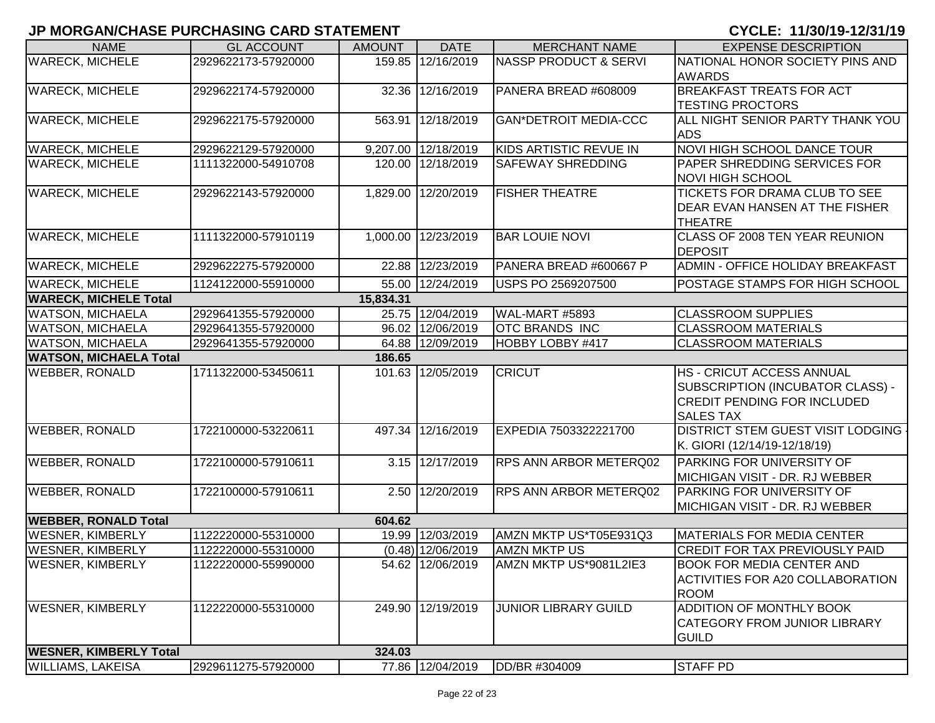| <b>NAME</b>                   | <b>GL ACCOUNT</b>   | <b>AMOUNT</b> | <b>DATE</b>         | <b>MERCHANT NAME</b>             | <b>EXPENSE DESCRIPTION</b>                                                                                                     |
|-------------------------------|---------------------|---------------|---------------------|----------------------------------|--------------------------------------------------------------------------------------------------------------------------------|
| <b>WARECK, MICHELE</b>        | 2929622173-57920000 |               | 159.85 12/16/2019   | <b>NASSP PRODUCT &amp; SERVI</b> | NATIONAL HONOR SOCIETY PINS AND<br><b>AWARDS</b>                                                                               |
| <b>WARECK, MICHELE</b>        | 2929622174-57920000 |               | 32.36 12/16/2019    | PANERA BREAD #608009             | <b>BREAKFAST TREATS FOR ACT</b><br><b>TESTING PROCTORS</b>                                                                     |
| <b>WARECK, MICHELE</b>        | 2929622175-57920000 |               | 563.91 12/18/2019   | <b>GAN*DETROIT MEDIA-CCC</b>     | ALL NIGHT SENIOR PARTY THANK YOU<br><b>ADS</b>                                                                                 |
| <b>WARECK, MICHELE</b>        | 2929622129-57920000 |               | 9,207.00 12/18/2019 | KIDS ARTISTIC REVUE IN           | <b>NOVI HIGH SCHOOL DANCE TOUR</b>                                                                                             |
| <b>WARECK, MICHELE</b>        | 1111322000-54910708 |               | 120.00 12/18/2019   | <b>SAFEWAY SHREDDING</b>         | PAPER SHREDDING SERVICES FOR<br><b>NOVI HIGH SCHOOL</b>                                                                        |
| <b>WARECK, MICHELE</b>        | 2929622143-57920000 |               | 1,829.00 12/20/2019 | <b>FISHER THEATRE</b>            | TICKETS FOR DRAMA CLUB TO SEE<br>DEAR EVAN HANSEN AT THE FISHER<br><b>THEATRE</b>                                              |
| <b>WARECK, MICHELE</b>        | 1111322000-57910119 |               | 1,000.00 12/23/2019 | <b>BAR LOUIE NOVI</b>            | CLASS OF 2008 TEN YEAR REUNION<br>DEPOSIT                                                                                      |
| <b>WARECK, MICHELE</b>        | 2929622275-57920000 |               | 22.88 12/23/2019    | PANERA BREAD #600667 P           | ADMIN - OFFICE HOLIDAY BREAKFAST                                                                                               |
| <b>WARECK, MICHELE</b>        | 1124122000-55910000 |               | 55.00 12/24/2019    | USPS PO 2569207500               | POSTAGE STAMPS FOR HIGH SCHOOL                                                                                                 |
| <b>WARECK, MICHELE Total</b>  |                     | 15,834.31     |                     |                                  |                                                                                                                                |
| <b>WATSON, MICHAELA</b>       | 2929641355-57920000 |               | 25.75 12/04/2019    | WAL-MART #5893                   | <b>CLASSROOM SUPPLIES</b>                                                                                                      |
| <b>WATSON, MICHAELA</b>       | 2929641355-57920000 |               | 96.02 12/06/2019    | <b>OTC BRANDS INC</b>            | <b>CLASSROOM MATERIALS</b>                                                                                                     |
| <b>WATSON, MICHAELA</b>       | 2929641355-57920000 |               | 64.88 12/09/2019    | HOBBY LOBBY #417                 | <b>CLASSROOM MATERIALS</b>                                                                                                     |
| <b>WATSON, MICHAELA Total</b> |                     | 186.65        |                     |                                  |                                                                                                                                |
| <b>WEBBER, RONALD</b>         | 1711322000-53450611 |               | 101.63 12/05/2019   | <b>CRICUT</b>                    | <b>HS - CRICUT ACCESS ANNUAL</b><br>SUBSCRIPTION (INCUBATOR CLASS) -<br><b>CREDIT PENDING FOR INCLUDED</b><br><b>SALES TAX</b> |
| <b>WEBBER, RONALD</b>         | 1722100000-53220611 |               | 497.34 12/16/2019   | EXPEDIA 7503322221700            | <b>DISTRICT STEM GUEST VISIT LODGING -</b><br>K. GIORI (12/14/19-12/18/19)                                                     |
| <b>WEBBER, RONALD</b>         | 1722100000-57910611 |               | 3.15 12/17/2019     | RPS ANN ARBOR METERQ02           | PARKING FOR UNIVERSITY OF<br>MICHIGAN VISIT - DR. RJ WEBBER                                                                    |
| <b>WEBBER, RONALD</b>         | 1722100000-57910611 |               | 2.50 12/20/2019     | <b>RPS ANN ARBOR METERQ02</b>    | PARKING FOR UNIVERSITY OF<br>MICHIGAN VISIT - DR. RJ WEBBER                                                                    |
| <b>WEBBER, RONALD Total</b>   |                     | 604.62        |                     |                                  |                                                                                                                                |
| <b>WESNER, KIMBERLY</b>       | 1122220000-55310000 |               | 19.99 12/03/2019    | AMZN MKTP US*T05E931Q3           | <b>MATERIALS FOR MEDIA CENTER</b>                                                                                              |
| <b>WESNER, KIMBERLY</b>       | 1122220000-55310000 |               | $(0.48)$ 12/06/2019 | <b>AMZN MKTP US</b>              | <b>CREDIT FOR TAX PREVIOUSLY PAID</b>                                                                                          |
| <b>WESNER, KIMBERLY</b>       | 1122220000-55990000 |               | 54.62 12/06/2019    | AMZN MKTP US*9081L2IE3           | <b>BOOK FOR MEDIA CENTER AND</b><br><b>ACTIVITIES FOR A20 COLLABORATION</b><br><b>ROOM</b>                                     |
| <b>WESNER, KIMBERLY</b>       | 1122220000-55310000 |               | 249.90 12/19/2019   | <b>JUNIOR LIBRARY GUILD</b>      | ADDITION OF MONTHLY BOOK<br><b>CATEGORY FROM JUNIOR LIBRARY</b><br><b>GUILD</b>                                                |
| <b>WESNER, KIMBERLY Total</b> |                     | 324.03        |                     |                                  |                                                                                                                                |
| <b>WILLIAMS, LAKEISA</b>      | 2929611275-57920000 |               | 77.86 12/04/2019    | DD/BR #304009                    | <b>STAFF PD</b>                                                                                                                |